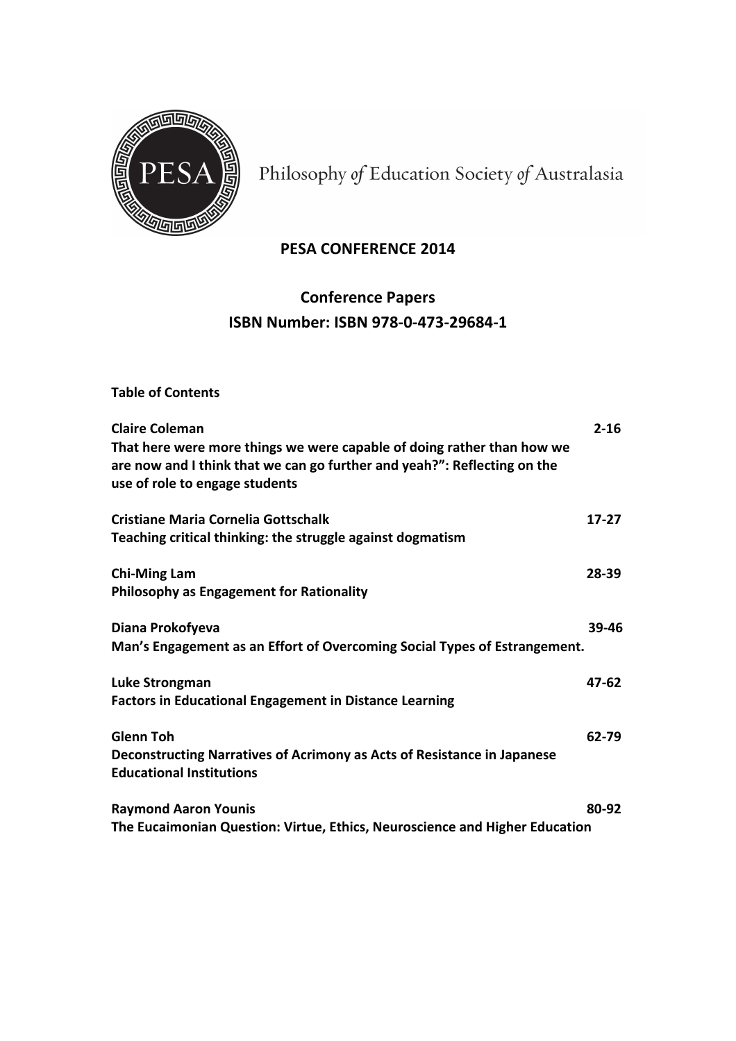

**Table of Contents** 

Philosophy of Education Society of Australasia

# **PESA CONFERENCE 2014**

# **Conference Papers ISBN Number: ISBN 978-0-473-29684-1**

| <b>Claire Coleman</b>                                                       | $2 - 16$  |
|-----------------------------------------------------------------------------|-----------|
| That here were more things we were capable of doing rather than how we      |           |
| are now and I think that we can go further and yeah?": Reflecting on the    |           |
| use of role to engage students                                              |           |
| <b>Cristiane Maria Cornelia Gottschalk</b>                                  | $17 - 27$ |
| Teaching critical thinking: the struggle against dogmatism                  |           |
| <b>Chi-Ming Lam</b>                                                         | 28-39     |
| <b>Philosophy as Engagement for Rationality</b>                             |           |
| Diana Prokofyeva                                                            | 39-46     |
| Man's Engagement as an Effort of Overcoming Social Types of Estrangement.   |           |
| Luke Strongman                                                              | 47-62     |
| <b>Factors in Educational Engagement in Distance Learning</b>               |           |
| <b>Glenn Toh</b>                                                            | 62-79     |
| Deconstructing Narratives of Acrimony as Acts of Resistance in Japanese     |           |
| <b>Educational Institutions</b>                                             |           |
| <b>Raymond Aaron Younis</b>                                                 | 80-92     |
| The Eucaimonian Question: Virtue, Ethics, Neuroscience and Higher Education |           |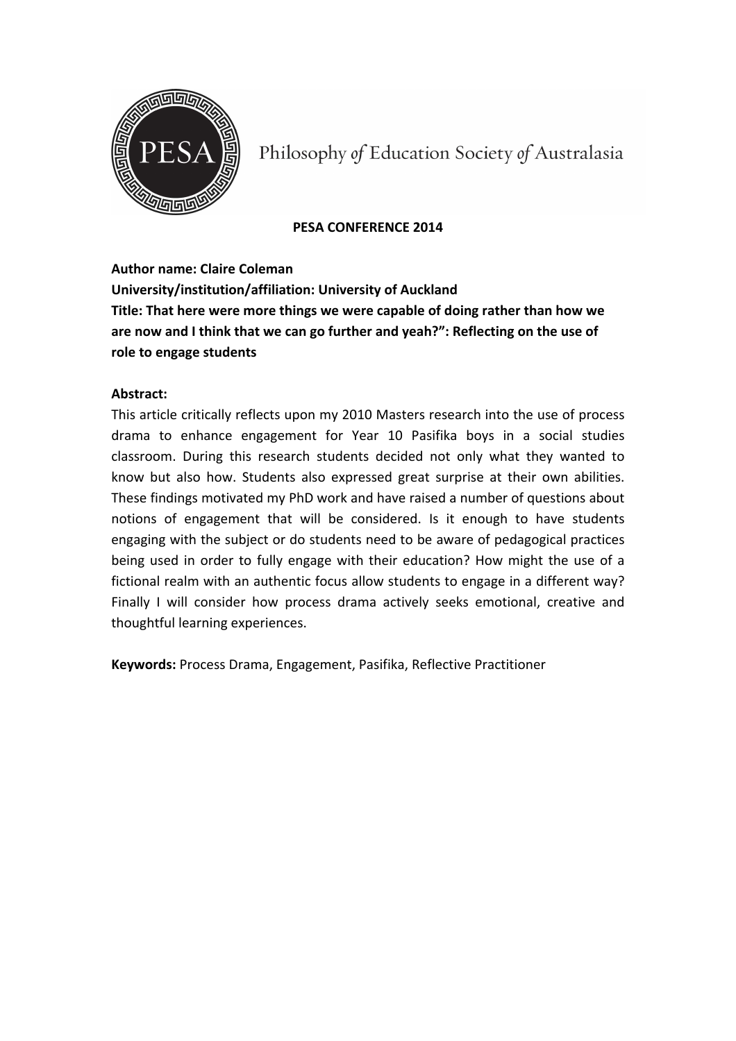

Philosophy of Education Society of Australasia

### **PESA CONFERENCE 2014**

#### **Author name: Claire Coleman**

**University/institution/affiliation: University of Auckland Title:** That here were more things we were capable of doing rather than how we are now and I think that we can go further and yeah?": Reflecting on the use of role to engage students

#### **Abstract:**

This article critically reflects upon my 2010 Masters research into the use of process drama to enhance engagement for Year 10 Pasifika boys in a social studies classroom. During this research students decided not only what they wanted to know but also how. Students also expressed great surprise at their own abilities. These findings motivated my PhD work and have raised a number of questions about notions of engagement that will be considered. Is it enough to have students engaging with the subject or do students need to be aware of pedagogical practices being used in order to fully engage with their education? How might the use of a fictional realm with an authentic focus allow students to engage in a different way? Finally I will consider how process drama actively seeks emotional, creative and thoughtful learning experiences.

**Keywords:** Process Drama, Engagement, Pasifika, Reflective Practitioner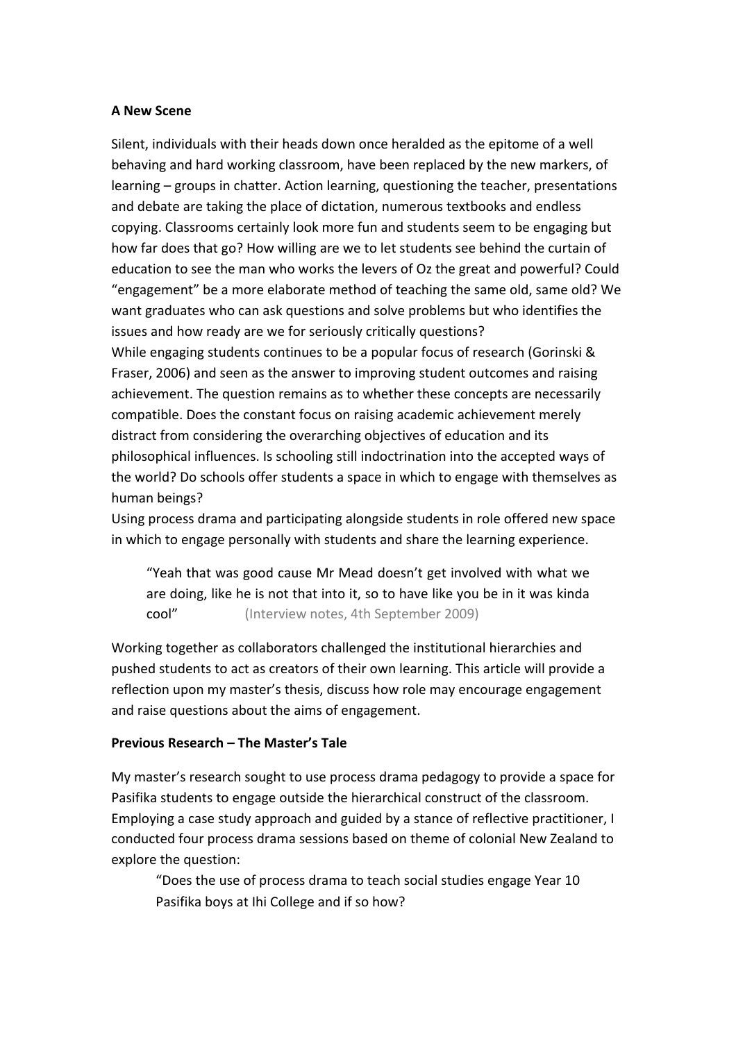#### **A New Scene**

Silent, individuals with their heads down once heralded as the epitome of a well behaving and hard working classroom, have been replaced by the new markers, of  $learning$  – groups in chatter. Action learning, questioning the teacher, presentations and debate are taking the place of dictation, numerous textbooks and endless copying. Classrooms certainly look more fun and students seem to be engaging but how far does that go? How willing are we to let students see behind the curtain of education to see the man who works the levers of Oz the great and powerful? Could "engagement" be a more elaborate method of teaching the same old, same old? We want graduates who can ask questions and solve problems but who identifies the issues and how ready are we for seriously critically questions? While engaging students continues to be a popular focus of research (Gorinski & Fraser, 2006) and seen as the answer to improving student outcomes and raising achievement. The question remains as to whether these concepts are necessarily compatible. Does the constant focus on raising academic achievement merely distract from considering the overarching objectives of education and its philosophical influences. Is schooling still indoctrination into the accepted ways of the world? Do schools offer students a space in which to engage with themselves as human beings?

Using process drama and participating alongside students in role offered new space in which to engage personally with students and share the learning experience.

"Yeah that was good cause Mr Mead doesn't get involved with what we are doing, like he is not that into it, so to have like you be in it was kinda cool" (Interview notes, 4th September 2009)

Working together as collaborators challenged the institutional hierarchies and pushed students to act as creators of their own learning. This article will provide a reflection upon my master's thesis, discuss how role may encourage engagement and raise questions about the aims of engagement.

#### **Previous Research – The Master's Tale**

My master's research sought to use process drama pedagogy to provide a space for Pasifika students to engage outside the hierarchical construct of the classroom. Employing a case study approach and guided by a stance of reflective practitioner, I conducted four process drama sessions based on theme of colonial New Zealand to explore the question:

"Does the use of process drama to teach social studies engage Year 10 Pasifika boys at Ihi College and if so how?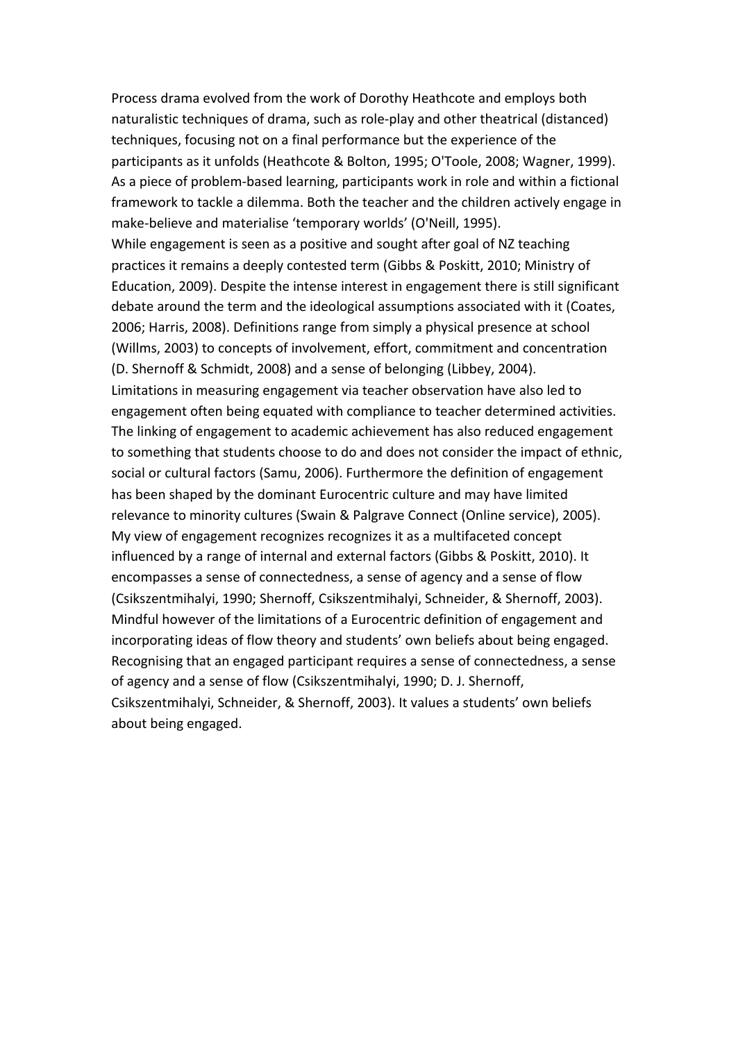Process drama evolved from the work of Dorothy Heathcote and employs both naturalistic techniques of drama, such as role-play and other theatrical (distanced) techniques, focusing not on a final performance but the experience of the participants as it unfolds (Heathcote & Bolton, 1995; O'Toole, 2008; Wagner, 1999). As a piece of problem-based learning, participants work in role and within a fictional framework to tackle a dilemma. Both the teacher and the children actively engage in make-believe and materialise 'temporary worlds' (O'Neill, 1995). While engagement is seen as a positive and sought after goal of NZ teaching practices it remains a deeply contested term (Gibbs & Poskitt, 2010; Ministry of Education, 2009). Despite the intense interest in engagement there is still significant debate around the term and the ideological assumptions associated with it (Coates, 2006; Harris, 2008). Definitions range from simply a physical presence at school (Willms, 2003) to concepts of involvement, effort, commitment and concentration (D. Shernoff & Schmidt, 2008) and a sense of belonging (Libbey, 2004). Limitations in measuring engagement via teacher observation have also led to engagement often being equated with compliance to teacher determined activities. The linking of engagement to academic achievement has also reduced engagement to something that students choose to do and does not consider the impact of ethnic, social or cultural factors (Samu, 2006). Furthermore the definition of engagement has been shaped by the dominant Eurocentric culture and may have limited relevance to minority cultures (Swain & Palgrave Connect (Online service), 2005). My view of engagement recognizes recognizes it as a multifaceted concept influenced by a range of internal and external factors (Gibbs & Poskitt, 2010). It encompasses a sense of connectedness, a sense of agency and a sense of flow (Csikszentmihalyi, 1990; Shernoff, Csikszentmihalyi, Schneider, & Shernoff, 2003). Mindful however of the limitations of a Eurocentric definition of engagement and incorporating ideas of flow theory and students' own beliefs about being engaged. Recognising that an engaged participant requires a sense of connectedness, a sense of agency and a sense of flow (Csikszentmihalyi, 1990; D. J. Shernoff, Csikszentmihalyi, Schneider, & Shernoff, 2003). It values a students' own beliefs about being engaged.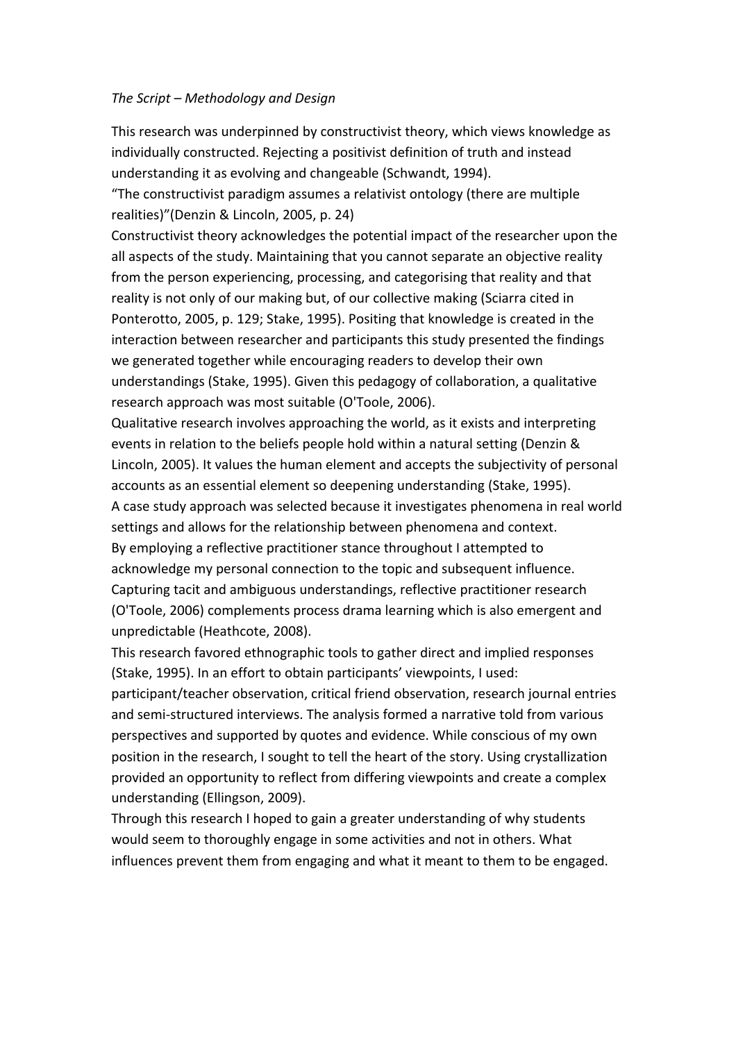#### *The Script – Methodology and Design*

This research was underpinned by constructivist theory, which views knowledge as individually constructed. Rejecting a positivist definition of truth and instead understanding it as evolving and changeable (Schwandt, 1994).

"The constructivist paradigm assumes a relativist ontology (there are multiple realities)"(Denzin & Lincoln, 2005, p. 24)

Constructivist theory acknowledges the potential impact of the researcher upon the all aspects of the study. Maintaining that you cannot separate an objective reality from the person experiencing, processing, and categorising that reality and that reality is not only of our making but, of our collective making (Sciarra cited in Ponterotto, 2005, p. 129; Stake, 1995). Positing that knowledge is created in the interaction between researcher and participants this study presented the findings we generated together while encouraging readers to develop their own understandings (Stake, 1995). Given this pedagogy of collaboration, a qualitative research approach was most suitable (O'Toole, 2006).

Qualitative research involves approaching the world, as it exists and interpreting events in relation to the beliefs people hold within a natural setting (Denzin & Lincoln, 2005). It values the human element and accepts the subjectivity of personal accounts as an essential element so deepening understanding (Stake, 1995). A case study approach was selected because it investigates phenomena in real world

settings and allows for the relationship between phenomena and context. By employing a reflective practitioner stance throughout I attempted to acknowledge my personal connection to the topic and subsequent influence. Capturing tacit and ambiguous understandings, reflective practitioner research (O'Toole, 2006) complements process drama learning which is also emergent and unpredictable (Heathcote, 2008).

This research favored ethnographic tools to gather direct and implied responses (Stake, 1995). In an effort to obtain participants' viewpoints, I used:

participant/teacher observation, critical friend observation, research journal entries and semi-structured interviews. The analysis formed a narrative told from various perspectives and supported by quotes and evidence. While conscious of my own position in the research, I sought to tell the heart of the story. Using crystallization provided an opportunity to reflect from differing viewpoints and create a complex understanding (Ellingson, 2009).

Through this research I hoped to gain a greater understanding of why students would seem to thoroughly engage in some activities and not in others. What influences prevent them from engaging and what it meant to them to be engaged.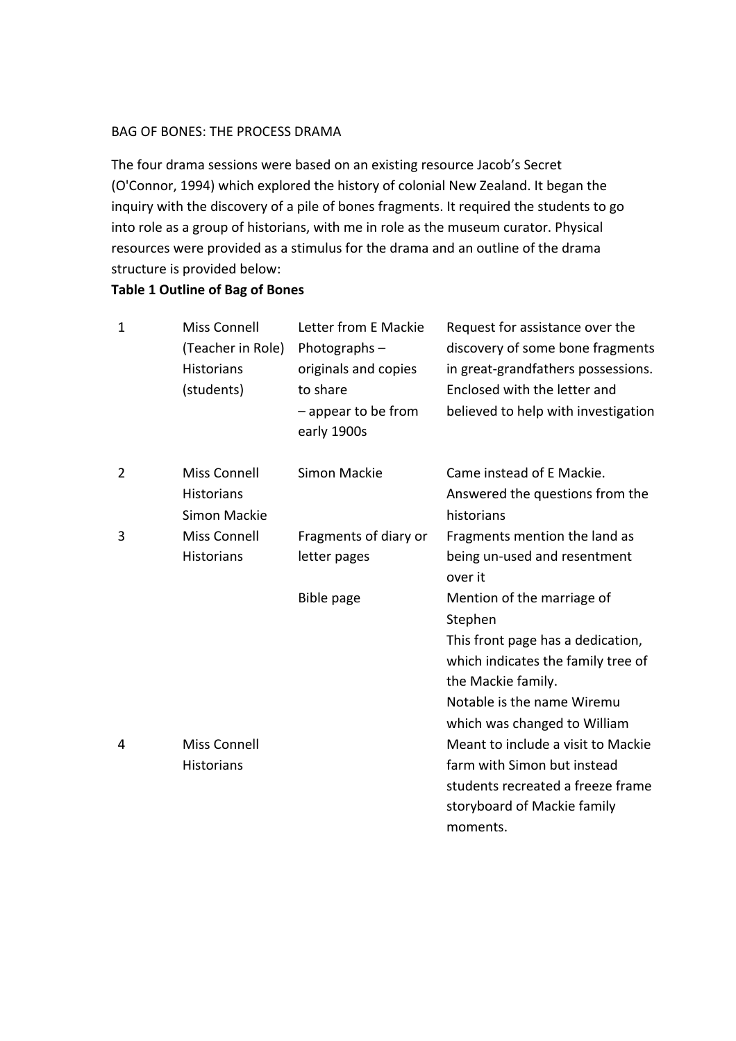### BAG OF BONES: THE PROCESS DRAMA

The four drama sessions were based on an existing resource Jacob's Secret (O'Connor, 1994) which explored the history of colonial New Zealand. It began the inquiry with the discovery of a pile of bones fragments. It required the students to go into role as a group of historians, with me in role as the museum curator. Physical resources were provided as a stimulus for the drama and an outline of the drama structure is provided below:

### **Table 1 Outline of Bag of Bones**

| $\mathbf{1}$   | <b>Miss Connell</b><br>(Teacher in Role)<br><b>Historians</b><br>(students) | Letter from E Mackie<br>Photographs-<br>originals and copies<br>to share<br>- appear to be from<br>early 1900s | Request for assistance over the<br>discovery of some bone fragments<br>in great-grandfathers possessions.<br>Enclosed with the letter and<br>believed to help with investigation                     |
|----------------|-----------------------------------------------------------------------------|----------------------------------------------------------------------------------------------------------------|------------------------------------------------------------------------------------------------------------------------------------------------------------------------------------------------------|
| $\overline{2}$ | <b>Miss Connell</b><br><b>Historians</b><br><b>Simon Mackie</b>             | Simon Mackie                                                                                                   | Came instead of E Mackie.<br>Answered the questions from the<br>historians                                                                                                                           |
| 3              | <b>Miss Connell</b><br><b>Historians</b>                                    | Fragments of diary or<br>letter pages                                                                          | Fragments mention the land as<br>being un-used and resentment<br>over it                                                                                                                             |
|                |                                                                             | Bible page                                                                                                     | Mention of the marriage of<br>Stephen<br>This front page has a dedication,<br>which indicates the family tree of<br>the Mackie family.<br>Notable is the name Wiremu<br>which was changed to William |
| 4              | <b>Miss Connell</b><br><b>Historians</b>                                    |                                                                                                                | Meant to include a visit to Mackie<br>farm with Simon but instead<br>students recreated a freeze frame<br>storyboard of Mackie family<br>moments.                                                    |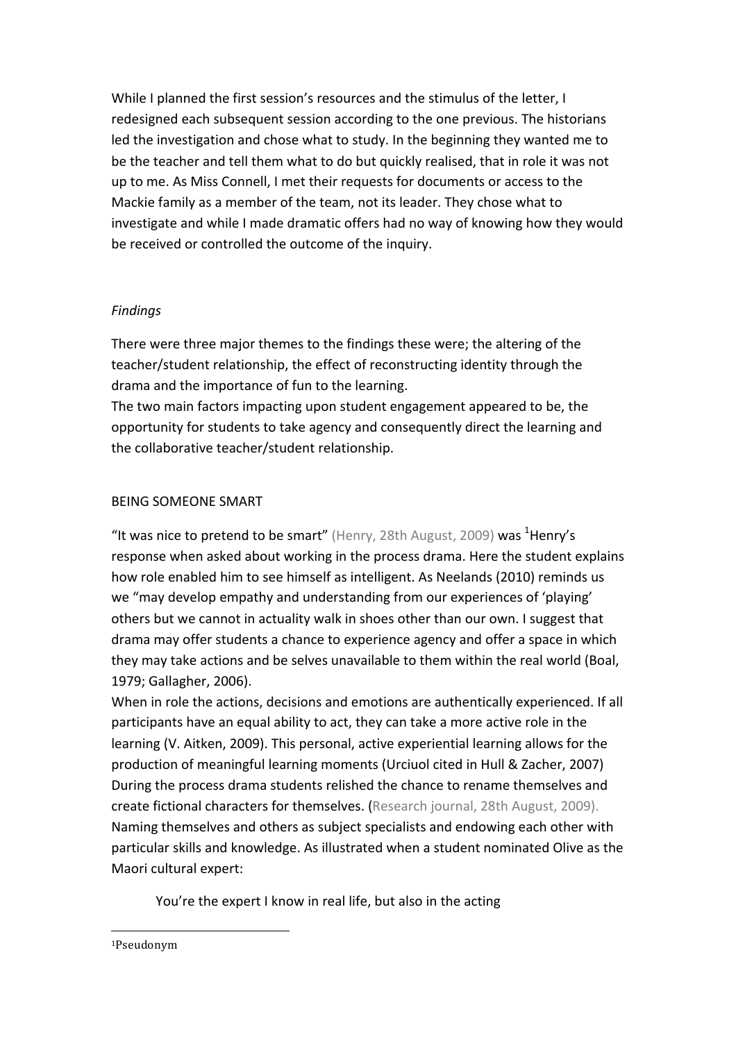While I planned the first session's resources and the stimulus of the letter, I redesigned each subsequent session according to the one previous. The historians led the investigation and chose what to study. In the beginning they wanted me to be the teacher and tell them what to do but quickly realised, that in role it was not up to me. As Miss Connell, I met their requests for documents or access to the Mackie family as a member of the team, not its leader. They chose what to investigate and while I made dramatic offers had no way of knowing how they would be received or controlled the outcome of the inquiry.

### *Findings*

There were three major themes to the findings these were; the altering of the teacher/student relationship, the effect of reconstructing identity through the drama and the importance of fun to the learning.

The two main factors impacting upon student engagement appeared to be, the opportunity for students to take agency and consequently direct the learning and the collaborative teacher/student relationship.

### BEING SOMEONE SMART

"It was nice to pretend to be smart" (Henry, 28th August, 2009) was  $^1$ Henry's response when asked about working in the process drama. Here the student explains how role enabled him to see himself as intelligent. As Neelands (2010) reminds us we "may develop empathy and understanding from our experiences of 'playing' others but we cannot in actuality walk in shoes other than our own. I suggest that drama may offer students a chance to experience agency and offer a space in which they may take actions and be selves unavailable to them within the real world (Boal, 1979; Gallagher, 2006).

When in role the actions, decisions and emotions are authentically experienced. If all participants have an equal ability to act, they can take a more active role in the learning (V. Aitken, 2009). This personal, active experiential learning allows for the production of meaningful learning moments (Urciuol cited in Hull & Zacher, 2007) During the process drama students relished the chance to rename themselves and create fictional characters for themselves. (Research journal, 28th August, 2009). Naming themselves and others as subject specialists and endowing each other with particular skills and knowledge. As illustrated when a student nominated Olive as the Maori cultural expert:

You're the expert I know in real life, but also in the acting

1Pseudonym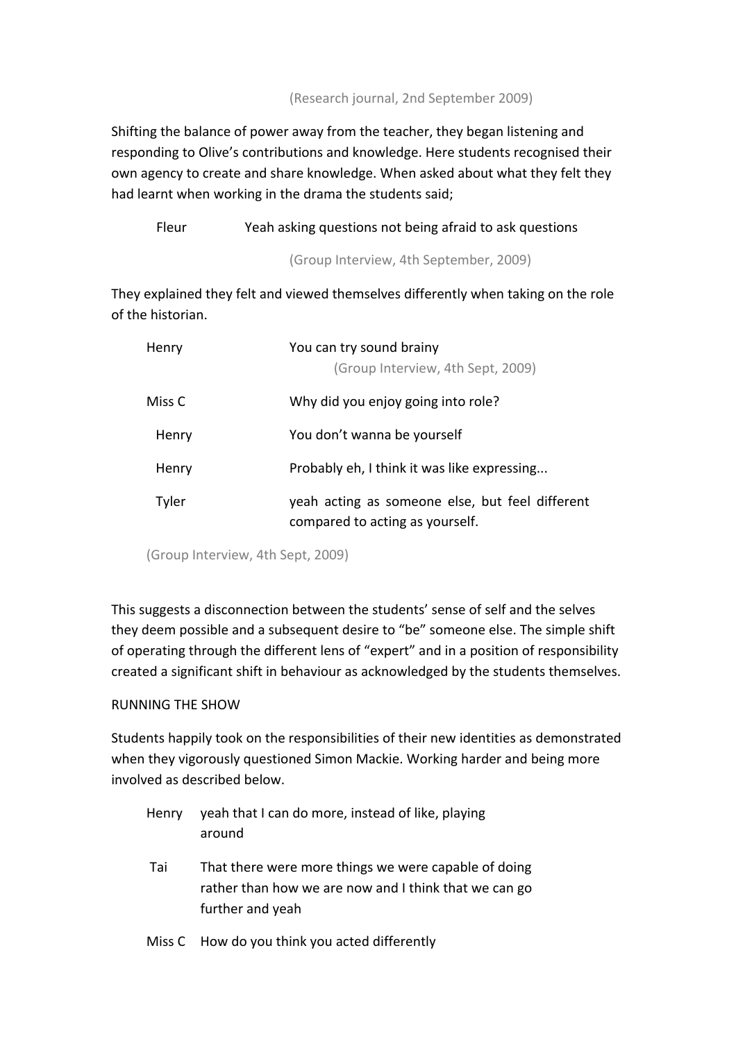### (Research journal, 2nd September 2009)

Shifting the balance of power away from the teacher, they began listening and responding to Olive's contributions and knowledge. Here students recognised their own agency to create and share knowledge. When asked about what they felt they had learnt when working in the drama the students said;

Fleur Yeah asking questions not being afraid to ask questions

(Group Interview, 4th September, 2009)

They explained they felt and viewed themselves differently when taking on the role of the historian.

| Henry        | You can try sound brainy<br>(Group Interview, 4th Sept, 2009)                      |
|--------------|------------------------------------------------------------------------------------|
| Miss C       | Why did you enjoy going into role?                                                 |
| Henry        | You don't wanna be yourself                                                        |
| Henry        | Probably eh, I think it was like expressing                                        |
| <b>Tyler</b> | yeah acting as someone else, but feel different<br>compared to acting as yourself. |

(Group Interview, 4th Sept, 2009)

This suggests a disconnection between the students' sense of self and the selves they deem possible and a subsequent desire to "be" someone else. The simple shift of operating through the different lens of "expert" and in a position of responsibility created a significant shift in behaviour as acknowledged by the students themselves.

### RUNNING THE SHOW

Students happily took on the responsibilities of their new identities as demonstrated when they vigorously questioned Simon Mackie. Working harder and being more involved as described below. 

- Henry yeah that I can do more, instead of like, playing around
- Tai That there were more things we were capable of doing rather than how we are now and I think that we can go further and yeah
- Miss C How do you think you acted differently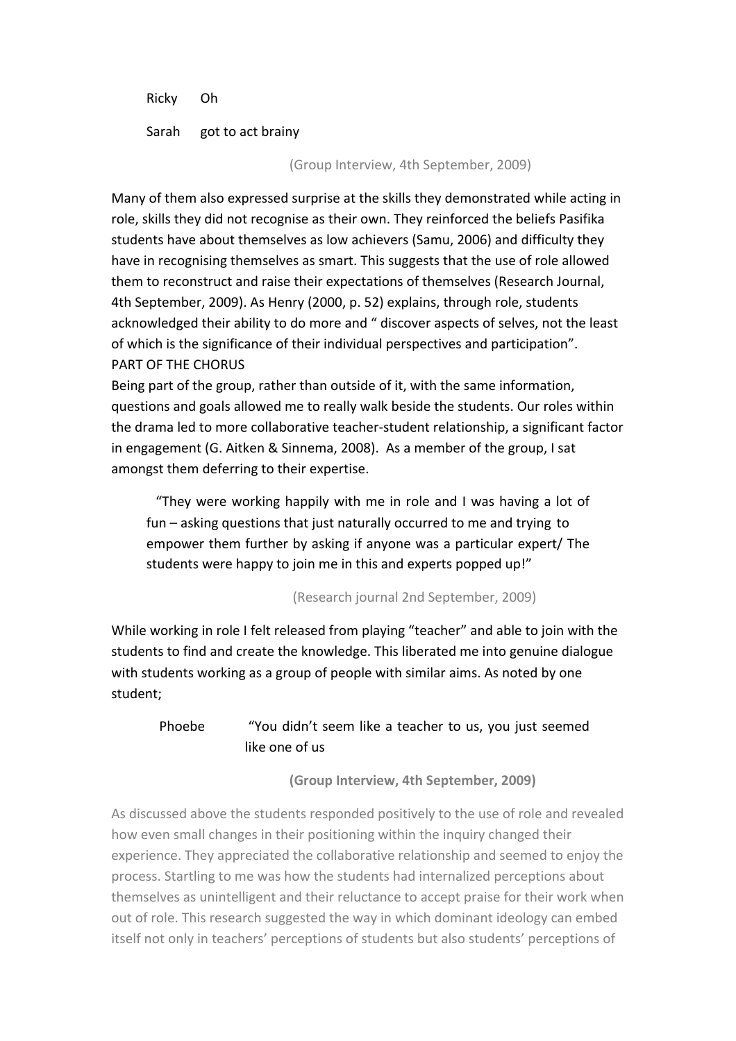Ricky Oh Sarah got to act brainy

(Group Interview, 4th September, 2009)

Many of them also expressed surprise at the skills they demonstrated while acting in role, skills they did not recognise as their own. They reinforced the beliefs Pasifika students have about themselves as low achievers (Samu, 2006) and difficulty they have in recognising themselves as smart. This suggests that the use of role allowed them to reconstruct and raise their expectations of themselves (Research Journal, 4th September, 2009). As Henry (2000, p. 52) explains, through role, students acknowledged their ability to do more and " discover aspects of selves, not the least of which is the significance of their individual perspectives and participation". PART OF THE CHORUS

Being part of the group, rather than outside of it, with the same information, questions and goals allowed me to really walk beside the students. Our roles within the drama led to more collaborative teacher-student relationship, a significant factor in engagement (G. Aitken & Sinnema, 2008). As a member of the group, I sat amongst them deferring to their expertise.

"They were working happily with me in role and I was having a lot of fun – asking questions that just naturally occurred to me and trying to empower them further by asking if anyone was a particular expert/ The students were happy to join me in this and experts popped up!"

### (Research journal 2nd September, 2009)

While working in role I felt released from playing "teacher" and able to join with the students to find and create the knowledge. This liberated me into genuine dialogue with students working as a group of people with similar aims. As noted by one student;

# Phoebe "You didn't seem like a teacher to us, you just seemed like one of us

**(Group Interview, 4th September, 2009)** 

As discussed above the students responded positively to the use of role and revealed how even small changes in their positioning within the inquiry changed their experience. They appreciated the collaborative relationship and seemed to enjoy the process. Startling to me was how the students had internalized perceptions about themselves as unintelligent and their reluctance to accept praise for their work when out of role. This research suggested the way in which dominant ideology can embed itself not only in teachers' perceptions of students but also students' perceptions of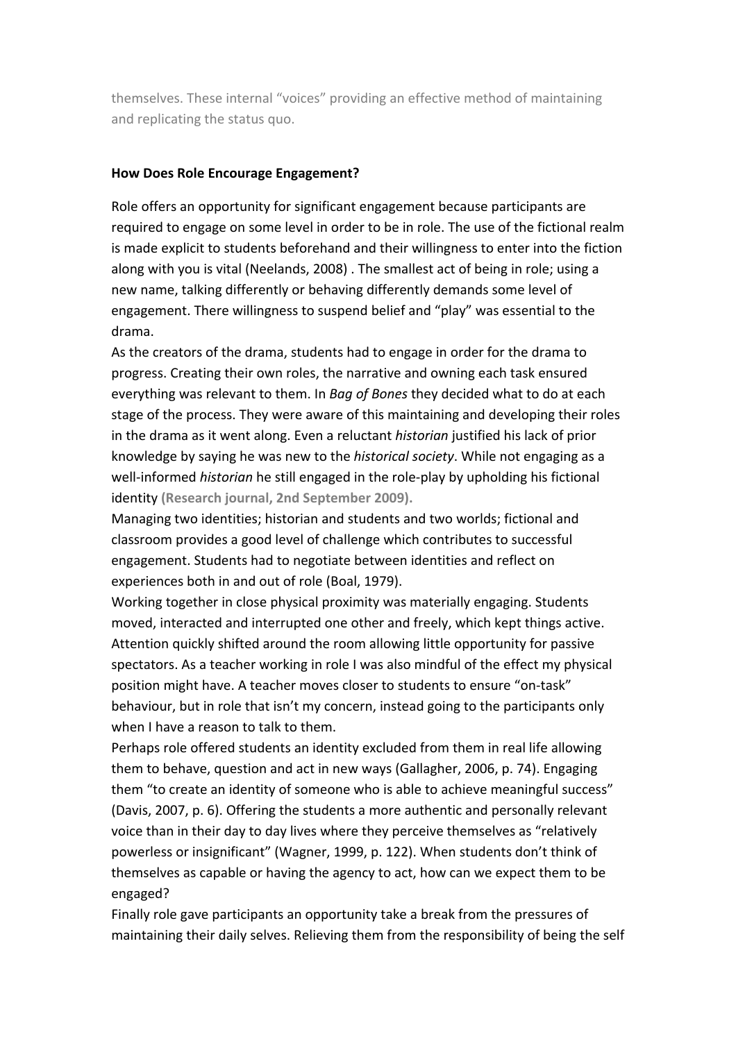themselves. These internal "voices" providing an effective method of maintaining and replicating the status quo.

#### **How Does Role Encourage Engagement?**

Role offers an opportunity for significant engagement because participants are required to engage on some level in order to be in role. The use of the fictional realm is made explicit to students beforehand and their willingness to enter into the fiction along with you is vital (Neelands, 2008). The smallest act of being in role; using a new name, talking differently or behaving differently demands some level of engagement. There willingness to suspend belief and "play" was essential to the drama.

As the creators of the drama, students had to engage in order for the drama to progress. Creating their own roles, the narrative and owning each task ensured everything was relevant to them. In *Bag of Bones* they decided what to do at each stage of the process. They were aware of this maintaining and developing their roles in the drama as it went along. Even a reluctant *historian* justified his lack of prior knowledge by saying he was new to the *historical society*. While not engaging as a well-informed *historian* he still engaged in the role-play by upholding his fictional **identity (Research journal, 2nd September 2009).** 

Managing two identities; historian and students and two worlds; fictional and classroom provides a good level of challenge which contributes to successful engagement. Students had to negotiate between identities and reflect on experiences both in and out of role (Boal, 1979).

Working together in close physical proximity was materially engaging. Students moved, interacted and interrupted one other and freely, which kept things active. Attention quickly shifted around the room allowing little opportunity for passive spectators. As a teacher working in role I was also mindful of the effect my physical position might have. A teacher moves closer to students to ensure "on-task" behaviour, but in role that isn't my concern, instead going to the participants only when I have a reason to talk to them.

Perhaps role offered students an identity excluded from them in real life allowing them to behave, question and act in new ways (Gallagher, 2006, p. 74). Engaging them "to create an identity of someone who is able to achieve meaningful success" (Davis, 2007, p. 6). Offering the students a more authentic and personally relevant voice than in their day to day lives where they perceive themselves as "relatively powerless or insignificant" (Wagner, 1999, p. 122). When students don't think of themselves as capable or having the agency to act, how can we expect them to be engaged?

Finally role gave participants an opportunity take a break from the pressures of maintaining their daily selves. Relieving them from the responsibility of being the self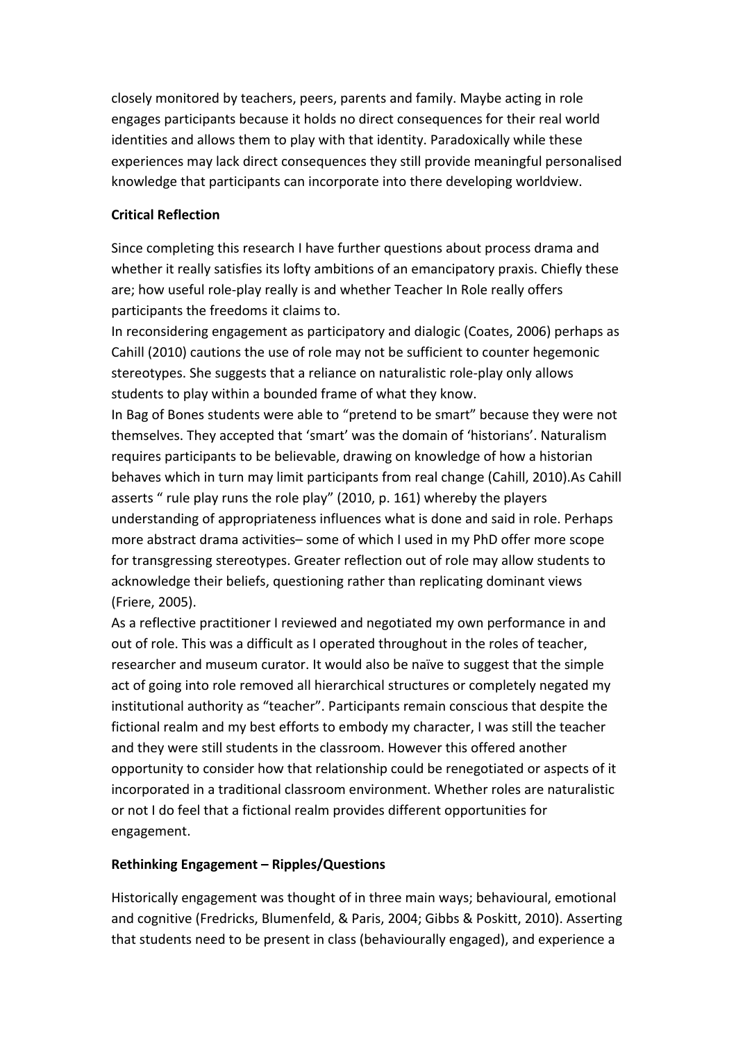closely monitored by teachers, peers, parents and family. Maybe acting in role engages participants because it holds no direct consequences for their real world identities and allows them to play with that identity. Paradoxically while these experiences may lack direct consequences they still provide meaningful personalised knowledge that participants can incorporate into there developing worldview.

# **Critical Reflection**

Since completing this research I have further questions about process drama and whether it really satisfies its lofty ambitions of an emancipatory praxis. Chiefly these are; how useful role-play really is and whether Teacher In Role really offers participants the freedoms it claims to.

In reconsidering engagement as participatory and dialogic (Coates, 2006) perhaps as Cahill (2010) cautions the use of role may not be sufficient to counter hegemonic stereotypes. She suggests that a reliance on naturalistic role-play only allows students to play within a bounded frame of what they know.

In Bag of Bones students were able to "pretend to be smart" because they were not themselves. They accepted that 'smart' was the domain of 'historians'. Naturalism requires participants to be believable, drawing on knowledge of how a historian behaves which in turn may limit participants from real change (Cahill, 2010).As Cahill asserts " rule play runs the role play"  $(2010, p. 161)$  whereby the players understanding of appropriateness influences what is done and said in role. Perhaps more abstract drama activities– some of which I used in my PhD offer more scope for transgressing stereotypes. Greater reflection out of role may allow students to acknowledge their beliefs, questioning rather than replicating dominant views (Friere, 2005). 

As a reflective practitioner I reviewed and negotiated my own performance in and out of role. This was a difficult as I operated throughout in the roles of teacher, researcher and museum curator. It would also be naïve to suggest that the simple act of going into role removed all hierarchical structures or completely negated my institutional authority as "teacher". Participants remain conscious that despite the fictional realm and my best efforts to embody my character, I was still the teacher and they were still students in the classroom. However this offered another opportunity to consider how that relationship could be renegotiated or aspects of it incorporated in a traditional classroom environment. Whether roles are naturalistic or not I do feel that a fictional realm provides different opportunities for engagement. 

### **Rethinking Engagement – Ripples/Questions**

Historically engagement was thought of in three main ways; behavioural, emotional and cognitive (Fredricks, Blumenfeld, & Paris, 2004; Gibbs & Poskitt, 2010). Asserting that students need to be present in class (behaviourally engaged), and experience a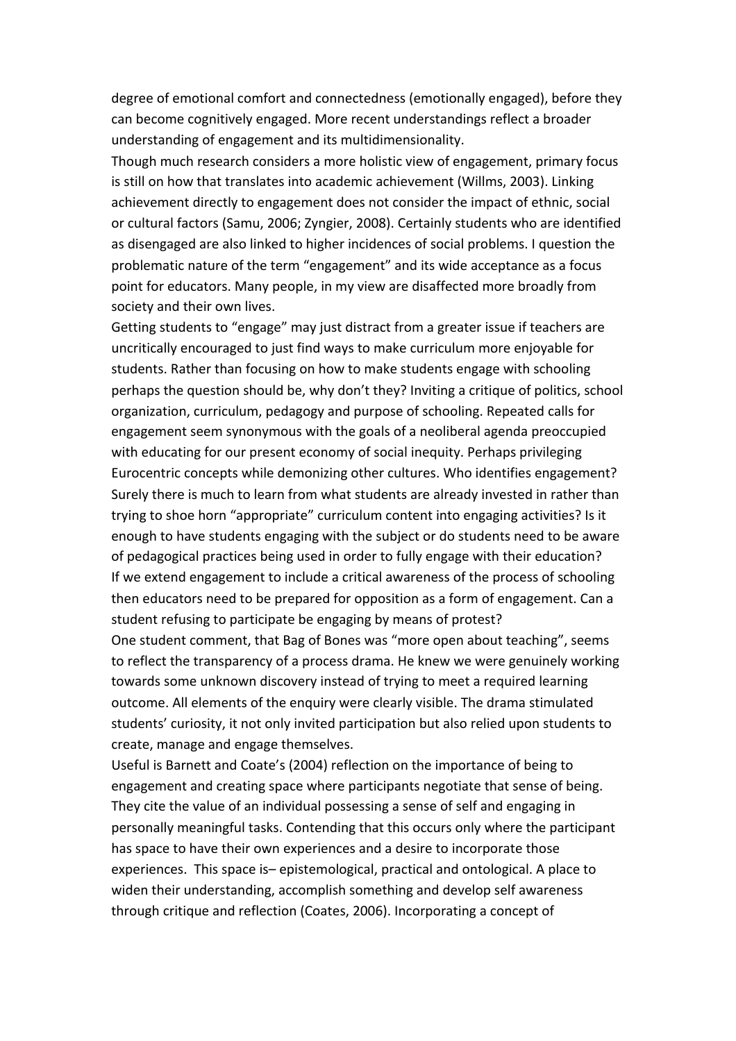degree of emotional comfort and connectedness (emotionally engaged), before they can become cognitively engaged. More recent understandings reflect a broader understanding of engagement and its multidimensionality.

Though much research considers a more holistic view of engagement, primary focus is still on how that translates into academic achievement (Willms, 2003). Linking achievement directly to engagement does not consider the impact of ethnic, social or cultural factors (Samu, 2006; Zyngier, 2008). Certainly students who are identified as disengaged are also linked to higher incidences of social problems. I question the problematic nature of the term "engagement" and its wide acceptance as a focus point for educators. Many people, in my view are disaffected more broadly from society and their own lives.

Getting students to "engage" may just distract from a greater issue if teachers are uncritically encouraged to just find ways to make curriculum more enjoyable for students. Rather than focusing on how to make students engage with schooling perhaps the question should be, why don't they? Inviting a critique of politics, school organization, curriculum, pedagogy and purpose of schooling. Repeated calls for engagement seem synonymous with the goals of a neoliberal agenda preoccupied with educating for our present economy of social inequity. Perhaps privileging Eurocentric concepts while demonizing other cultures. Who identifies engagement? Surely there is much to learn from what students are already invested in rather than trying to shoe horn "appropriate" curriculum content into engaging activities? Is it enough to have students engaging with the subject or do students need to be aware of pedagogical practices being used in order to fully engage with their education? If we extend engagement to include a critical awareness of the process of schooling then educators need to be prepared for opposition as a form of engagement. Can a student refusing to participate be engaging by means of protest?

One student comment, that Bag of Bones was "more open about teaching", seems to reflect the transparency of a process drama. He knew we were genuinely working towards some unknown discovery instead of trying to meet a required learning outcome. All elements of the enquiry were clearly visible. The drama stimulated students' curiosity, it not only invited participation but also relied upon students to create, manage and engage themselves.

Useful is Barnett and Coate's (2004) reflection on the importance of being to engagement and creating space where participants negotiate that sense of being. They cite the value of an individual possessing a sense of self and engaging in personally meaningful tasks. Contending that this occurs only where the participant has space to have their own experiences and a desire to incorporate those experiences. This space is - epistemological, practical and ontological. A place to widen their understanding, accomplish something and develop self awareness through critique and reflection (Coates, 2006). Incorporating a concept of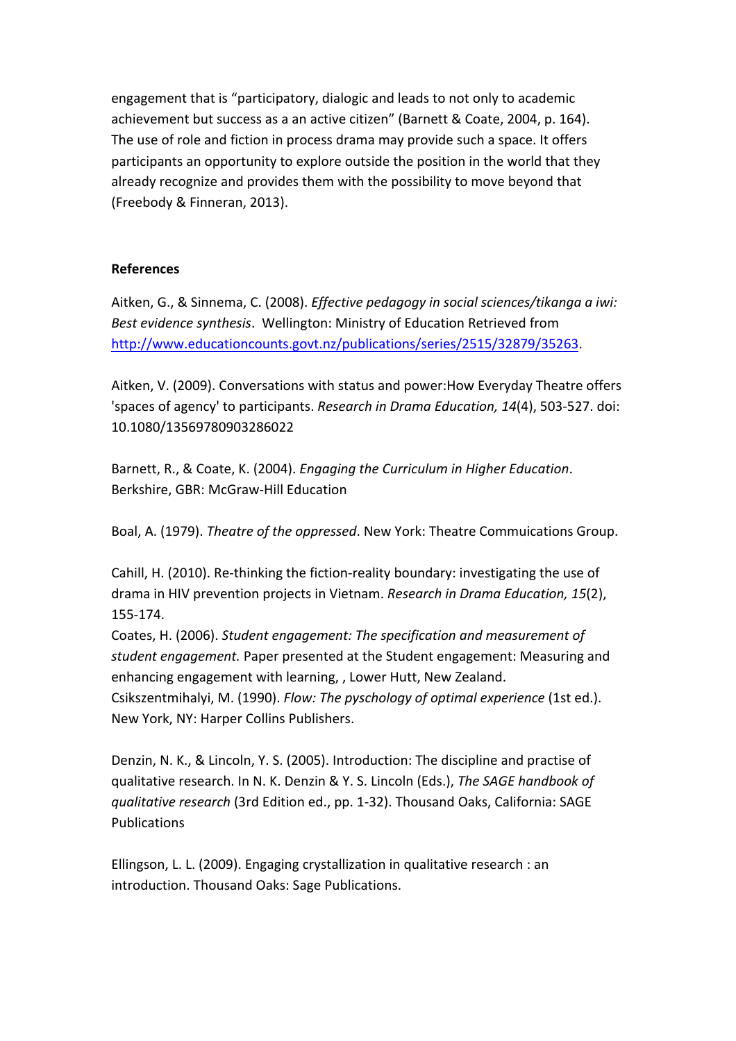engagement that is "participatory, dialogic and leads to not only to academic achievement but success as a an active citizen" (Barnett & Coate, 2004, p. 164). The use of role and fiction in process drama may provide such a space. It offers participants an opportunity to explore outside the position in the world that they already recognize and provides them with the possibility to move beyond that (Freebody & Finneran, 2013).

#### **References**

Aitken, G., & Sinnema, C. (2008). *Effective pedagogy in social sciences/tikanga a iwi:* Best evidence synthesis. Wellington: Ministry of Education Retrieved from http://www.educationcounts.govt.nz/publications/series/2515/32879/35263.

Aitken, V. (2009). Conversations with status and power: How Everyday Theatre offers 'spaces of agency' to participants. *Research in Drama Education, 14*(4), 503-527. doi: 10.1080/13569780903286022

Barnett, R., & Coate, K. (2004). *Engaging the Curriculum in Higher Education*. Berkshire, GBR: McGraw-Hill Education

Boal, A. (1979). *Theatre of the oppressed*. New York: Theatre Commuications Group.

Cahill, H. (2010). Re-thinking the fiction-reality boundary: investigating the use of drama in HIV prevention projects in Vietnam. *Research in Drama Education, 15*(2), 155-174. 

Coates, H. (2006). *Student engagement:* The specification and measurement of student engagement. Paper presented at the Student engagement: Measuring and enhancing engagement with learning, , Lower Hutt, New Zealand.

Csikszentmihalyi, M. (1990). *Flow: The pyschology of optimal experience* (1st ed.). New York, NY: Harper Collins Publishers.

Denzin, N. K., & Lincoln, Y. S. (2005). Introduction: The discipline and practise of qualitative research. In N. K. Denzin & Y. S. Lincoln (Eds.), The SAGE handbook of *qualitative research* (3rd Edition ed., pp. 1-32). Thousand Oaks, California: SAGE Publications 

Ellingson, L. L. (2009). Engaging crystallization in qualitative research : an introduction. Thousand Oaks: Sage Publications.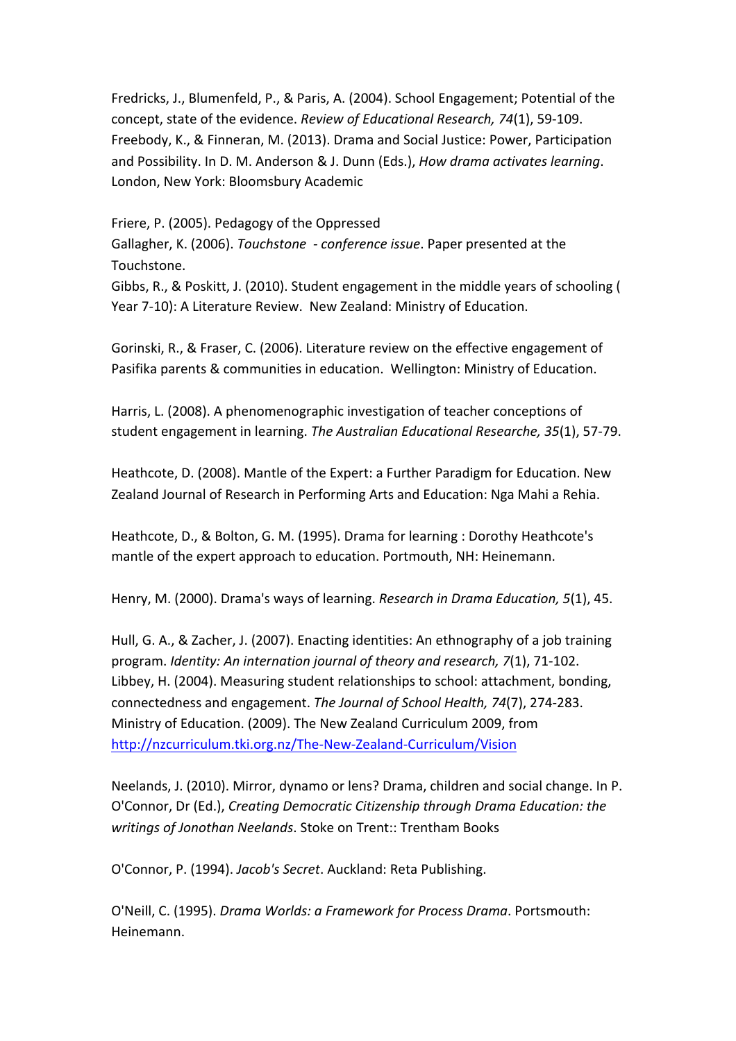Fredricks, J., Blumenfeld, P., & Paris, A. (2004). School Engagement; Potential of the concept, state of the evidence. *Review of Educational Research, 74*(1), 59-109. Freebody, K., & Finneran, M. (2013). Drama and Social Justice: Power, Participation and Possibility. In D. M. Anderson & J. Dunn (Eds.), *How drama activates learning*. London, New York: Bloomsbury Academic

Friere, P. (2005). Pedagogy of the Oppressed

Gallagher, K. (2006). *Touchstone - conference issue*. Paper presented at the Touchstone. 

Gibbs, R., & Poskitt, J. (2010). Student engagement in the middle years of schooling ( Year 7-10): A Literature Review. New Zealand: Ministry of Education.

Gorinski, R., & Fraser, C. (2006). Literature review on the effective engagement of Pasifika parents & communities in education. Wellington: Ministry of Education.

Harris, L. (2008). A phenomenographic investigation of teacher conceptions of student engagement in learning. The Australian Educational Researche, 35(1), 57-79.

Heathcote, D. (2008). Mantle of the Expert: a Further Paradigm for Education. New Zealand Journal of Research in Performing Arts and Education: Nga Mahi a Rehia.

Heathcote, D., & Bolton, G. M. (1995). Drama for learning : Dorothy Heathcote's mantle of the expert approach to education. Portmouth, NH: Heinemann.

Henry, M. (2000). Drama's ways of learning. *Research in Drama Education, 5*(1), 45.

Hull, G. A., & Zacher, J. (2007). Enacting identities: An ethnography of a job training program. *Identity:* An internation journal of theory and research, 7(1), 71-102. Libbey, H. (2004). Measuring student relationships to school: attachment, bonding, connectedness and engagement. The Journal of School Health, 74(7), 274-283. Ministry of Education. (2009). The New Zealand Curriculum 2009, from http://nzcurriculum.tki.org.nz/The-New-Zealand-Curriculum/Vision

Neelands, J. (2010). Mirror, dynamo or lens? Drama, children and social change. In P. O'Connor, Dr (Ed.), *Creating Democratic Citizenship through Drama Education: the* writings of Jonothan Neelands. Stoke on Trent:: Trentham Books

O'Connor, P. (1994). *Jacob's Secret*. Auckland: Reta Publishing.

O'Neill, C. (1995). *Drama Worlds: a Framework for Process Drama*. Portsmouth: Heinemann.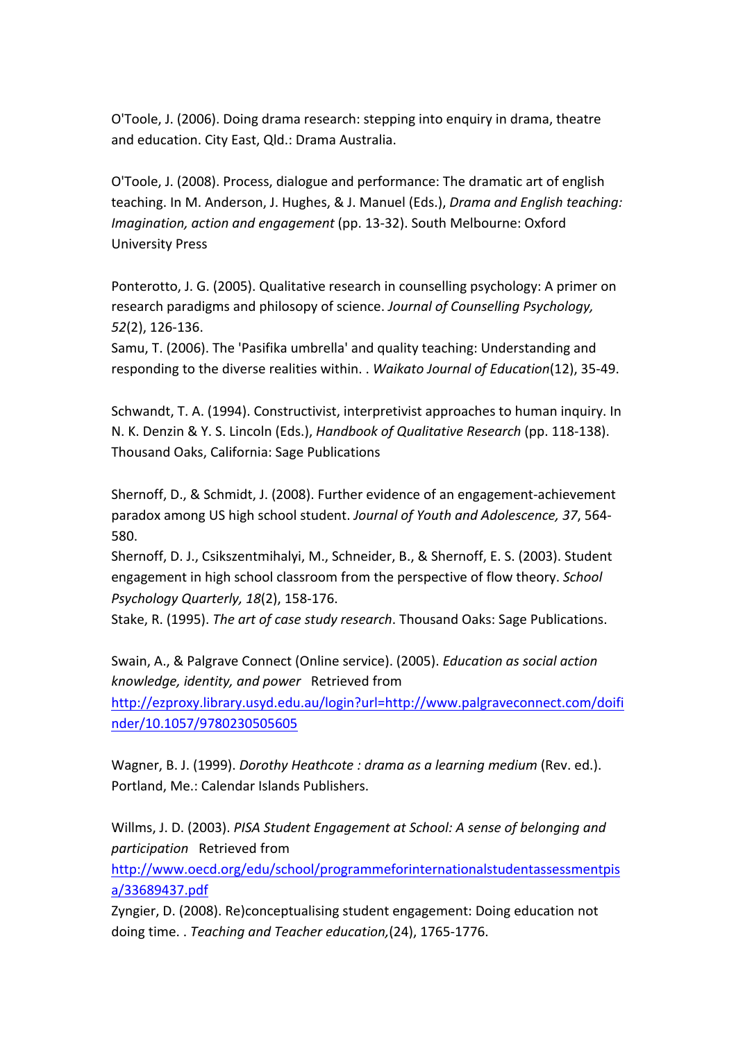O'Toole, J. (2006). Doing drama research: stepping into enquiry in drama, theatre and education. City East, Qld.: Drama Australia.

O'Toole, J. (2008). Process, dialogue and performance: The dramatic art of english teaching. In M. Anderson, J. Hughes, & J. Manuel (Eds.), *Drama and English teaching: Imagination, action and engagement* (pp. 13-32). South Melbourne: Oxford University Press

Ponterotto, J. G. (2005). Qualitative research in counselling psychology: A primer on research paradigms and philosopy of science. *Journal of Counselling Psychology*, *52*(2), 126-136. 

Samu, T. (2006). The 'Pasifika umbrella' and quality teaching: Understanding and responding to the diverse realities within. . *Waikato Journal of Education*(12), 35-49.

Schwandt, T. A. (1994). Constructivist, interpretivist approaches to human inquiry. In N. K. Denzin & Y. S. Lincoln (Eds.), *Handbook of Qualitative Research* (pp. 118-138). Thousand Oaks, California: Sage Publications

Shernoff, D., & Schmidt, J. (2008). Further evidence of an engagement-achievement paradox among US high school student. *Journal of Youth and Adolescence*, 37, 564-580. 

Shernoff, D. J., Csikszentmihalyi, M., Schneider, B., & Shernoff, E. S. (2003). Student engagement in high school classroom from the perspective of flow theory. *School Psychology Quarterly, 18*(2), 158-176. 

Stake, R. (1995). *The art of case study research*. Thousand Oaks: Sage Publications.

Swain, A., & Palgrave Connect (Online service). (2005). *Education as social action knowledge, identity, and power* Retrieved from

http://ezproxy.library.usyd.edu.au/login?url=http://www.palgraveconnect.com/doifi nder/10.1057/9780230505605

Wagner, B. J. (1999). *Dorothy Heathcote : drama as a learning medium* (Rev. ed.). Portland, Me.: Calendar Islands Publishers.

Willms, J. D. (2003). *PISA Student Engagement at School: A sense of belonging and participation*  Retrieved from 

http://www.oecd.org/edu/school/programmeforinternationalstudentassessmentpis a/33689437.pdf

Zyngier, D. (2008). Re)conceptualising student engagement: Doing education not doing time. . *Teaching and Teacher education*,(24), 1765-1776.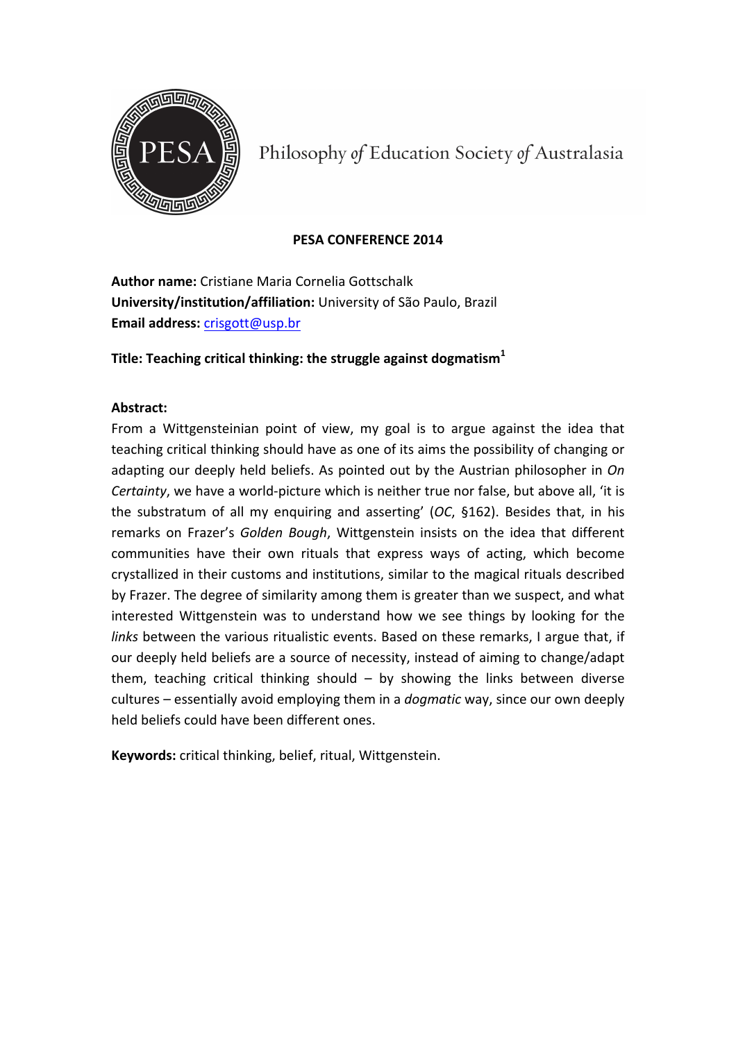

Philosophy of Education Society of Australasia

### **PESA CONFERENCE 2014**

**Author name:** Cristiane Maria Cornelia Gottschalk **University/institution/affiliation:** University of São Paulo, Brazil **Email address:** crisgott@usp.br

**Title:** Teaching critical thinking: the struggle against dogmatism<sup>1</sup>

# **Abstract:**

From a Wittgensteinian point of view, my goal is to argue against the idea that teaching critical thinking should have as one of its aims the possibility of changing or adapting our deeply held beliefs. As pointed out by the Austrian philosopher in *On Certainty*, we have a world-picture which is neither true nor false, but above all, 'it is the substratum of all my enquiring and asserting' (OC, §162). Besides that, in his remarks on Frazer's *Golden Bough*, Wittgenstein insists on the idea that different communities have their own rituals that express ways of acting, which become crystallized in their customs and institutions, similar to the magical rituals described by Frazer. The degree of similarity among them is greater than we suspect, and what interested Wittgenstein was to understand how we see things by looking for the *links* between the various ritualistic events. Based on these remarks, I argue that, if our deeply held beliefs are a source of necessity, instead of aiming to change/adapt them, teaching critical thinking should  $-$  by showing the links between diverse cultures – essentially avoid employing them in a *dogmatic* way, since our own deeply held beliefs could have been different ones.

**Keywords:** critical thinking, belief, ritual, Wittgenstein.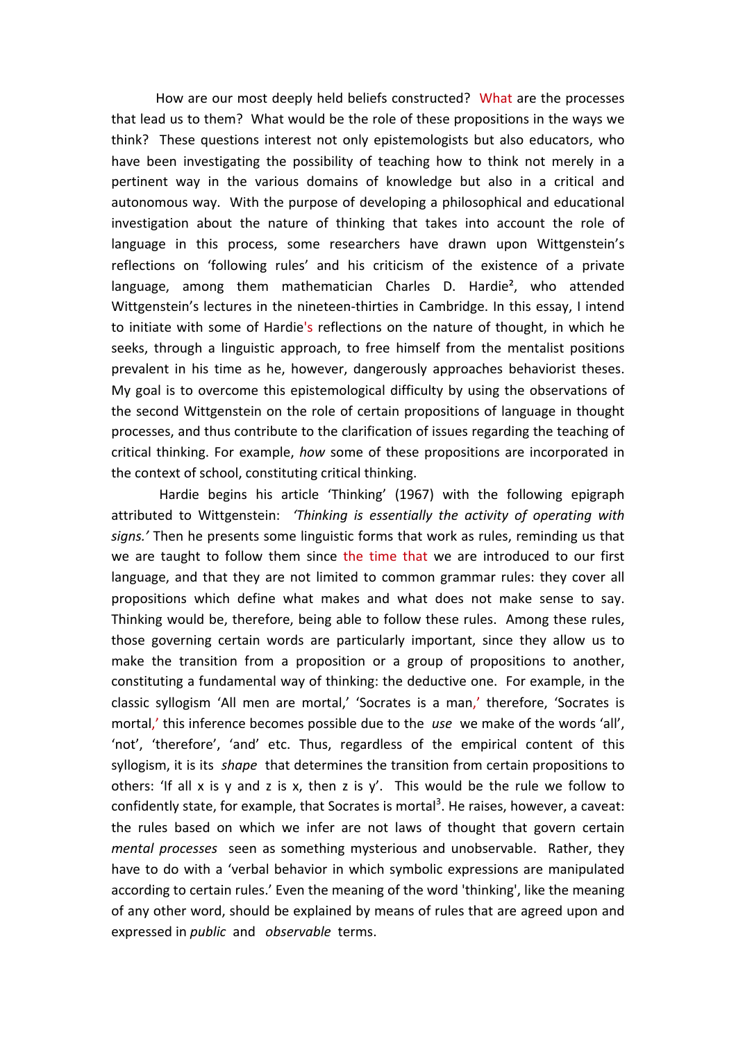How are our most deeply held beliefs constructed? What are the processes that lead us to them? What would be the role of these propositions in the ways we think? These questions interest not only epistemologists but also educators, who have been investigating the possibility of teaching how to think not merely in a pertinent way in the various domains of knowledge but also in a critical and autonomous way. With the purpose of developing a philosophical and educational investigation about the nature of thinking that takes into account the role of language in this process, some researchers have drawn upon Wittgenstein's reflections on 'following rules' and his criticism of the existence of a private language, among them mathematician Charles D. Hardie<sup>2</sup>, who attended Wittgenstein's lectures in the nineteen-thirties in Cambridge. In this essay, I intend to initiate with some of Hardie's reflections on the nature of thought, in which he seeks, through a linguistic approach, to free himself from the mentalist positions prevalent in his time as he, however, dangerously approaches behaviorist theses. My goal is to overcome this epistemological difficulty by using the observations of the second Wittgenstein on the role of certain propositions of language in thought processes, and thus contribute to the clarification of issues regarding the teaching of critical thinking. For example, *how* some of these propositions are incorporated in the context of school, constituting critical thinking.

Hardie begins his article 'Thinking' (1967) with the following epigraph attributed to Wittgenstein: 'Thinking is essentially the activity of operating with signs.' Then he presents some linguistic forms that work as rules, reminding us that we are taught to follow them since the time that we are introduced to our first language, and that they are not limited to common grammar rules: they cover all propositions which define what makes and what does not make sense to say. Thinking would be, therefore, being able to follow these rules. Among these rules, those governing certain words are particularly important, since they allow us to make the transition from a proposition or a group of propositions to another, constituting a fundamental way of thinking: the deductive one. For example, in the classic syllogism 'All men are mortal,' 'Socrates is a man,' therefore, 'Socrates is mortal,' this inference becomes possible due to the use we make of the words 'all', 'not', 'therefore', 'and' etc. Thus, regardless of the empirical content of this syllogism, it is its *shape* that determines the transition from certain propositions to others: 'If all x is y and z is x, then z is y'. This would be the rule we follow to confidently state, for example, that Socrates is mortal<sup>3</sup>. He raises, however, a caveat: the rules based on which we infer are not laws of thought that govern certain *mental processes* seen as something mysterious and unobservable. Rather, they have to do with a 'verbal behavior in which symbolic expressions are manipulated according to certain rules.' Even the meaning of the word 'thinking', like the meaning of any other word, should be explained by means of rules that are agreed upon and expressed in *public* and *observable* terms.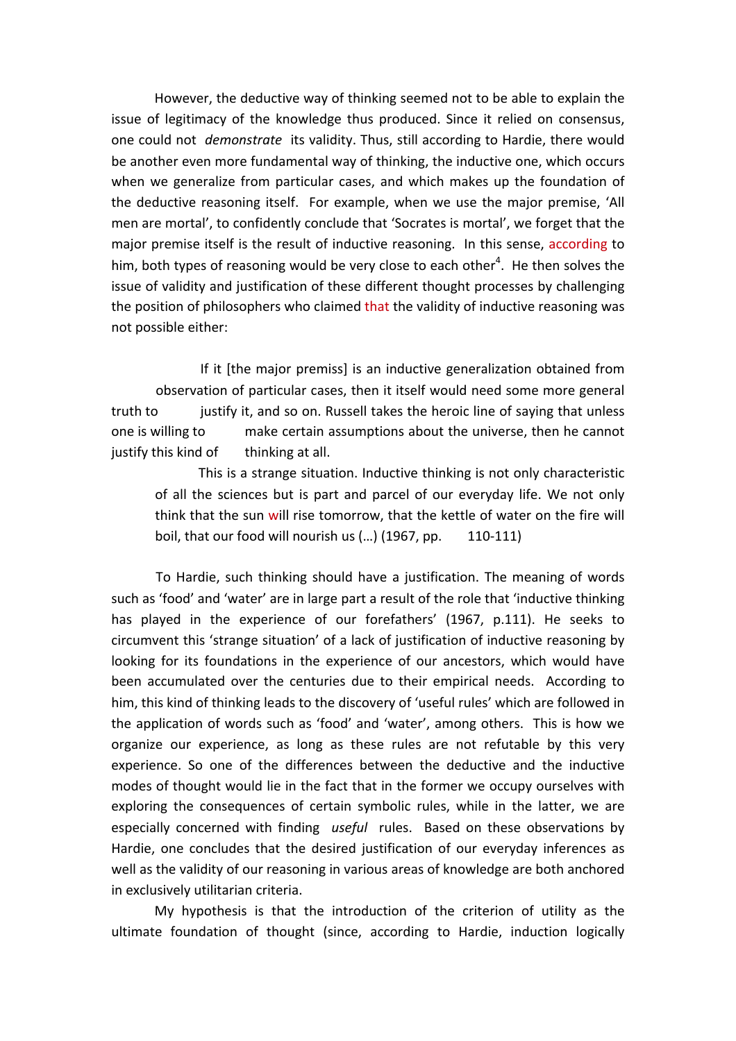However, the deductive way of thinking seemed not to be able to explain the issue of legitimacy of the knowledge thus produced. Since it relied on consensus, one could not *demonstrate* its validity. Thus, still according to Hardie, there would be another even more fundamental way of thinking, the inductive one, which occurs when we generalize from particular cases, and which makes up the foundation of the deductive reasoning itself. For example, when we use the major premise, 'All men are mortal', to confidently conclude that 'Socrates is mortal', we forget that the major premise itself is the result of inductive reasoning. In this sense, according to him, both types of reasoning would be very close to each other<sup>4</sup>. He then solves the issue of validity and justification of these different thought processes by challenging the position of philosophers who claimed that the validity of inductive reasoning was not possible either:

If it [the major premiss] is an inductive generalization obtained from observation of particular cases, then it itself would need some more general truth to iustify it, and so on. Russell takes the heroic line of saying that unless one is willing to make certain assumptions about the universe, then he cannot justify this kind of thinking at all.

This is a strange situation. Inductive thinking is not only characteristic of all the sciences but is part and parcel of our everyday life. We not only think that the sun will rise tomorrow, that the kettle of water on the fire will boil, that our food will nourish us  $(...)$  (1967, pp. 110-111)

To Hardie, such thinking should have a justification. The meaning of words such as 'food' and 'water' are in large part a result of the role that 'inductive thinking has played in the experience of our forefathers' (1967, p.111). He seeks to circumvent this 'strange situation' of a lack of justification of inductive reasoning by looking for its foundations in the experience of our ancestors, which would have been accumulated over the centuries due to their empirical needs. According to him, this kind of thinking leads to the discovery of 'useful rules' which are followed in the application of words such as 'food' and 'water', among others. This is how we organize our experience, as long as these rules are not refutable by this very experience. So one of the differences between the deductive and the inductive modes of thought would lie in the fact that in the former we occupy ourselves with exploring the consequences of certain symbolic rules, while in the latter, we are especially concerned with finding *useful* rules. Based on these observations by Hardie, one concludes that the desired justification of our everyday inferences as well as the validity of our reasoning in various areas of knowledge are both anchored in exclusively utilitarian criteria.

My hypothesis is that the introduction of the criterion of utility as the ultimate foundation of thought (since, according to Hardie, induction logically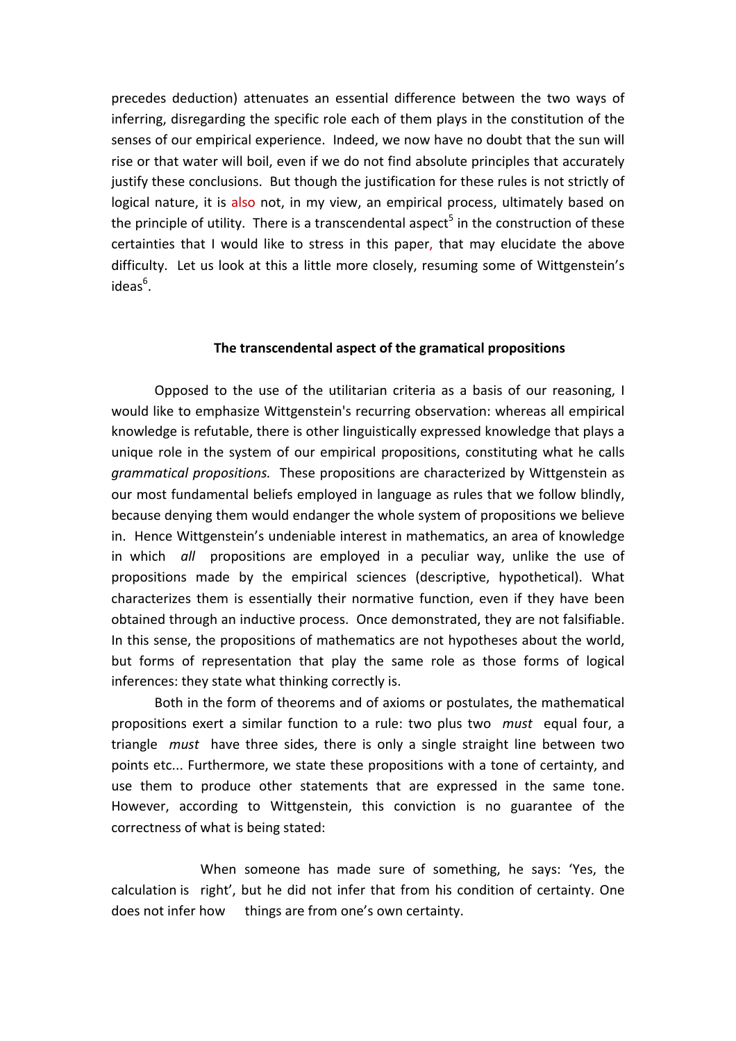precedes deduction) attenuates an essential difference between the two ways of inferring, disregarding the specific role each of them plays in the constitution of the senses of our empirical experience. Indeed, we now have no doubt that the sun will rise or that water will boil, even if we do not find absolute principles that accurately justify these conclusions. But though the justification for these rules is not strictly of logical nature, it is also not, in my view, an empirical process, ultimately based on the principle of utility. There is a transcendental aspect<sup>5</sup> in the construction of these certainties that I would like to stress in this paper, that may elucidate the above difficulty. Let us look at this a little more closely, resuming some of Wittgenstein's ideas<sup>6</sup>.

#### The transcendental aspect of the gramatical propositions

Opposed to the use of the utilitarian criteria as a basis of our reasoning, I would like to emphasize Wittgenstein's recurring observation: whereas all empirical knowledge is refutable, there is other linguistically expressed knowledge that plays a unique role in the system of our empirical propositions, constituting what he calls grammatical propositions. These propositions are characterized by Wittgenstein as our most fundamental beliefs employed in language as rules that we follow blindly. because denying them would endanger the whole system of propositions we believe in. Hence Wittgenstein's undeniable interest in mathematics, an area of knowledge in which *all* propositions are employed in a peculiar way, unlike the use of propositions made by the empirical sciences (descriptive, hypothetical). What characterizes them is essentially their normative function, even if they have been obtained through an inductive process. Once demonstrated, they are not falsifiable. In this sense, the propositions of mathematics are not hypotheses about the world, but forms of representation that play the same role as those forms of logical inferences: they state what thinking correctly is.

Both in the form of theorems and of axioms or postulates, the mathematical propositions exert a similar function to a rule: two plus two *must* equal four, a triangle *must* have three sides, there is only a single straight line between two points etc... Furthermore, we state these propositions with a tone of certainty, and use them to produce other statements that are expressed in the same tone. However, according to Wittgenstein, this conviction is no guarantee of the correctness of what is being stated:

When someone has made sure of something, he says: 'Yes, the calculation is right', but he did not infer that from his condition of certainty. One does not infer how things are from one's own certainty.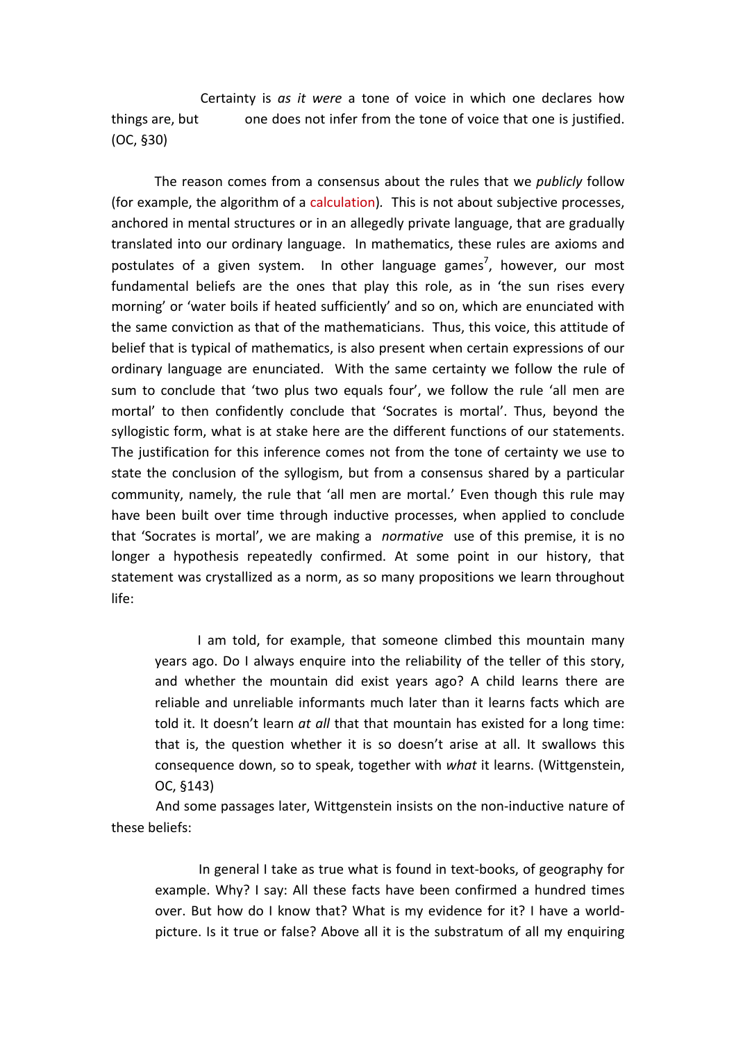Certainty is *as* it were a tone of voice in which one declares how things are, but one does not infer from the tone of voice that one is justified.  $(OC, §30)$ 

The reason comes from a consensus about the rules that we *publicly* follow (for example, the algorithm of a calculation). This is not about subjective processes, anchored in mental structures or in an allegedly private language, that are gradually translated into our ordinary language. In mathematics, these rules are axioms and postulates of a given system. In other language games<sup>7</sup>, however, our most fundamental beliefs are the ones that play this role, as in 'the sun rises every morning' or 'water boils if heated sufficiently' and so on, which are enunciated with the same conviction as that of the mathematicians. Thus, this voice, this attitude of belief that is typical of mathematics, is also present when certain expressions of our ordinary language are enunciated. With the same certainty we follow the rule of sum to conclude that 'two plus two equals four', we follow the rule 'all men are mortal' to then confidently conclude that 'Socrates is mortal'. Thus, beyond the syllogistic form, what is at stake here are the different functions of our statements. The justification for this inference comes not from the tone of certainty we use to state the conclusion of the syllogism, but from a consensus shared by a particular community, namely, the rule that 'all men are mortal.' Even though this rule may have been built over time through inductive processes, when applied to conclude that 'Socrates is mortal', we are making a *normative* use of this premise, it is no longer a hypothesis repeatedly confirmed. At some point in our history, that statement was crystallized as a norm, as so many propositions we learn throughout life:

I am told, for example, that someone climbed this mountain many years ago. Do I always enquire into the reliability of the teller of this story, and whether the mountain did exist years ago? A child learns there are reliable and unreliable informants much later than it learns facts which are told it. It doesn't learn *at all* that that mountain has existed for a long time: that is, the question whether it is so doesn't arise at all. It swallows this consequence down, so to speak, together with *what* it learns. (Wittgenstein, OC, §143)

And some passages later, Wittgenstein insists on the non-inductive nature of these beliefs:

In general I take as true what is found in text-books, of geography for example. Why? I say: All these facts have been confirmed a hundred times over. But how do I know that? What is my evidence for it? I have a worldpicture. Is it true or false? Above all it is the substratum of all my enquiring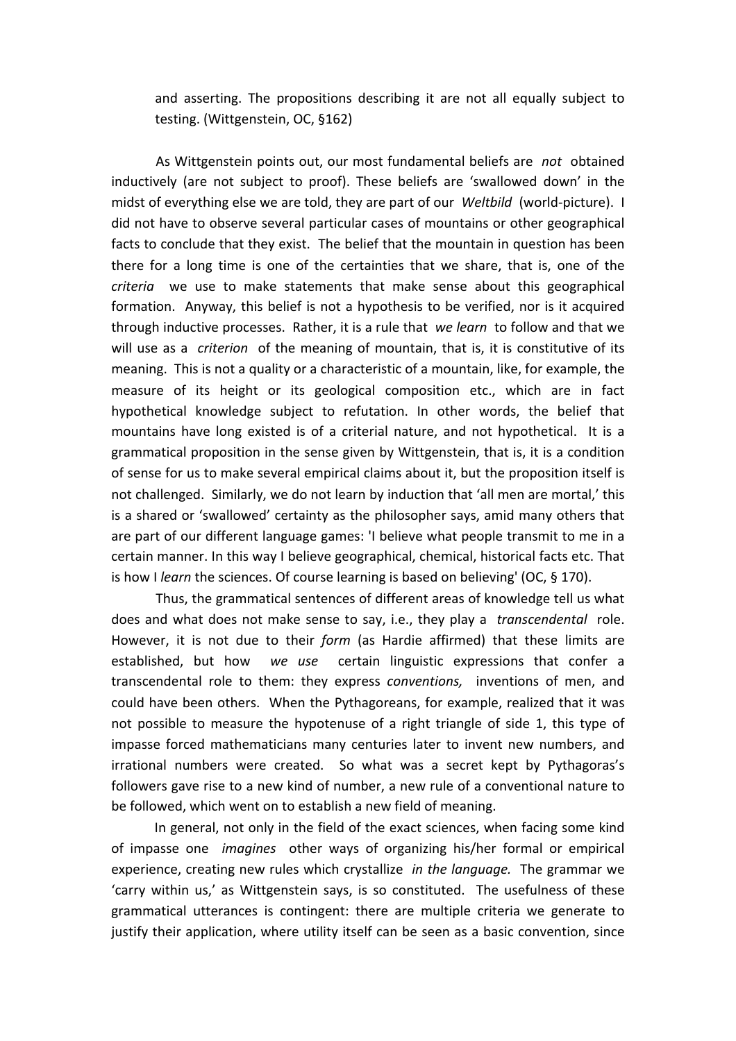and asserting. The propositions describing it are not all equally subject to testing. (Wittgenstein, OC, §162)

As Wittgenstein points out, our most fundamental beliefs are *not* obtained inductively (are not subject to proof). These beliefs are 'swallowed down' in the midst of everything else we are told, they are part of our Weltbild (world-picture). I did not have to observe several particular cases of mountains or other geographical facts to conclude that they exist. The belief that the mountain in question has been there for a long time is one of the certainties that we share, that is, one of the *criteria* we use to make statements that make sense about this geographical formation. Anyway, this belief is not a hypothesis to be verified, nor is it acquired through inductive processes. Rather, it is a rule that *we learn* to follow and that we will use as a *criterion* of the meaning of mountain, that is, it is constitutive of its meaning. This is not a quality or a characteristic of a mountain, like, for example, the measure of its height or its geological composition etc., which are in fact hypothetical knowledge subject to refutation. In other words, the belief that mountains have long existed is of a criterial nature, and not hypothetical. It is a grammatical proposition in the sense given by Wittgenstein, that is, it is a condition of sense for us to make several empirical claims about it, but the proposition itself is not challenged. Similarly, we do not learn by induction that 'all men are mortal,' this is a shared or 'swallowed' certainty as the philosopher says, amid many others that are part of our different language games: 'I believe what people transmit to me in a certain manner. In this way I believe geographical, chemical, historical facts etc. That is how I *learn* the sciences. Of course learning is based on believing' (OC, § 170).

Thus, the grammatical sentences of different areas of knowledge tell us what does and what does not make sense to say, i.e., they play a *transcendental* role. However, it is not due to their *form* (as Hardie affirmed) that these limits are established, but how *we use* certain linguistic expressions that confer a transcendental role to them: they express *conventions*, inventions of men, and could have been others. When the Pythagoreans, for example, realized that it was not possible to measure the hypotenuse of a right triangle of side 1, this type of impasse forced mathematicians many centuries later to invent new numbers, and irrational numbers were created. So what was a secret kept by Pythagoras's followers gave rise to a new kind of number, a new rule of a conventional nature to be followed, which went on to establish a new field of meaning.

In general, not only in the field of the exact sciences, when facing some kind of impasse one *imagines* other ways of organizing his/her formal or empirical experience, creating new rules which crystallize *in the language*. The grammar we 'carry within us,' as Wittgenstein says, is so constituted. The usefulness of these grammatical utterances is contingent: there are multiple criteria we generate to justify their application, where utility itself can be seen as a basic convention, since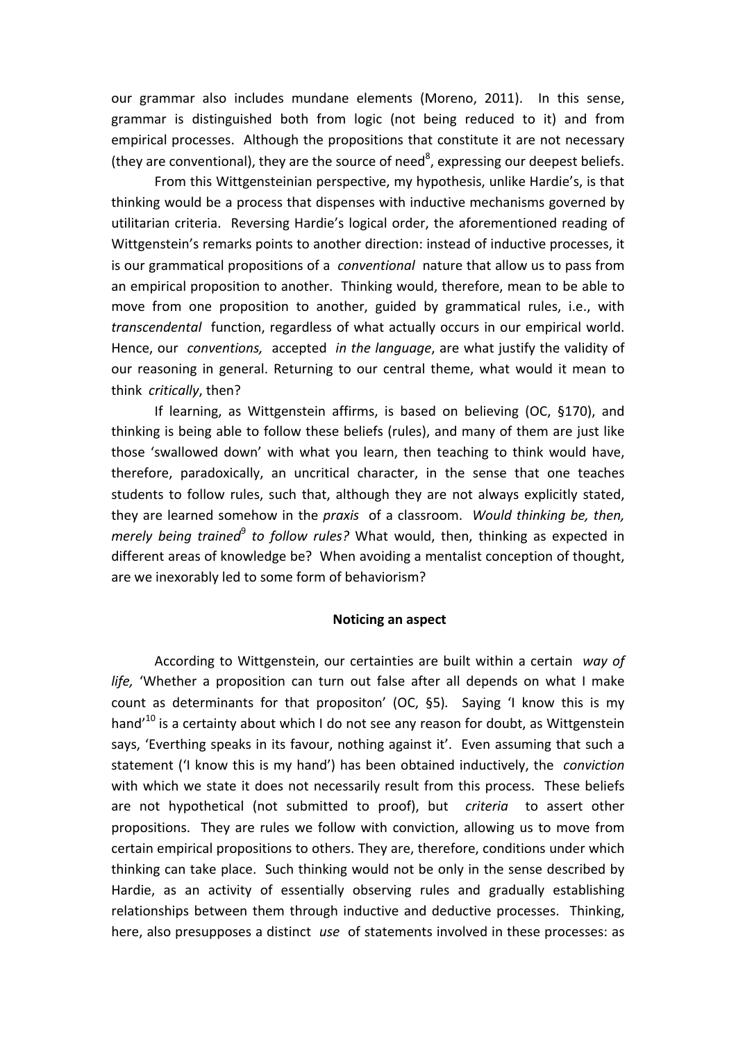our grammar also includes mundane elements (Moreno, 2011). In this sense, grammar is distinguished both from logic (not being reduced to it) and from empirical processes. Although the propositions that constitute it are not necessary (they are conventional), they are the source of need<sup>8</sup>, expressing our deepest beliefs.

From this Wittgensteinian perspective, my hypothesis, unlike Hardie's, is that thinking would be a process that dispenses with inductive mechanisms governed by utilitarian criteria. Reversing Hardie's logical order, the aforementioned reading of Wittgenstein's remarks points to another direction: instead of inductive processes, it is our grammatical propositions of a *conventional* nature that allow us to pass from an empirical proposition to another. Thinking would, therefore, mean to be able to move from one proposition to another, guided by grammatical rules, i.e., with *transcendental* function, regardless of what actually occurs in our empirical world. Hence, our *conventions*, accepted *in the language*, are what justify the validity of our reasoning in general. Returning to our central theme, what would it mean to think *critically*, then?

If learning, as Wittgenstein affirms, is based on believing (OC,  $§170$ ), and thinking is being able to follow these beliefs (rules), and many of them are just like those 'swallowed down' with what you learn, then teaching to think would have, therefore, paradoxically, an uncritical character, in the sense that one teaches students to follow rules, such that, although they are not always explicitly stated, they are learned somehow in the *praxis* of a classroom. Would thinking be, then, *merely being trained*<sup>9</sup> to follow rules? What would, then, thinking as expected in different areas of knowledge be? When avoiding a mentalist conception of thought, are we inexorably led to some form of behaviorism?

#### **Noticing an aspect**

According to Wittgenstein, our certainties are built within a certain way of *life*, 'Whether a proposition can turn out false after all depends on what I make count as determinants for that propositon' (OC, §5). Saying 'I know this is my hand'<sup>10</sup> is a certainty about which I do not see any reason for doubt, as Wittgenstein says, 'Everthing speaks in its favour, nothing against it'. Even assuming that such a statement ('I know this is my hand') has been obtained inductively, the *conviction* with which we state it does not necessarily result from this process. These beliefs are not hypothetical (not submitted to proof), but *criteria* to assert other propositions. They are rules we follow with conviction, allowing us to move from certain empirical propositions to others. They are, therefore, conditions under which thinking can take place. Such thinking would not be only in the sense described by Hardie, as an activity of essentially observing rules and gradually establishing relationships between them through inductive and deductive processes. Thinking, here, also presupposes a distinct use of statements involved in these processes: as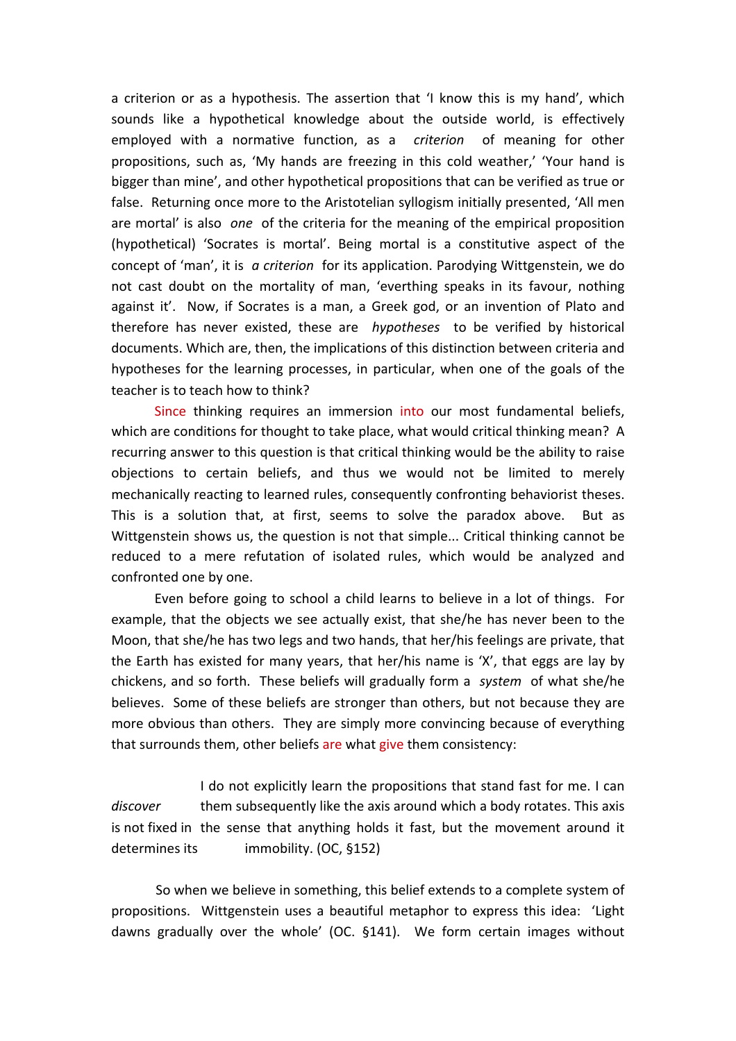a criterion or as a hypothesis. The assertion that 'I know this is my hand', which sounds like a hypothetical knowledge about the outside world, is effectively employed with a normative function, as a *criterion* of meaning for other propositions, such as, 'My hands are freezing in this cold weather,' 'Your hand is bigger than mine', and other hypothetical propositions that can be verified as true or false. Returning once more to the Aristotelian syllogism initially presented, 'All men are mortal' is also one of the criteria for the meaning of the empirical proposition (hypothetical) 'Socrates is mortal'. Being mortal is a constitutive aspect of the concept of 'man', it is *a criterion* for its application. Parodying Wittgenstein, we do not cast doubt on the mortality of man, 'everthing speaks in its favour, nothing against it'. Now, if Socrates is a man, a Greek god, or an invention of Plato and therefore has never existed, these are *hypotheses* to be verified by historical documents. Which are, then, the implications of this distinction between criteria and hypotheses for the learning processes, in particular, when one of the goals of the teacher is to teach how to think?

Since thinking requires an immersion into our most fundamental beliefs, which are conditions for thought to take place, what would critical thinking mean? A recurring answer to this question is that critical thinking would be the ability to raise objections to certain beliefs, and thus we would not be limited to merely mechanically reacting to learned rules, consequently confronting behaviorist theses. This is a solution that, at first, seems to solve the paradox above. But as Wittgenstein shows us, the question is not that simple... Critical thinking cannot be reduced to a mere refutation of isolated rules, which would be analyzed and confronted one by one.

Even before going to school a child learns to believe in a lot of things. For example, that the objects we see actually exist, that she/he has never been to the Moon, that she/he has two legs and two hands, that her/his feelings are private, that the Earth has existed for many years, that her/his name is 'X', that eggs are lay by chickens, and so forth. These beliefs will gradually form a *system* of what she/he believes. Some of these beliefs are stronger than others, but not because they are more obvious than others. They are simply more convincing because of everything that surrounds them, other beliefs are what give them consistency:

I do not explicitly learn the propositions that stand fast for me. I can *discover* them subsequently like the axis around which a body rotates. This axis is not fixed in the sense that anything holds it fast, but the movement around it determines its immobility. (OC, §152)

So when we believe in something, this belief extends to a complete system of propositions. Wittgenstein uses a beautiful metaphor to express this idea: 'Light dawns gradually over the whole' (OC. §141). We form certain images without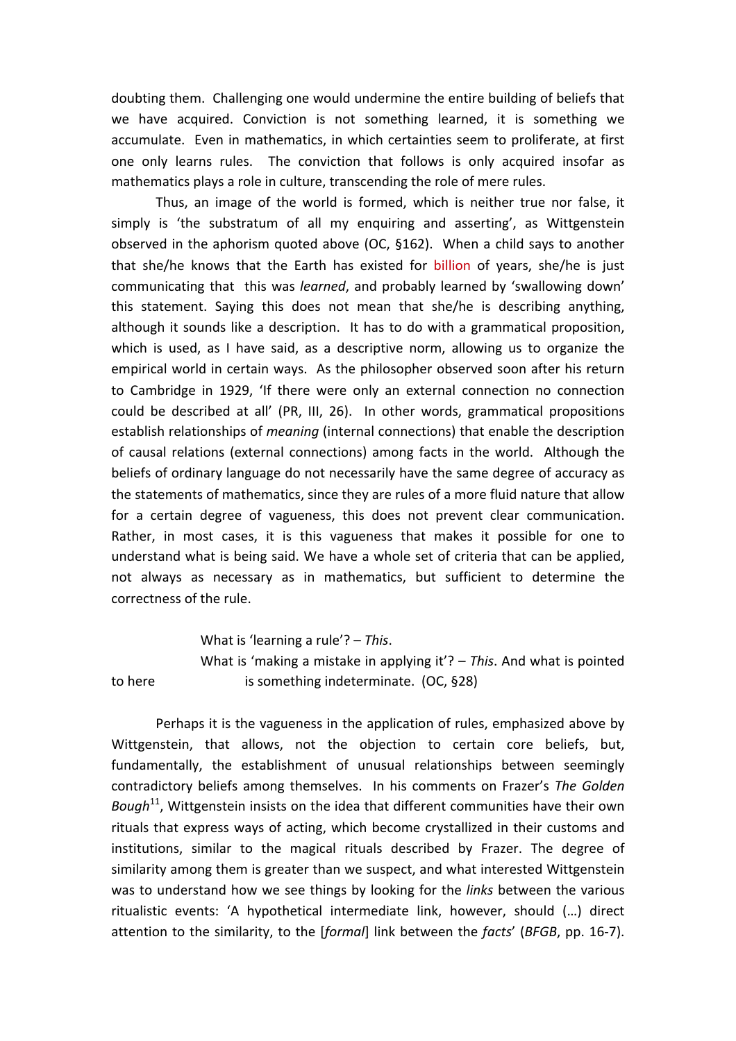doubting them. Challenging one would undermine the entire building of beliefs that we have acquired. Conviction is not something learned, it is something we accumulate. Even in mathematics, in which certainties seem to proliferate, at first one only learns rules. The conviction that follows is only acquired insofar as mathematics plays a role in culture, transcending the role of mere rules.

Thus, an image of the world is formed, which is neither true nor false, it simply is 'the substratum of all my enquiring and asserting', as Wittgenstein observed in the aphorism quoted above (OC,  $§162$ ). When a child says to another that she/he knows that the Earth has existed for billion of years, she/he is just communicating that this was *learned*, and probably learned by 'swallowing down' this statement. Saying this does not mean that she/he is describing anything, although it sounds like a description. It has to do with a grammatical proposition, which is used, as I have said, as a descriptive norm, allowing us to organize the empirical world in certain ways. As the philosopher observed soon after his return to Cambridge in 1929, 'If there were only an external connection no connection could be described at all' (PR, III, 26). In other words, grammatical propositions establish relationships of *meaning* (internal connections) that enable the description of causal relations (external connections) among facts in the world. Although the beliefs of ordinary language do not necessarily have the same degree of accuracy as the statements of mathematics, since they are rules of a more fluid nature that allow for a certain degree of vagueness, this does not prevent clear communication. Rather, in most cases, it is this vagueness that makes it possible for one to understand what is being said. We have a whole set of criteria that can be applied, not always as necessary as in mathematics, but sufficient to determine the correctness of the rule.

What is 'learning a rule'? – This.

What is 'making a mistake in applying it'? – This. And what is pointed to here is something indeterminate. (OC, §28)

Perhaps it is the vagueness in the application of rules, emphasized above by Wittgenstein, that allows, not the objection to certain core beliefs, but, fundamentally, the establishment of unusual relationships between seemingly contradictory beliefs among themselves. In his comments on Frazer's The Golden *Bough*<sup>11</sup>, Wittgenstein insists on the idea that different communities have their own rituals that express ways of acting, which become crystallized in their customs and institutions, similar to the magical rituals described by Frazer. The degree of similarity among them is greater than we suspect, and what interested Wittgenstein was to understand how we see things by looking for the *links* between the various ritualistic events: 'A hypothetical intermediate link, however, should (...) direct attention to the similarity, to the [*formal*] link between the *facts'* (*BFGB*, pp. 16-7).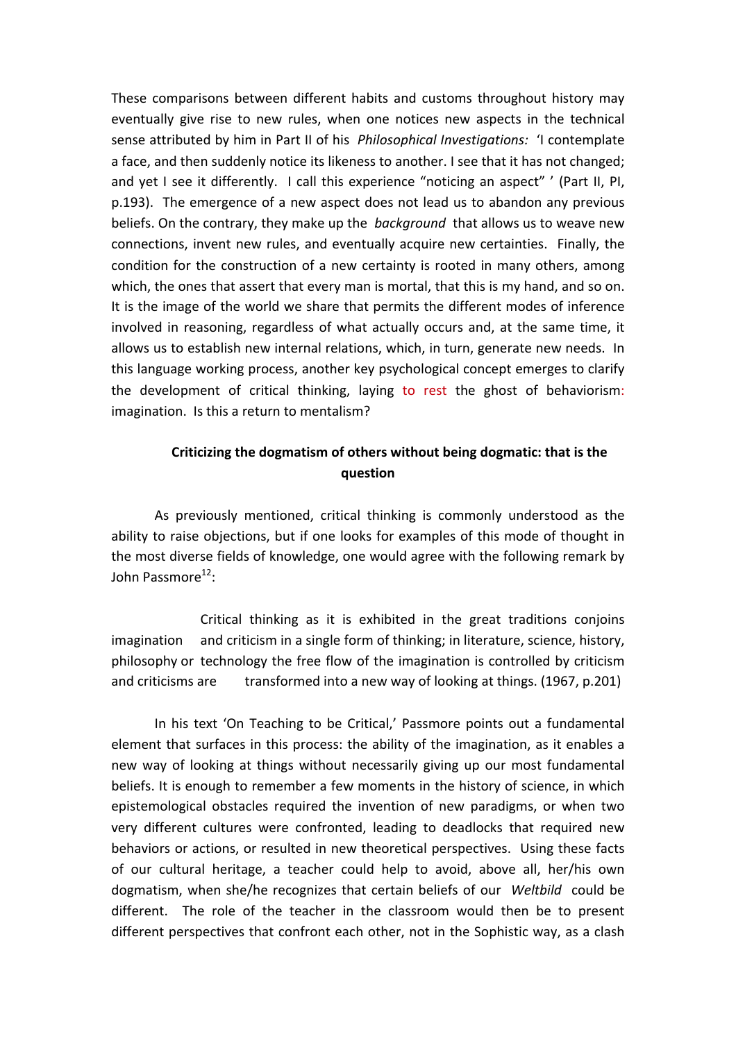These comparisons between different habits and customs throughout history may eventually give rise to new rules, when one notices new aspects in the technical sense attributed by him in Part II of his *Philosophical Investigations:* 'I contemplate a face, and then suddenly notice its likeness to another. I see that it has not changed; and yet I see it differently. I call this experience "noticing an aspect" ' (Part II, PI, p.193). The emergence of a new aspect does not lead us to abandon any previous beliefs. On the contrary, they make up the *background* that allows us to weave new connections, invent new rules, and eventually acquire new certainties. Finally, the condition for the construction of a new certainty is rooted in many others, among which, the ones that assert that every man is mortal, that this is my hand, and so on. It is the image of the world we share that permits the different modes of inference involved in reasoning, regardless of what actually occurs and, at the same time, it allows us to establish new internal relations, which, in turn, generate new needs. In this language working process, another key psychological concept emerges to clarify the development of critical thinking, laying to rest the ghost of behaviorism: imagination. Is this a return to mentalism?

# Criticizing the dogmatism of others without being dogmatic: that is the **question**

As previously mentioned, critical thinking is commonly understood as the ability to raise objections, but if one looks for examples of this mode of thought in the most diverse fields of knowledge, one would agree with the following remark by John Passmore<sup>12</sup>:

Critical thinking as it is exhibited in the great traditions conjoins imagination and criticism in a single form of thinking; in literature, science, history, philosophy or technology the free flow of the imagination is controlled by criticism and criticisms are transformed into a new way of looking at things.  $(1967, p.201)$ 

In his text 'On Teaching to be Critical,' Passmore points out a fundamental element that surfaces in this process: the ability of the imagination, as it enables a new way of looking at things without necessarily giving up our most fundamental beliefs. It is enough to remember a few moments in the history of science, in which epistemological obstacles required the invention of new paradigms, or when two very different cultures were confronted, leading to deadlocks that required new behaviors or actions, or resulted in new theoretical perspectives. Using these facts of our cultural heritage, a teacher could help to avoid, above all, her/his own dogmatism, when she/he recognizes that certain beliefs of our *Weltbild* could be different. The role of the teacher in the classroom would then be to present different perspectives that confront each other, not in the Sophistic way, as a clash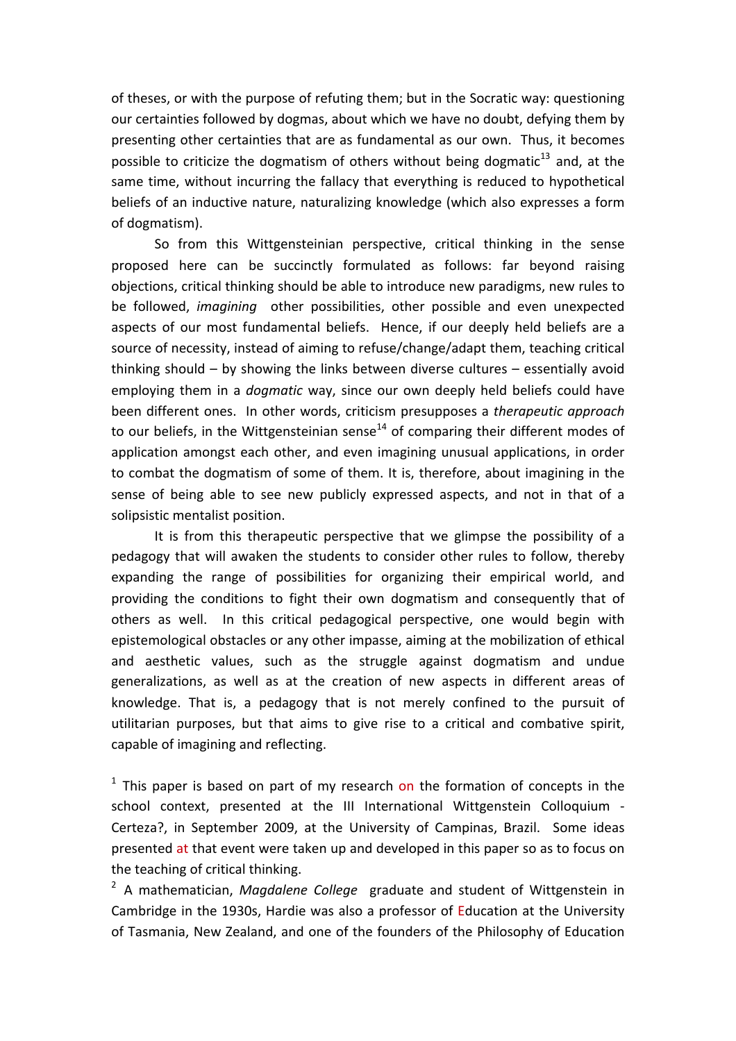of theses, or with the purpose of refuting them; but in the Socratic way: questioning our certainties followed by dogmas, about which we have no doubt, defying them by presenting other certainties that are as fundamental as our own. Thus, it becomes possible to criticize the dogmatism of others without being dogmatic<sup>13</sup> and, at the same time, without incurring the fallacy that everything is reduced to hypothetical beliefs of an inductive nature, naturalizing knowledge (which also expresses a form of dogmatism).

So from this Wittgensteinian perspective, critical thinking in the sense proposed here can be succinctly formulated as follows: far beyond raising objections, critical thinking should be able to introduce new paradigms, new rules to be followed, *imagining* other possibilities, other possible and even unexpected aspects of our most fundamental beliefs. Hence, if our deeply held beliefs are a source of necessity, instead of aiming to refuse/change/adapt them, teaching critical thinking should  $-$  by showing the links between diverse cultures  $-$  essentially avoid employing them in a *dogmatic* way, since our own deeply held beliefs could have been different ones. In other words, criticism presupposes a therapeutic approach to our beliefs, in the Wittgensteinian sense<sup>14</sup> of comparing their different modes of application amongst each other, and even imagining unusual applications, in order to combat the dogmatism of some of them. It is, therefore, about imagining in the sense of being able to see new publicly expressed aspects, and not in that of a solipsistic mentalist position.

It is from this therapeutic perspective that we glimpse the possibility of a pedagogy that will awaken the students to consider other rules to follow, thereby expanding the range of possibilities for organizing their empirical world, and providing the conditions to fight their own dogmatism and consequently that of others as well. In this critical pedagogical perspective, one would begin with epistemological obstacles or any other impasse, aiming at the mobilization of ethical and aesthetic values, such as the struggle against dogmatism and undue generalizations, as well as at the creation of new aspects in different areas of knowledge. That is, a pedagogy that is not merely confined to the pursuit of utilitarian purposes, but that aims to give rise to a critical and combative spirit, capable of imagining and reflecting.

 $1$  This paper is based on part of my research on the formation of concepts in the school context, presented at the III International Wittgenstein Colloquium -Certeza?, in September 2009, at the University of Campinas, Brazil. Some ideas presented at that event were taken up and developed in this paper so as to focus on the teaching of critical thinking.

<sup>2</sup> A mathematician, *Magdalene College* graduate and student of Wittgenstein in Cambridge in the 1930s, Hardie was also a professor of Education at the University of Tasmania, New Zealand, and one of the founders of the Philosophy of Education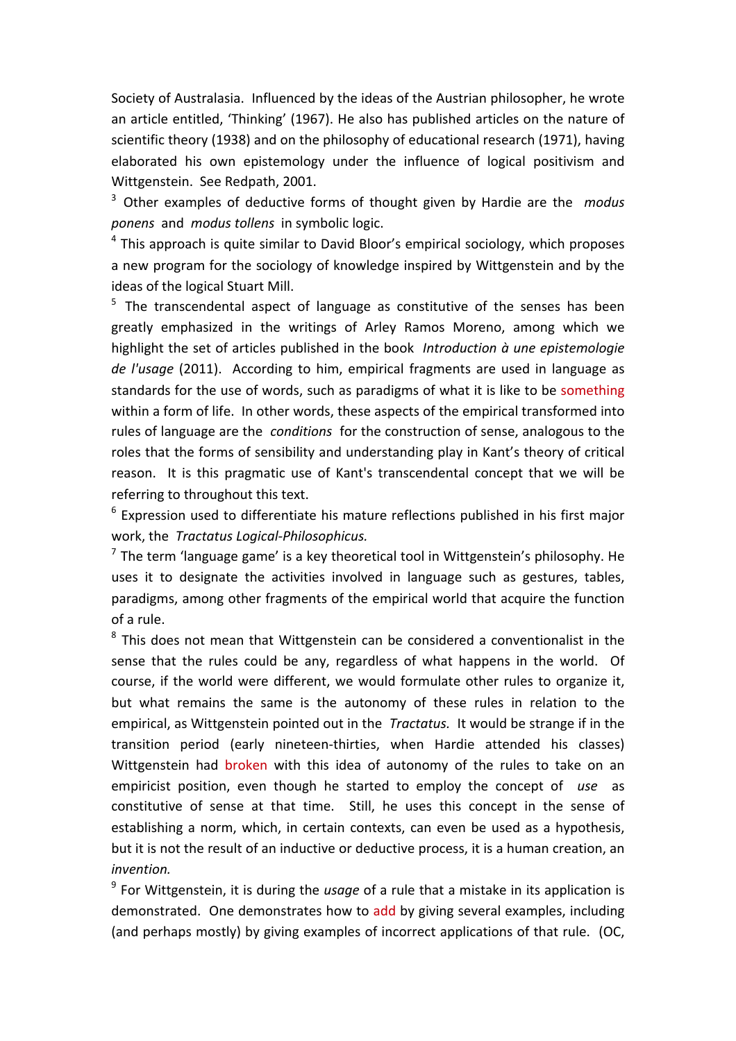Society of Australasia. Influenced by the ideas of the Austrian philosopher, he wrote an article entitled, 'Thinking' (1967). He also has published articles on the nature of scientific theory (1938) and on the philosophy of educational research (1971), having elaborated his own epistemology under the influence of logical positivism and Wittgenstein. See Redpath, 2001.

<sup>3</sup> Other examples of deductive forms of thought given by Hardie are the *modus ponens* and *modus tollens* in symbolic logic.

 $4$  This approach is quite similar to David Bloor's empirical sociology, which proposes a new program for the sociology of knowledge inspired by Wittgenstein and by the ideas of the logical Stuart Mill.

 $5$  The transcendental aspect of language as constitutive of the senses has been greatly emphasized in the writings of Arley Ramos Moreno, among which we highlight the set of articles published in the book *Introduction à une epistemologie de l'usage* (2011). According to him, empirical fragments are used in language as standards for the use of words, such as paradigms of what it is like to be something within a form of life. In other words, these aspects of the empirical transformed into rules of language are the *conditions* for the construction of sense, analogous to the roles that the forms of sensibility and understanding play in Kant's theory of critical reason. It is this pragmatic use of Kant's transcendental concept that we will be referring to throughout this text.

 $6$  Expression used to differentiate his mature reflections published in his first major work, the *Tractatus Logical-Philosophicus.* 

 $<sup>7</sup>$  The term 'language game' is a key theoretical tool in Wittgenstein's philosophy. He</sup> uses it to designate the activities involved in language such as gestures, tables, paradigms, among other fragments of the empirical world that acquire the function of a rule.

 $8$  This does not mean that Wittgenstein can be considered a conventionalist in the sense that the rules could be any, regardless of what happens in the world. Of course, if the world were different, we would formulate other rules to organize it, but what remains the same is the autonomy of these rules in relation to the empirical, as Wittgenstein pointed out in the *Tractatus*. It would be strange if in the transition period (early nineteen-thirties, when Hardie attended his classes) Wittgenstein had broken with this idea of autonomy of the rules to take on an empiricist position, even though he started to employ the concept of *use* as constitutive of sense at that time. Still, he uses this concept in the sense of establishing a norm, which, in certain contexts, can even be used as a hypothesis, but it is not the result of an inductive or deductive process, it is a human creation, an *invention.*

<sup>9</sup> For Wittgenstein, it is during the *usage* of a rule that a mistake in its application is demonstrated. One demonstrates how to add by giving several examples, including (and perhaps mostly) by giving examples of incorrect applications of that rule. (OC,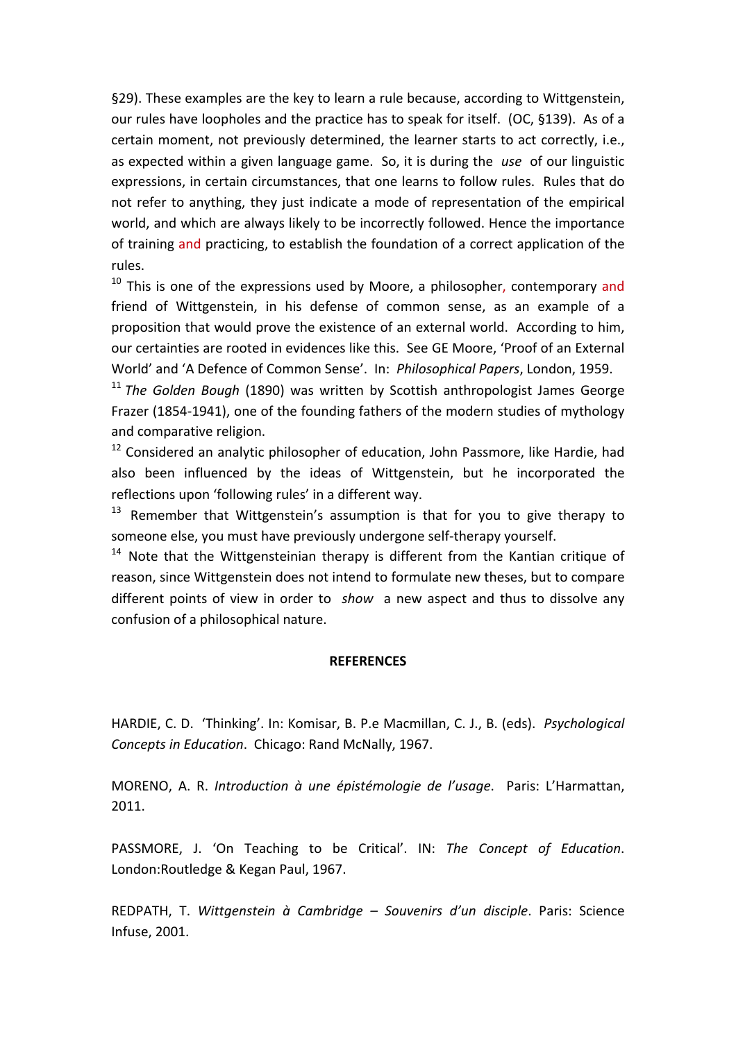§29). These examples are the key to learn a rule because, according to Wittgenstein, our rules have loopholes and the practice has to speak for itself. (OC, §139). As of a certain moment, not previously determined, the learner starts to act correctly, i.e., as expected within a given language game. So, it is during the *use* of our linguistic expressions, in certain circumstances, that one learns to follow rules. Rules that do not refer to anything, they just indicate a mode of representation of the empirical world, and which are always likely to be incorrectly followed. Hence the importance of training and practicing, to establish the foundation of a correct application of the rules.

 $10$  This is one of the expressions used by Moore, a philosopher, contemporary and friend of Wittgenstein, in his defense of common sense, as an example of a proposition that would prove the existence of an external world. According to him, our certainties are rooted in evidences like this. See GE Moore, 'Proof of an External World' and 'A Defence of Common Sense'. In: Philosophical Papers, London, 1959.

<sup>11</sup> The Golden Bough (1890) was written by Scottish anthropologist James George Frazer (1854-1941), one of the founding fathers of the modern studies of mythology and comparative religion.

 $12$  Considered an analytic philosopher of education, John Passmore, like Hardie, had also been influenced by the ideas of Wittgenstein, but he incorporated the reflections upon 'following rules' in a different way.

 $13$  Remember that Wittgenstein's assumption is that for you to give therapy to someone else, you must have previously undergone self-therapy yourself.

 $14$  Note that the Wittgensteinian therapy is different from the Kantian critique of reason, since Wittgenstein does not intend to formulate new theses, but to compare different points of view in order to show a new aspect and thus to dissolve any confusion of a philosophical nature.

#### **REFERENCES**

HARDIE, C. D. 'Thinking'. In: Komisar, B. P.e Macmillan, C. J., B. (eds). *Psychological Concepts in Education.* Chicago: Rand McNally, 1967.

MORENO, A. R. *Introduction à une épistémologie de l'usage*. Paris: L'Harmattan, 2011.

PASSMORE, J. 'On Teaching to be Critical'. IN: The Concept of Education. London: Routledge & Kegan Paul, 1967.

REDPATH, T. Wittgenstein à Cambridge – Souvenirs d'un disciple. Paris: Science Infuse, 2001.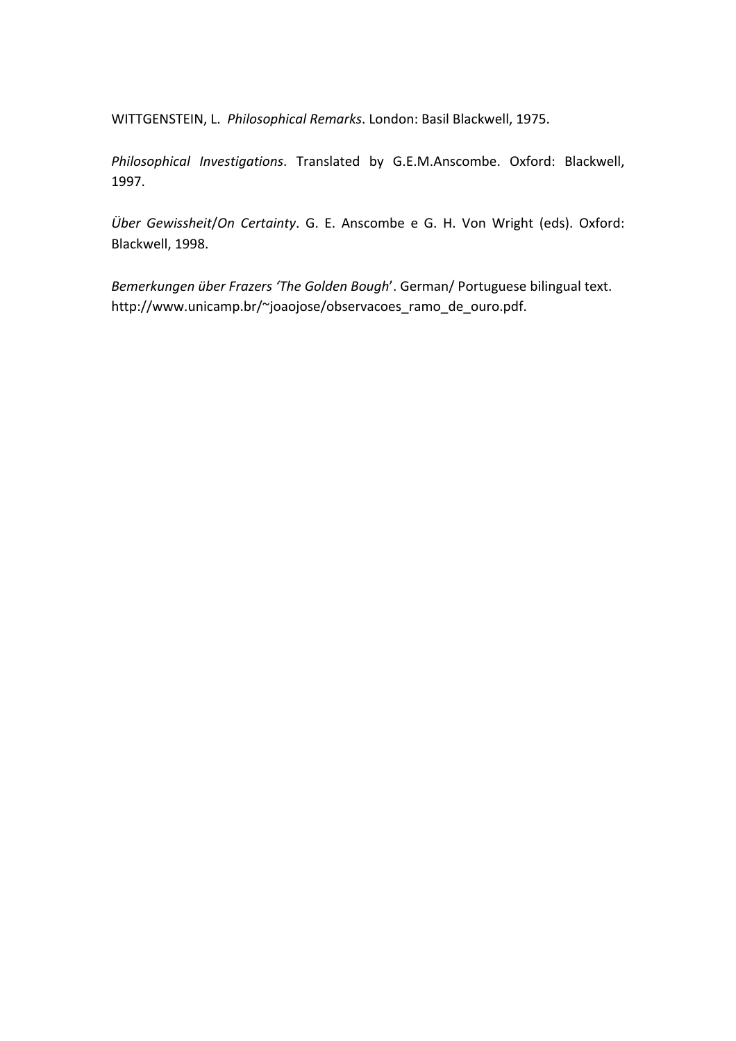WITTGENSTEIN, L. Philosophical Remarks. London: Basil Blackwell, 1975.

*Philosophical Investigations*. Translated by G.E.M.Anscombe. Oxford: Blackwell, 1997.

*Über Gewissheit/On Certainty*. G. E. Anscombe e G. H. Von Wright (eds). Oxford: Blackwell, 1998.

*Bemerkungen über Frazers 'The Golden Bough'*. German/ Portuguese bilingual text. http://www.unicamp.br/~joaojose/observacoes\_ramo\_de\_ouro.pdf.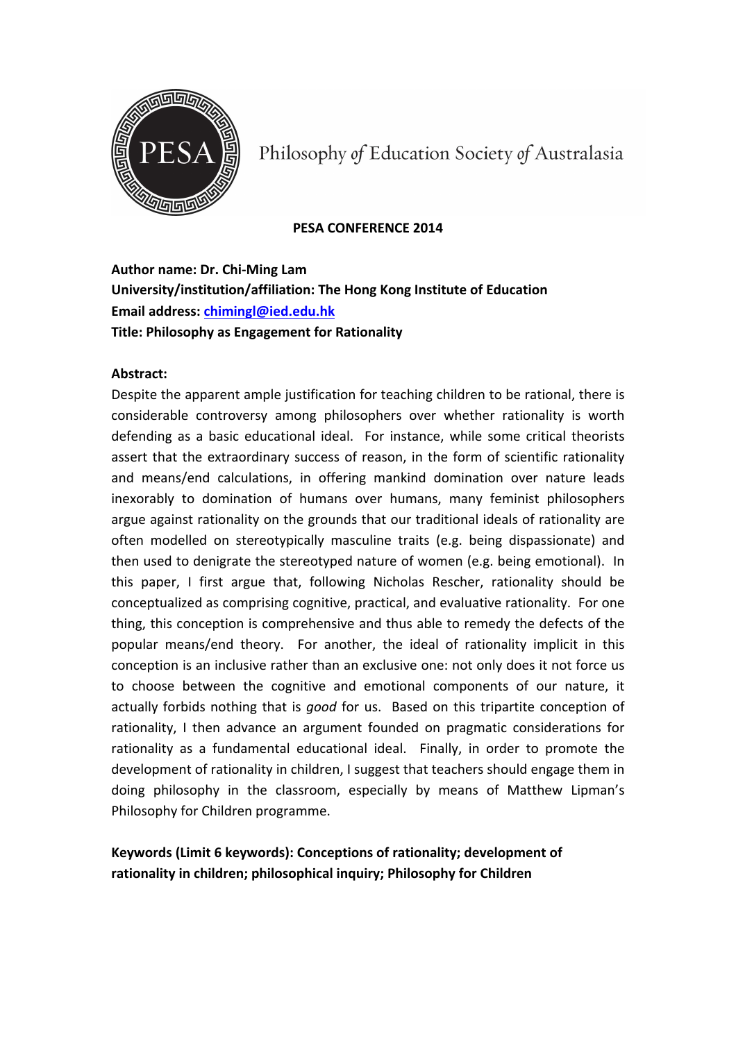

Philosophy of Education Society of Australasia

#### **PESA CONFERENCE 2014**

**Author name: Dr. Chi-Ming Lam University/institution/affiliation: The Hong Kong Institute of Education Email address: chimingl@ied.edu.hk Title: Philosophy as Engagement for Rationality**

#### **Abstract:**

Despite the apparent ample justification for teaching children to be rational, there is considerable controversy among philosophers over whether rationality is worth defending as a basic educational ideal. For instance, while some critical theorists assert that the extraordinary success of reason, in the form of scientific rationality and means/end calculations, in offering mankind domination over nature leads inexorably to domination of humans over humans, many feminist philosophers argue against rationality on the grounds that our traditional ideals of rationality are often modelled on stereotypically masculine traits (e.g. being dispassionate) and then used to denigrate the stereotyped nature of women (e.g. being emotional). In this paper, I first argue that, following Nicholas Rescher, rationality should be conceptualized as comprising cognitive, practical, and evaluative rationality. For one thing, this conception is comprehensive and thus able to remedy the defects of the popular means/end theory. For another, the ideal of rationality implicit in this conception is an inclusive rather than an exclusive one: not only does it not force us to choose between the cognitive and emotional components of our nature, it actually forbids nothing that is good for us. Based on this tripartite conception of rationality, I then advance an argument founded on pragmatic considerations for rationality as a fundamental educational ideal. Finally, in order to promote the development of rationality in children, I suggest that teachers should engage them in doing philosophy in the classroom, especially by means of Matthew Lipman's Philosophy for Children programme.

# **Keywords (Limit 6 keywords): Conceptions of rationality; development of** rationality in children; philosophical inquiry; Philosophy for Children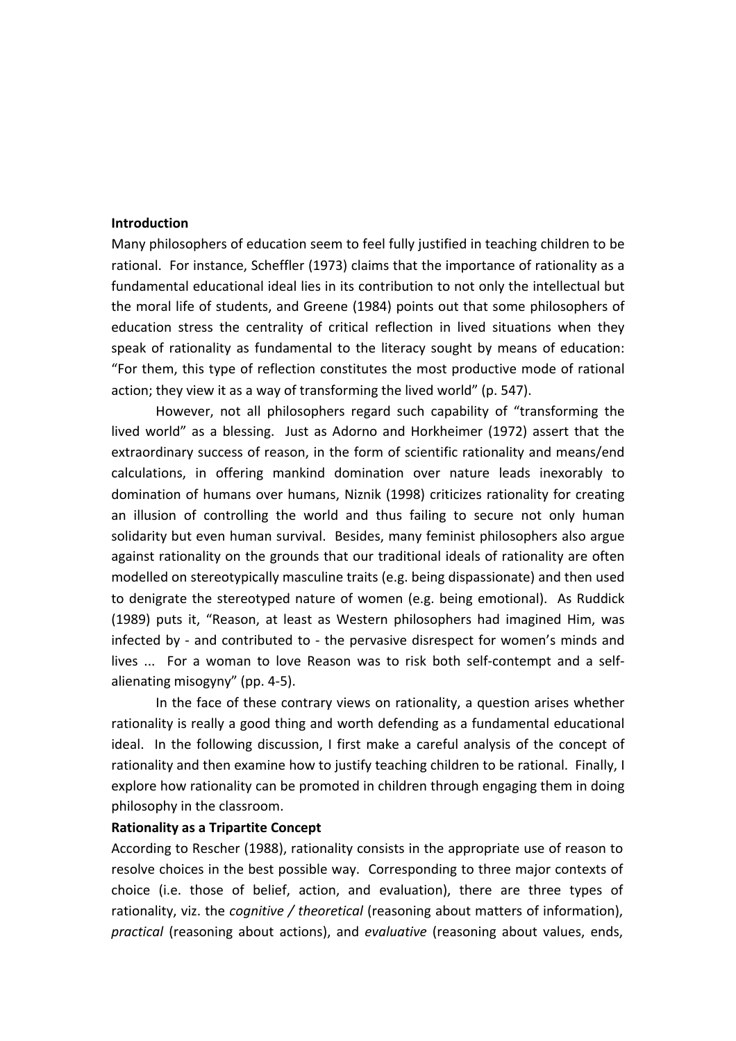#### **Introduction**

Many philosophers of education seem to feel fully justified in teaching children to be rational. For instance, Scheffler (1973) claims that the importance of rationality as a fundamental educational ideal lies in its contribution to not only the intellectual but the moral life of students, and Greene (1984) points out that some philosophers of education stress the centrality of critical reflection in lived situations when they speak of rationality as fundamental to the literacy sought by means of education: "For them, this type of reflection constitutes the most productive mode of rational action; they view it as a way of transforming the lived world" (p. 547).

However, not all philosophers regard such capability of "transforming the lived world" as a blessing. Just as Adorno and Horkheimer (1972) assert that the extraordinary success of reason, in the form of scientific rationality and means/end calculations, in offering mankind domination over nature leads inexorably to domination of humans over humans, Niznik (1998) criticizes rationality for creating an illusion of controlling the world and thus failing to secure not only human solidarity but even human survival. Besides, many feminist philosophers also argue against rationality on the grounds that our traditional ideals of rationality are often modelled on stereotypically masculine traits (e.g. being dispassionate) and then used to denigrate the stereotyped nature of women (e.g. being emotional). As Ruddick (1989) puts it, "Reason, at least as Western philosophers had imagined Him, was infected by - and contributed to - the pervasive disrespect for women's minds and lives ... For a woman to love Reason was to risk both self-contempt and a selfalienating misogyny" (pp. 4-5).

In the face of these contrary views on rationality, a question arises whether rationality is really a good thing and worth defending as a fundamental educational ideal. In the following discussion, I first make a careful analysis of the concept of rationality and then examine how to justify teaching children to be rational. Finally, I explore how rationality can be promoted in children through engaging them in doing philosophy in the classroom.

#### **Rationality as a Tripartite Concept**

According to Rescher (1988), rationality consists in the appropriate use of reason to resolve choices in the best possible way. Corresponding to three major contexts of choice (i.e. those of belief, action, and evaluation), there are three types of rationality, viz. the *cognitive* / theoretical (reasoning about matters of information), *practical* (reasoning about actions), and *evaluative* (reasoning about values, ends,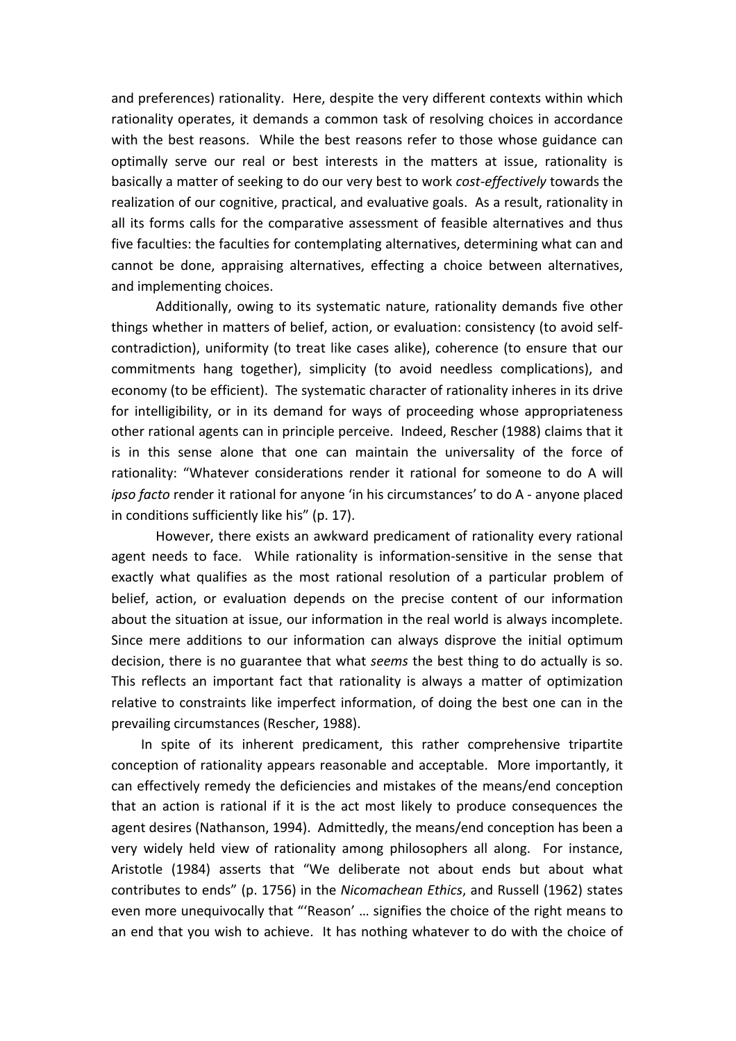and preferences) rationality. Here, despite the very different contexts within which rationality operates, it demands a common task of resolving choices in accordance with the best reasons. While the best reasons refer to those whose guidance can optimally serve our real or best interests in the matters at issue, rationality is basically a matter of seeking to do our very best to work *cost-effectively* towards the realization of our cognitive, practical, and evaluative goals. As a result, rationality in all its forms calls for the comparative assessment of feasible alternatives and thus five faculties: the faculties for contemplating alternatives, determining what can and cannot be done, appraising alternatives, effecting a choice between alternatives, and implementing choices.

Additionally, owing to its systematic nature, rationality demands five other things whether in matters of belief, action, or evaluation: consistency (to avoid selfcontradiction), uniformity (to treat like cases alike), coherence (to ensure that our commitments hang together), simplicity (to avoid needless complications), and economy (to be efficient). The systematic character of rationality inheres in its drive for intelligibility, or in its demand for ways of proceeding whose appropriateness other rational agents can in principle perceive. Indeed, Rescher (1988) claims that it is in this sense alone that one can maintain the universality of the force of rationality: "Whatever considerations render it rational for someone to do A will *ipso facto* render it rational for anyone 'in his circumstances' to do A - anyone placed in conditions sufficiently like his" (p. 17).

However, there exists an awkward predicament of rationality every rational agent needs to face. While rationality is information-sensitive in the sense that exactly what qualifies as the most rational resolution of a particular problem of belief, action, or evaluation depends on the precise content of our information about the situation at issue, our information in the real world is always incomplete. Since mere additions to our information can always disprove the initial optimum decision, there is no guarantee that what *seems* the best thing to do actually is so. This reflects an important fact that rationality is always a matter of optimization relative to constraints like imperfect information, of doing the best one can in the prevailing circumstances (Rescher, 1988).

In spite of its inherent predicament, this rather comprehensive tripartite conception of rationality appears reasonable and acceptable. More importantly, it can effectively remedy the deficiencies and mistakes of the means/end conception that an action is rational if it is the act most likely to produce consequences the agent desires (Nathanson, 1994). Admittedly, the means/end conception has been a very widely held view of rationality among philosophers all along. For instance, Aristotle (1984) asserts that "We deliberate not about ends but about what contributes to ends" (p. 1756) in the Nicomachean Ethics, and Russell (1962) states even more unequivocally that "'Reason' ... signifies the choice of the right means to an end that you wish to achieve. It has nothing whatever to do with the choice of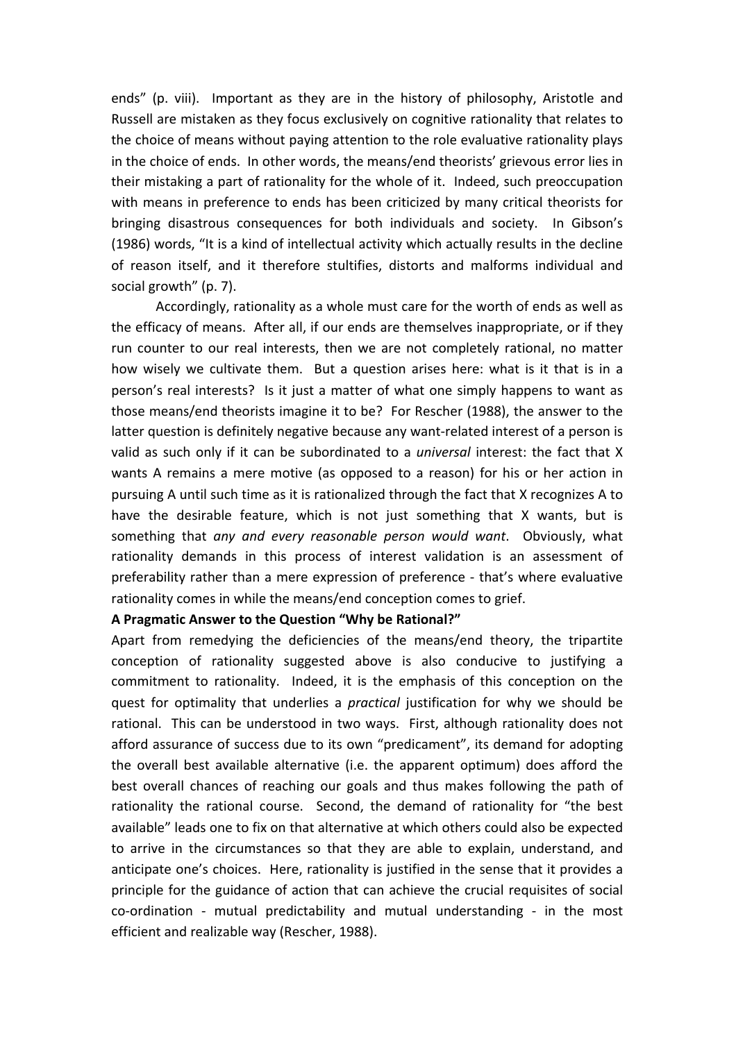ends" (p. viii). Important as they are in the history of philosophy, Aristotle and Russell are mistaken as they focus exclusively on cognitive rationality that relates to the choice of means without paying attention to the role evaluative rationality plays in the choice of ends. In other words, the means/end theorists' grievous error lies in their mistaking a part of rationality for the whole of it. Indeed, such preoccupation with means in preference to ends has been criticized by many critical theorists for bringing disastrous consequences for both individuals and society. In Gibson's (1986) words, "It is a kind of intellectual activity which actually results in the decline of reason itself, and it therefore stultifies, distorts and malforms individual and social growth" (p. 7).

Accordingly, rationality as a whole must care for the worth of ends as well as the efficacy of means. After all, if our ends are themselves inappropriate, or if they run counter to our real interests, then we are not completely rational, no matter how wisely we cultivate them. But a question arises here: what is it that is in a person's real interests? Is it just a matter of what one simply happens to want as those means/end theorists imagine it to be? For Rescher (1988), the answer to the latter question is definitely negative because any want-related interest of a person is valid as such only if it can be subordinated to a *universal* interest: the fact that X wants A remains a mere motive (as opposed to a reason) for his or her action in pursuing A until such time as it is rationalized through the fact that X recognizes A to have the desirable feature, which is not just something that X wants, but is something that *any and every reasonable person would want*. Obviously, what rationality demands in this process of interest validation is an assessment of preferability rather than a mere expression of preference - that's where evaluative rationality comes in while the means/end conception comes to grief.

#### **A Pragmatic Answer to the Question "Why be Rational?"**

Apart from remedying the deficiencies of the means/end theory, the tripartite conception of rationality suggested above is also conducive to justifying a commitment to rationality. Indeed, it is the emphasis of this conception on the quest for optimality that underlies a *practical* justification for why we should be rational. This can be understood in two ways. First, although rationality does not afford assurance of success due to its own "predicament", its demand for adopting the overall best available alternative (i.e. the apparent optimum) does afford the best overall chances of reaching our goals and thus makes following the path of rationality the rational course. Second, the demand of rationality for "the best available" leads one to fix on that alternative at which others could also be expected to arrive in the circumstances so that they are able to explain, understand, and anticipate one's choices. Here, rationality is justified in the sense that it provides a principle for the guidance of action that can achieve the crucial requisites of social co-ordination - mutual predictability and mutual understanding - in the most efficient and realizable way (Rescher, 1988).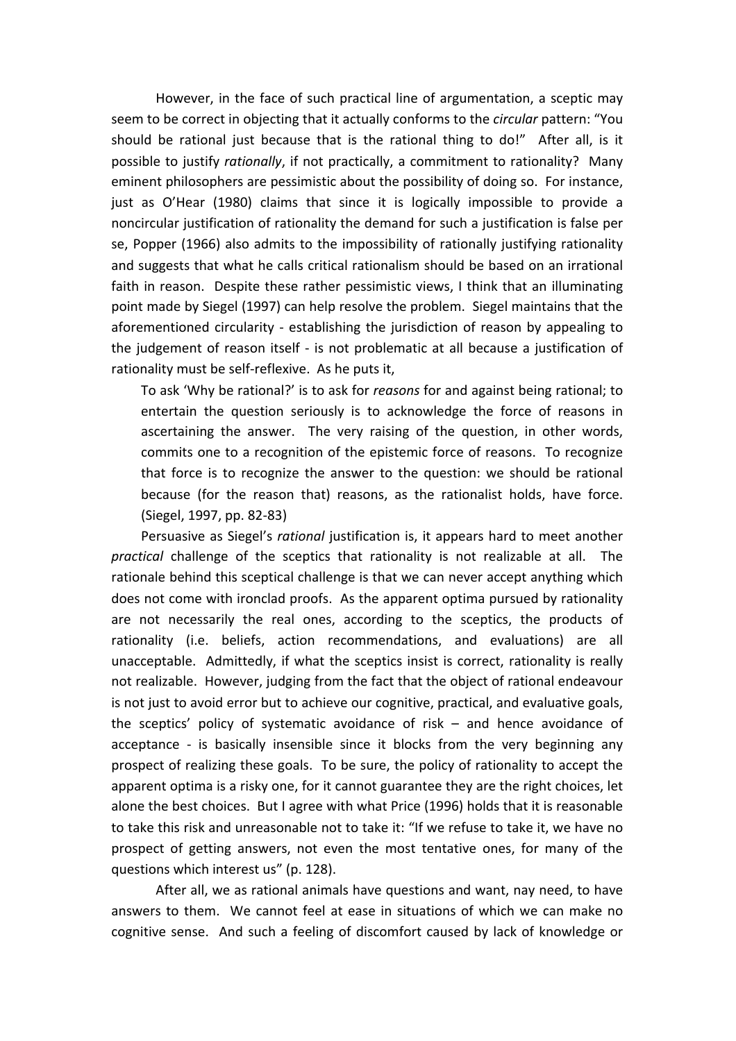However, in the face of such practical line of argumentation, a sceptic may seem to be correct in objecting that it actually conforms to the *circular* pattern: "You should be rational just because that is the rational thing to do!" After all, is it possible to justify *rationally*, if not practically, a commitment to rationality? Many eminent philosophers are pessimistic about the possibility of doing so. For instance, just as O'Hear (1980) claims that since it is logically impossible to provide a noncircular justification of rationality the demand for such a justification is false per se, Popper (1966) also admits to the impossibility of rationally justifying rationality and suggests that what he calls critical rationalism should be based on an irrational faith in reason. Despite these rather pessimistic views, I think that an illuminating point made by Siegel (1997) can help resolve the problem. Siegel maintains that the aforementioned circularity - establishing the jurisdiction of reason by appealing to the judgement of reason itself - is not problematic at all because a justification of rationality must be self-reflexive. As he puts it,

To ask 'Why be rational?' is to ask for *reasons* for and against being rational; to entertain the question seriously is to acknowledge the force of reasons in ascertaining the answer. The very raising of the question, in other words, commits one to a recognition of the epistemic force of reasons. To recognize that force is to recognize the answer to the question: we should be rational because (for the reason that) reasons, as the rationalist holds, have force. (Siegel, 1997, pp. 82-83)

Persuasive as Siegel's *rational* justification is, it appears hard to meet another *practical* challenge of the sceptics that rationality is not realizable at all. The rationale behind this sceptical challenge is that we can never accept anything which does not come with ironclad proofs. As the apparent optima pursued by rationality are not necessarily the real ones, according to the sceptics, the products of rationality (i.e. beliefs, action recommendations, and evaluations) are all unacceptable. Admittedly, if what the sceptics insist is correct, rationality is really not realizable. However, judging from the fact that the object of rational endeavour is not just to avoid error but to achieve our cognitive, practical, and evaluative goals, the sceptics' policy of systematic avoidance of risk  $-$  and hence avoidance of acceptance - is basically insensible since it blocks from the very beginning any prospect of realizing these goals. To be sure, the policy of rationality to accept the apparent optima is a risky one, for it cannot guarantee they are the right choices, let alone the best choices. But I agree with what Price (1996) holds that it is reasonable to take this risk and unreasonable not to take it: "If we refuse to take it, we have no prospect of getting answers, not even the most tentative ones, for many of the questions which interest us" (p. 128).

After all, we as rational animals have questions and want, nay need, to have answers to them. We cannot feel at ease in situations of which we can make no cognitive sense. And such a feeling of discomfort caused by lack of knowledge or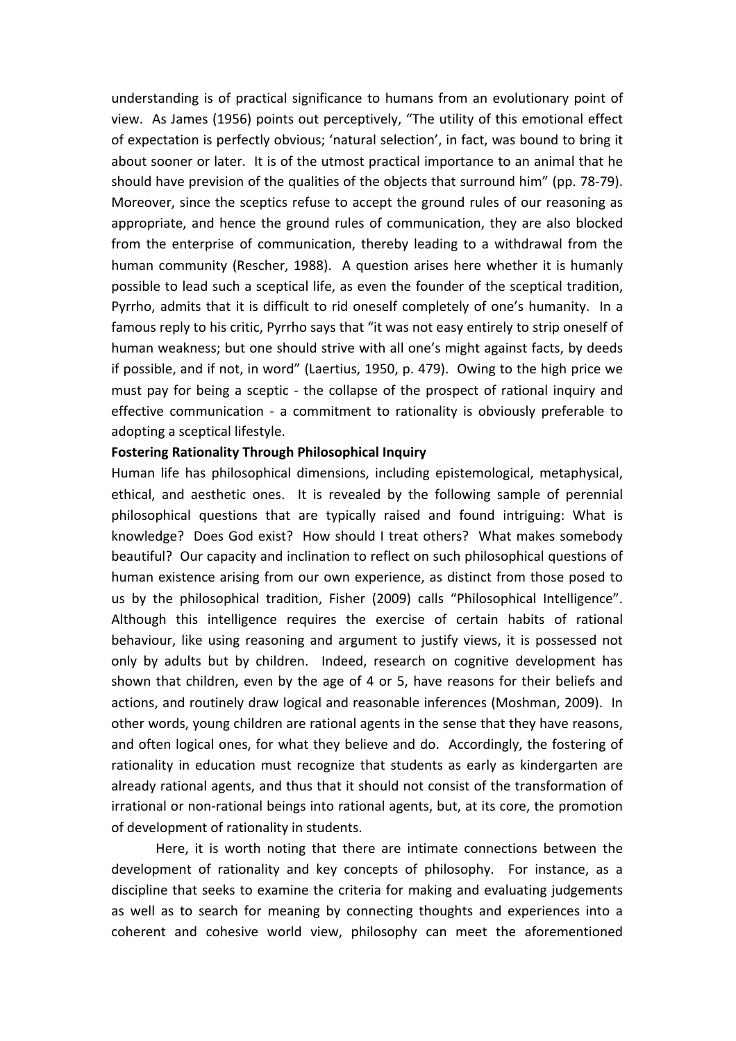understanding is of practical significance to humans from an evolutionary point of view. As James (1956) points out perceptively, "The utility of this emotional effect of expectation is perfectly obvious; 'natural selection', in fact, was bound to bring it about sooner or later. It is of the utmost practical importance to an animal that he should have prevision of the qualities of the objects that surround him" (pp. 78-79). Moreover, since the sceptics refuse to accept the ground rules of our reasoning as appropriate, and hence the ground rules of communication, they are also blocked from the enterprise of communication, thereby leading to a withdrawal from the human community (Rescher, 1988). A question arises here whether it is humanly possible to lead such a sceptical life, as even the founder of the sceptical tradition, Pyrrho, admits that it is difficult to rid oneself completely of one's humanity. In a famous reply to his critic, Pyrrho says that "it was not easy entirely to strip oneself of human weakness; but one should strive with all one's might against facts, by deeds if possible, and if not, in word" (Laertius, 1950, p. 479). Owing to the high price we must pay for being a sceptic - the collapse of the prospect of rational inquiry and effective communication - a commitment to rationality is obviously preferable to adopting a sceptical lifestyle.

#### **Fostering Rationality Through Philosophical Inquiry**

Human life has philosophical dimensions, including epistemological, metaphysical, ethical, and aesthetic ones. It is revealed by the following sample of perennial philosophical questions that are typically raised and found intriguing: What is knowledge? Does God exist? How should I treat others? What makes somebody beautiful? Our capacity and inclination to reflect on such philosophical questions of human existence arising from our own experience, as distinct from those posed to us by the philosophical tradition, Fisher (2009) calls "Philosophical Intelligence". Although this intelligence requires the exercise of certain habits of rational behaviour, like using reasoning and argument to justify views, it is possessed not only by adults but by children. Indeed, research on cognitive development has shown that children, even by the age of 4 or 5, have reasons for their beliefs and actions, and routinely draw logical and reasonable inferences (Moshman, 2009). In other words, young children are rational agents in the sense that they have reasons, and often logical ones, for what they believe and do. Accordingly, the fostering of rationality in education must recognize that students as early as kindergarten are already rational agents, and thus that it should not consist of the transformation of irrational or non-rational beings into rational agents, but, at its core, the promotion of development of rationality in students.

Here, it is worth noting that there are intimate connections between the development of rationality and key concepts of philosophy. For instance, as a discipline that seeks to examine the criteria for making and evaluating judgements as well as to search for meaning by connecting thoughts and experiences into a coherent and cohesive world view, philosophy can meet the aforementioned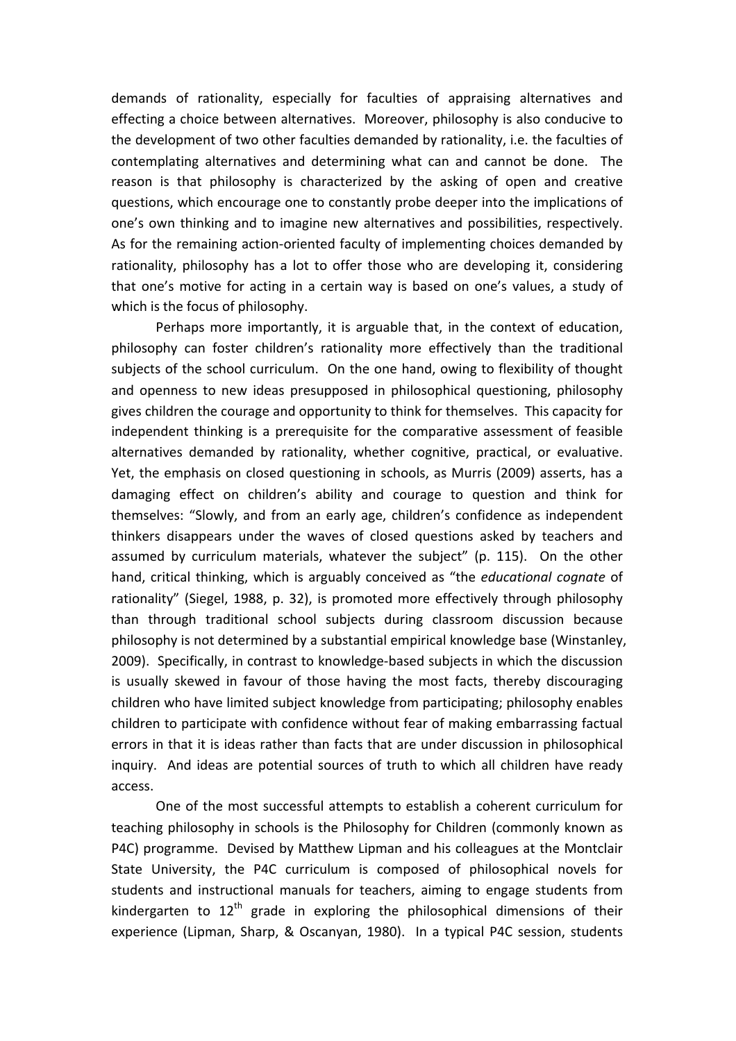demands of rationality, especially for faculties of appraising alternatives and effecting a choice between alternatives. Moreover, philosophy is also conducive to the development of two other faculties demanded by rationality, i.e. the faculties of contemplating alternatives and determining what can and cannot be done. The reason is that philosophy is characterized by the asking of open and creative questions, which encourage one to constantly probe deeper into the implications of one's own thinking and to imagine new alternatives and possibilities, respectively. As for the remaining action-oriented faculty of implementing choices demanded by rationality, philosophy has a lot to offer those who are developing it, considering that one's motive for acting in a certain way is based on one's values, a study of which is the focus of philosophy.

Perhaps more importantly, it is arguable that, in the context of education, philosophy can foster children's rationality more effectively than the traditional subjects of the school curriculum. On the one hand, owing to flexibility of thought and openness to new ideas presupposed in philosophical questioning, philosophy gives children the courage and opportunity to think for themselves. This capacity for independent thinking is a prerequisite for the comparative assessment of feasible alternatives demanded by rationality, whether cognitive, practical, or evaluative. Yet, the emphasis on closed questioning in schools, as Murris (2009) asserts, has a damaging effect on children's ability and courage to question and think for themselves: "Slowly, and from an early age, children's confidence as independent thinkers disappears under the waves of closed questions asked by teachers and assumed by curriculum materials, whatever the subject" (p. 115). On the other hand, critical thinking, which is arguably conceived as "the *educational cognate* of rationality" (Siegel, 1988, p. 32), is promoted more effectively through philosophy than through traditional school subjects during classroom discussion because philosophy is not determined by a substantial empirical knowledge base (Winstanley, 2009). Specifically, in contrast to knowledge-based subjects in which the discussion is usually skewed in favour of those having the most facts, thereby discouraging children who have limited subject knowledge from participating; philosophy enables children to participate with confidence without fear of making embarrassing factual errors in that it is ideas rather than facts that are under discussion in philosophical inquiry. And ideas are potential sources of truth to which all children have ready access.

One of the most successful attempts to establish a coherent curriculum for teaching philosophy in schools is the Philosophy for Children (commonly known as P4C) programme. Devised by Matthew Lipman and his colleagues at the Montclair State University, the P4C curriculum is composed of philosophical novels for students and instructional manuals for teachers, aiming to engage students from kindergarten to  $12<sup>th</sup>$  grade in exploring the philosophical dimensions of their experience (Lipman, Sharp, & Oscanyan, 1980). In a typical P4C session, students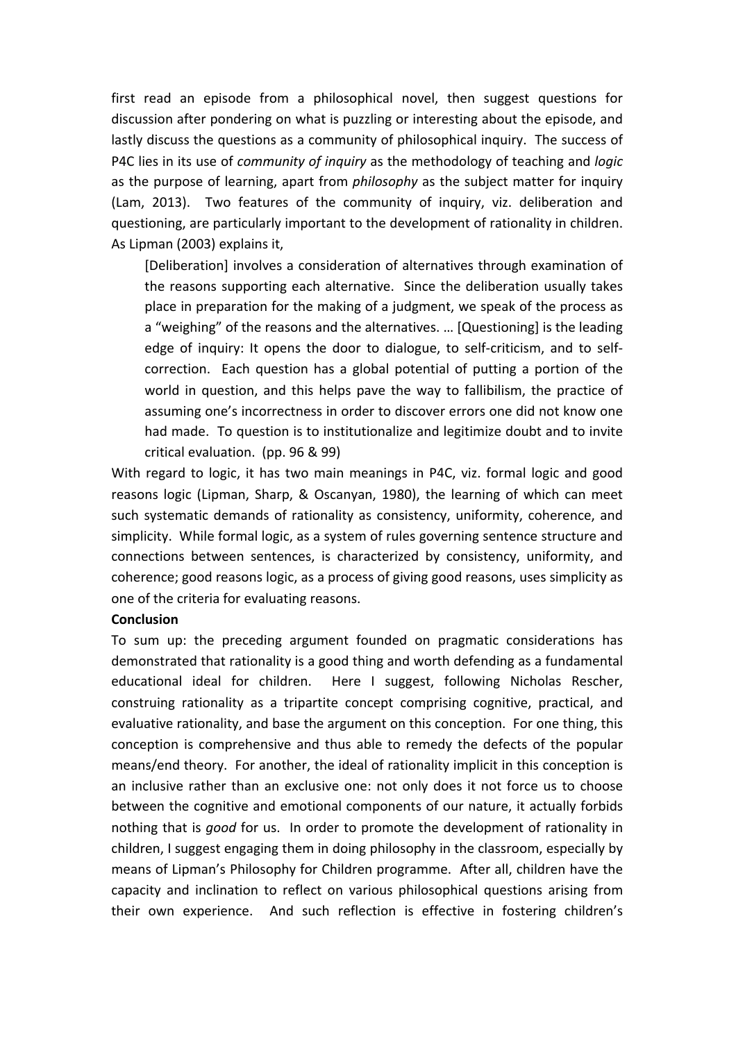first read an episode from a philosophical novel, then suggest questions for discussion after pondering on what is puzzling or interesting about the episode, and lastly discuss the questions as a community of philosophical inquiry. The success of P4C lies in its use of *community of inquiry* as the methodology of teaching and *logic* as the purpose of learning, apart from *philosophy* as the subject matter for inquiry (Lam, 2013). Two features of the community of inquiry, viz. deliberation and questioning, are particularly important to the development of rationality in children. As Lipman (2003) explains it,

[Deliberation] involves a consideration of alternatives through examination of the reasons supporting each alternative. Since the deliberation usually takes place in preparation for the making of a judgment, we speak of the process as a "weighing" of the reasons and the alternatives. ... [Questioning] is the leading edge of inquiry: It opens the door to dialogue, to self-criticism, and to selfcorrection. Each question has a global potential of putting a portion of the world in question, and this helps pave the way to fallibilism, the practice of assuming one's incorrectness in order to discover errors one did not know one had made. To question is to institutionalize and legitimize doubt and to invite critical evaluation. (pp.  $96 & 99$ )

With regard to logic, it has two main meanings in P4C, viz. formal logic and good reasons logic (Lipman, Sharp, & Oscanyan, 1980), the learning of which can meet such systematic demands of rationality as consistency, uniformity, coherence, and simplicity. While formal logic, as a system of rules governing sentence structure and connections between sentences, is characterized by consistency, uniformity, and coherence; good reasons logic, as a process of giving good reasons, uses simplicity as one of the criteria for evaluating reasons.

#### **Conclusion**

To sum up: the preceding argument founded on pragmatic considerations has demonstrated that rationality is a good thing and worth defending as a fundamental educational ideal for children. Here I suggest, following Nicholas Rescher, construing rationality as a tripartite concept comprising cognitive, practical, and evaluative rationality, and base the argument on this conception. For one thing, this conception is comprehensive and thus able to remedy the defects of the popular means/end theory. For another, the ideal of rationality implicit in this conception is an inclusive rather than an exclusive one: not only does it not force us to choose between the cognitive and emotional components of our nature, it actually forbids nothing that is *good* for us. In order to promote the development of rationality in children, I suggest engaging them in doing philosophy in the classroom, especially by means of Lipman's Philosophy for Children programme. After all, children have the capacity and inclination to reflect on various philosophical questions arising from their own experience. And such reflection is effective in fostering children's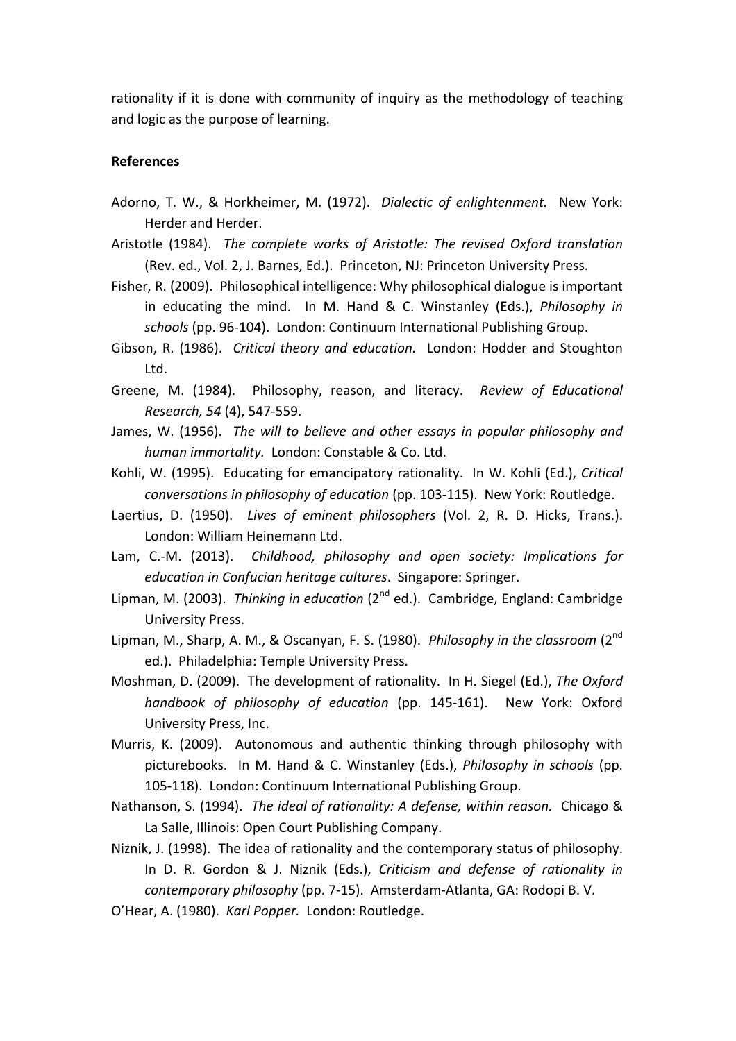rationality if it is done with community of inquiry as the methodology of teaching and logic as the purpose of learning.

#### **References**

- Adorno, T. W., & Horkheimer, M. (1972). Dialectic of enlightenment. New York: Herder and Herder.
- Aristotle (1984). The complete works of Aristotle: The revised Oxford translation (Rev. ed., Vol. 2, J. Barnes, Ed.). Princeton, NJ: Princeton University Press.
- Fisher, R. (2009). Philosophical intelligence: Why philosophical dialogue is important in educating the mind. In M. Hand & C. Winstanley (Eds.), *Philosophy in* schools (pp. 96-104). London: Continuum International Publishing Group.
- Gibson, R. (1986). *Critical theory and education*. London: Hodder and Stoughton Ltd.
- Greene, M. (1984). Philosophy, reason, and literacy. Review of Educational *Research, 54* (4), 547-559.
- James, W. (1956). The will to believe and other essays in popular philosophy and human immortality. London: Constable & Co. Ltd.
- Kohli, W. (1995). Educating for emancipatory rationality. In W. Kohli (Ed.), *Critical conversations in philosophy of education* (pp. 103-115). New York: Routledge.
- Laertius, D. (1950). Lives of eminent philosophers (Vol. 2, R. D. Hicks, Trans.). London: William Heinemann Ltd.
- Lam, C.-M. (2013). *Childhood, philosophy and open society: Implications for education in Confucian heritage cultures*. Singapore: Springer.
- Lipman, M. (2003). *Thinking in education* (2<sup>nd</sup> ed.). Cambridge, England: Cambridge University Press.
- Lipman, M., Sharp, A. M., & Oscanyan, F. S. (1980). *Philosophy in the classroom* (2<sup>nd</sup> ed.). Philadelphia: Temple University Press.
- Moshman, D. (2009). The development of rationality. In H. Siegel (Ed.), The Oxford *handbook of philosophy of education* (pp. 145-161). New York: Oxford University Press, Inc.
- Murris, K. (2009). Autonomous and authentic thinking through philosophy with picturebooks. In M. Hand & C. Winstanley (Eds.), *Philosophy in schools* (pp. 105-118). London: Continuum International Publishing Group.
- Nathanson, S. (1994). The ideal of rationality: A defense, within reason. Chicago & La Salle, Illinois: Open Court Publishing Company.
- Niznik, J. (1998). The idea of rationality and the contemporary status of philosophy. In D. R. Gordon & J. Niznik (Eds.), *Criticism and defense of rationality in contemporary philosophy* (pp. 7-15). Amsterdam-Atlanta, GA: Rodopi B. V. O'Hear, A. (1980). Karl Popper. London: Routledge.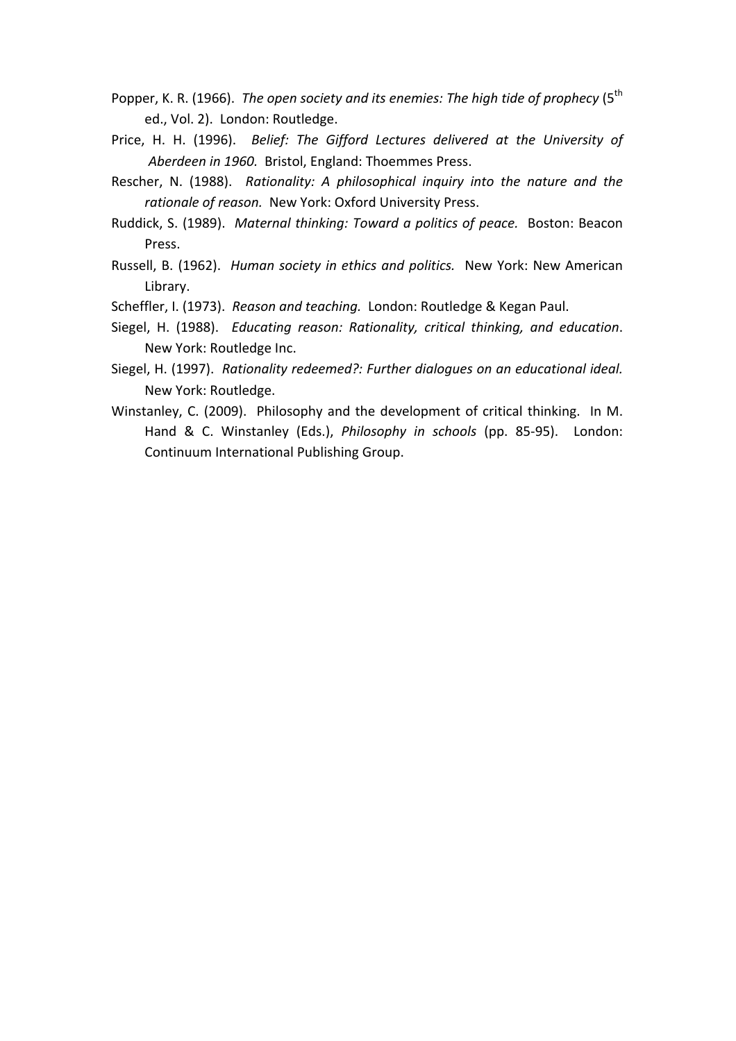- Popper, K. R. (1966). *The open society and its enemies: The high tide of prophecy* (5<sup>th</sup>) ed., Vol. 2). London: Routledge.
- Price, H. H. (1996). Belief: The Gifford Lectures delivered at the University of Aberdeen in 1960. Bristol, England: Thoemmes Press.
- Rescher, N. (1988). Rationality: A philosophical inquiry into the nature and the rationale of reason. New York: Oxford University Press.
- Ruddick, S. (1989). Maternal thinking: Toward a politics of peace. Boston: Beacon Press.
- Russell, B. (1962). *Human society in ethics and politics.* New York: New American Library.
- Scheffler, I. (1973). Reason and teaching. London: Routledge & Kegan Paul.
- Siegel, H. (1988). Educating reason: Rationality, critical thinking, and education. New York: Routledge Inc.
- Siegel, H. (1997). Rationality redeemed?: Further dialogues on an educational ideal. New York: Routledge.
- Winstanley, C. (2009). Philosophy and the development of critical thinking. In M. Hand & C. Winstanley (Eds.), *Philosophy in schools* (pp. 85-95). London: Continuum International Publishing Group.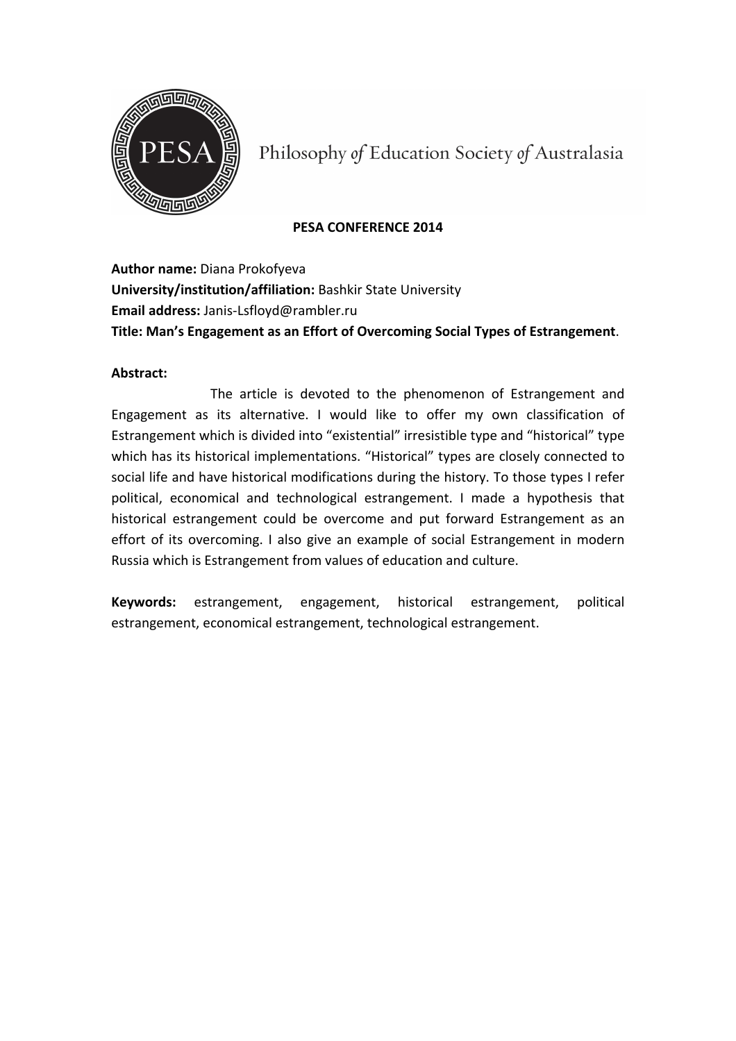

Philosophy of Education Society of Australasia

## **PESA CONFERENCE 2014**

**Author name: Diana Prokofyeva University/institution/affiliation:** Bashkir State University **Email address:** Janis-Lsfloyd@rambler.ru Title: Man's Engagement as an Effort of Overcoming Social Types of Estrangement.

## **Abstract:**

The article is devoted to the phenomenon of Estrangement and Engagement as its alternative. I would like to offer my own classification of Estrangement which is divided into "existential" irresistible type and "historical" type which has its historical implementations. "Historical" types are closely connected to social life and have historical modifications during the history. To those types I refer political, economical and technological estrangement. I made a hypothesis that historical estrangement could be overcome and put forward Estrangement as an effort of its overcoming. I also give an example of social Estrangement in modern Russia which is Estrangement from values of education and culture.

**Keywords:** estrangement, engagement, historical estrangement, political estrangement, economical estrangement, technological estrangement.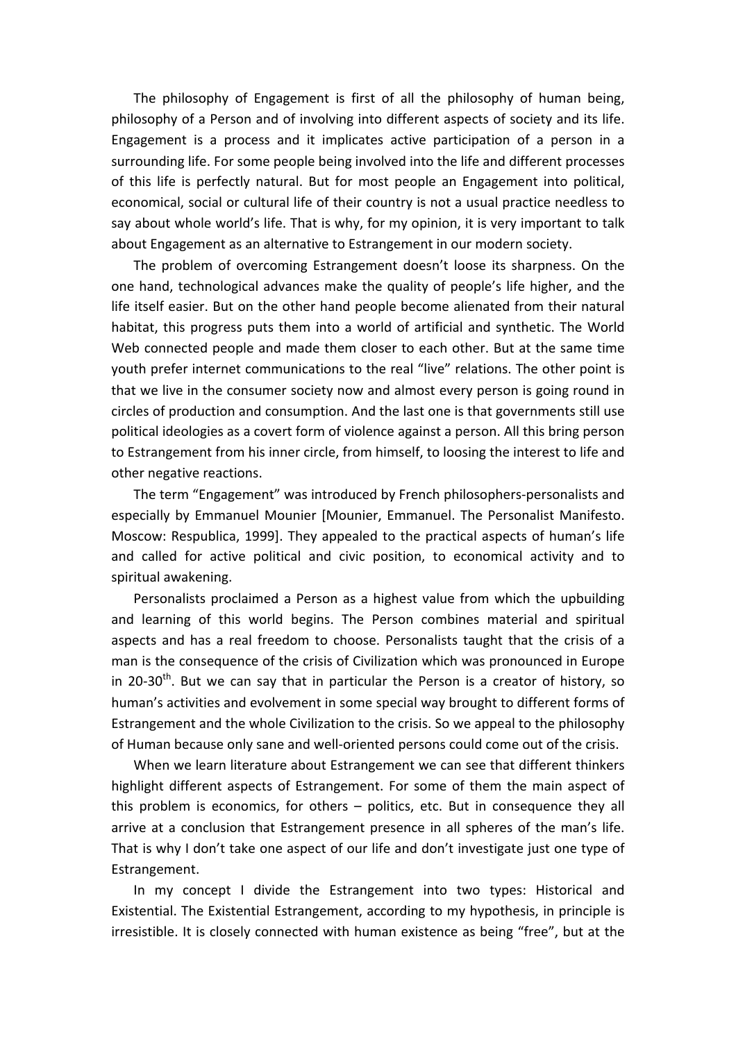The philosophy of Engagement is first of all the philosophy of human being, philosophy of a Person and of involving into different aspects of society and its life. Engagement is a process and it implicates active participation of a person in a surrounding life. For some people being involved into the life and different processes of this life is perfectly natural. But for most people an Engagement into political, economical, social or cultural life of their country is not a usual practice needless to say about whole world's life. That is why, for my opinion, it is very important to talk about Engagement as an alternative to Estrangement in our modern society.

The problem of overcoming Estrangement doesn't loose its sharpness. On the one hand, technological advances make the quality of people's life higher, and the life itself easier. But on the other hand people become alienated from their natural habitat, this progress puts them into a world of artificial and synthetic. The World Web connected people and made them closer to each other. But at the same time youth prefer internet communications to the real "live" relations. The other point is that we live in the consumer society now and almost every person is going round in circles of production and consumption. And the last one is that governments still use political ideologies as a covert form of violence against a person. All this bring person to Estrangement from his inner circle, from himself, to loosing the interest to life and other negative reactions.

The term "Engagement" was introduced by French philosophers-personalists and especially by Emmanuel Mounier [Mounier, Emmanuel. The Personalist Manifesto. Moscow: Respublica, 1999]. They appealed to the practical aspects of human's life and called for active political and civic position, to economical activity and to spiritual awakening.

Personalists proclaimed a Person as a highest value from which the upbuilding and learning of this world begins. The Person combines material and spiritual aspects and has a real freedom to choose. Personalists taught that the crisis of a man is the consequence of the crisis of Civilization which was pronounced in Europe in 20-30<sup>th</sup>. But we can say that in particular the Person is a creator of history, so human's activities and evolvement in some special way brought to different forms of Estrangement and the whole Civilization to the crisis. So we appeal to the philosophy of Human because only sane and well-oriented persons could come out of the crisis.

When we learn literature about Estrangement we can see that different thinkers highlight different aspects of Estrangement. For some of them the main aspect of this problem is economics, for others  $-$  politics, etc. But in consequence they all arrive at a conclusion that Estrangement presence in all spheres of the man's life. That is why I don't take one aspect of our life and don't investigate just one type of Estrangement. 

In my concept I divide the Estrangement into two types: Historical and Existential. The Existential Estrangement, according to my hypothesis, in principle is irresistible. It is closely connected with human existence as being "free", but at the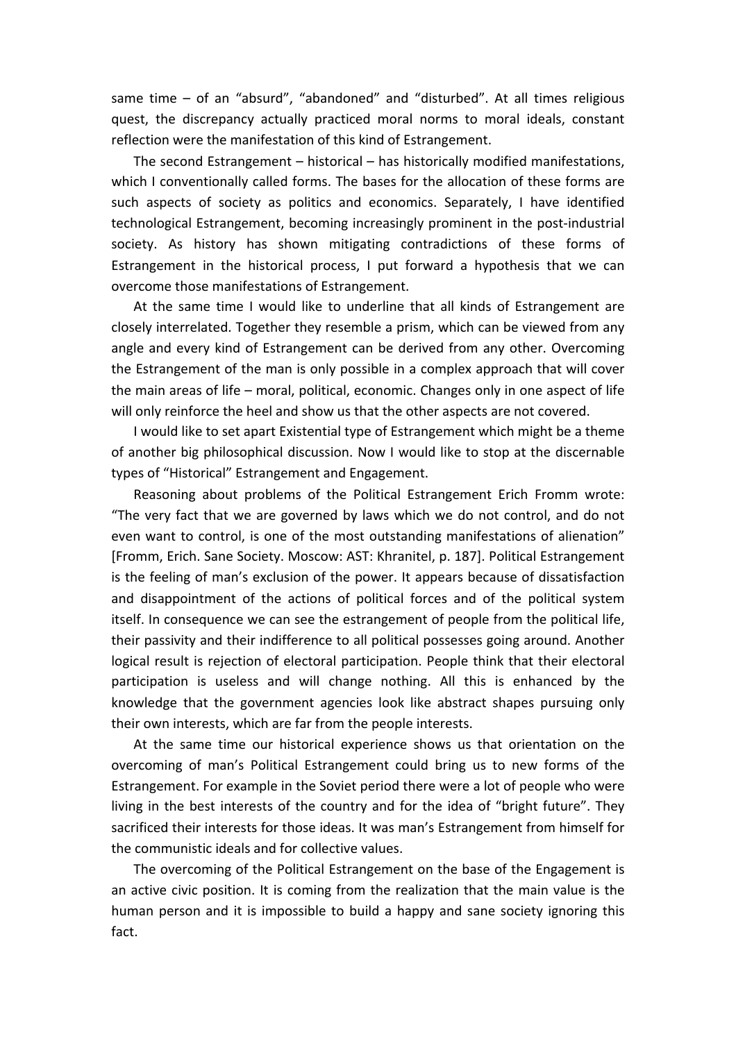same time  $-$  of an "absurd", "abandoned" and "disturbed". At all times religious quest, the discrepancy actually practiced moral norms to moral ideals, constant reflection were the manifestation of this kind of Estrangement.

The second Estrangement  $-$  historical  $-$  has historically modified manifestations, which I conventionally called forms. The bases for the allocation of these forms are such aspects of society as politics and economics. Separately, I have identified technological Estrangement, becoming increasingly prominent in the post-industrial society. As history has shown mitigating contradictions of these forms of Estrangement in the historical process, I put forward a hypothesis that we can overcome those manifestations of Estrangement.

At the same time I would like to underline that all kinds of Estrangement are closely interrelated. Together they resemble a prism, which can be viewed from any angle and every kind of Estrangement can be derived from any other. Overcoming the Estrangement of the man is only possible in a complex approach that will cover the main areas of life – moral, political, economic. Changes only in one aspect of life will only reinforce the heel and show us that the other aspects are not covered.

I would like to set apart Existential type of Estrangement which might be a theme of another big philosophical discussion. Now I would like to stop at the discernable types of "Historical" Estrangement and Engagement.

Reasoning about problems of the Political Estrangement Erich Fromm wrote: "The very fact that we are governed by laws which we do not control, and do not even want to control, is one of the most outstanding manifestations of alienation" [Fromm, Erich. Sane Society. Moscow: AST: Khranitel, p. 187]. Political Estrangement is the feeling of man's exclusion of the power. It appears because of dissatisfaction and disappointment of the actions of political forces and of the political system itself. In consequence we can see the estrangement of people from the political life, their passivity and their indifference to all political possesses going around. Another logical result is rejection of electoral participation. People think that their electoral participation is useless and will change nothing. All this is enhanced by the knowledge that the government agencies look like abstract shapes pursuing only their own interests, which are far from the people interests.

At the same time our historical experience shows us that orientation on the overcoming of man's Political Estrangement could bring us to new forms of the Estrangement. For example in the Soviet period there were a lot of people who were living in the best interests of the country and for the idea of "bright future". They sacrificed their interests for those ideas. It was man's Estrangement from himself for the communistic ideals and for collective values.

The overcoming of the Political Estrangement on the base of the Engagement is an active civic position. It is coming from the realization that the main value is the human person and it is impossible to build a happy and sane society ignoring this fact.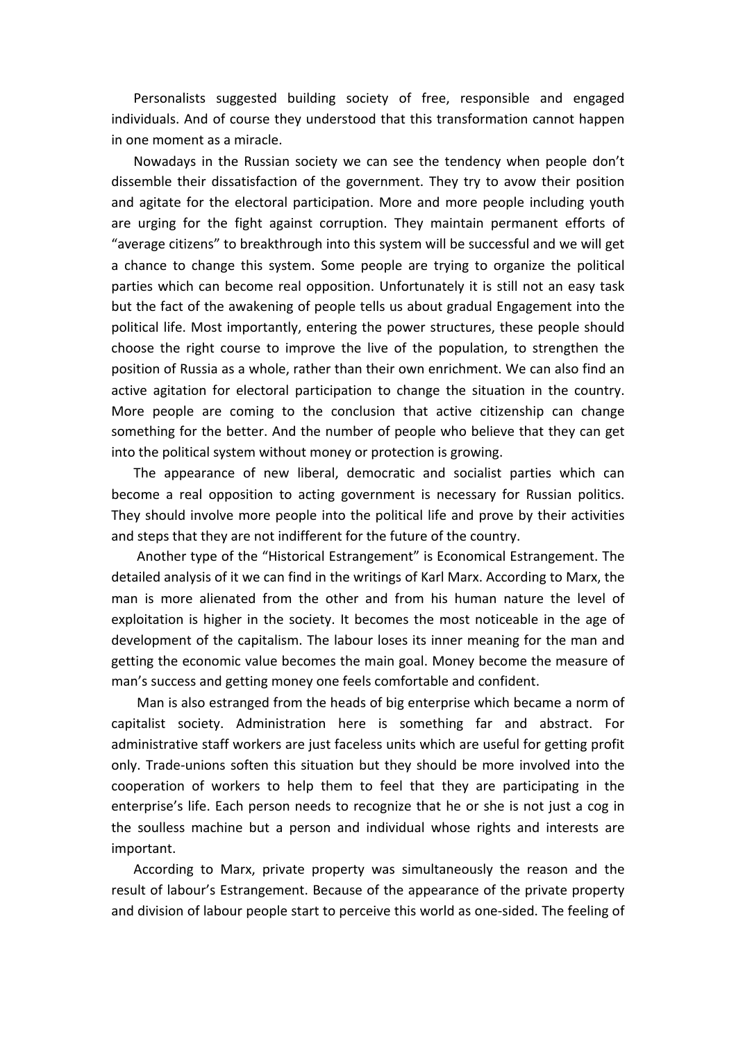Personalists suggested building society of free, responsible and engaged individuals. And of course they understood that this transformation cannot happen in one moment as a miracle.

Nowadays in the Russian society we can see the tendency when people don't dissemble their dissatisfaction of the government. They try to avow their position and agitate for the electoral participation. More and more people including youth are urging for the fight against corruption. They maintain permanent efforts of "average citizens" to breakthrough into this system will be successful and we will get a chance to change this system. Some people are trying to organize the political parties which can become real opposition. Unfortunately it is still not an easy task but the fact of the awakening of people tells us about gradual Engagement into the political life. Most importantly, entering the power structures, these people should choose the right course to improve the live of the population, to strengthen the position of Russia as a whole, rather than their own enrichment. We can also find an active agitation for electoral participation to change the situation in the country. More people are coming to the conclusion that active citizenship can change something for the better. And the number of people who believe that they can get into the political system without money or protection is growing.

The appearance of new liberal, democratic and socialist parties which can become a real opposition to acting government is necessary for Russian politics. They should involve more people into the political life and prove by their activities and steps that they are not indifferent for the future of the country.

Another type of the "Historical Estrangement" is Economical Estrangement. The detailed analysis of it we can find in the writings of Karl Marx. According to Marx, the man is more alienated from the other and from his human nature the level of exploitation is higher in the society. It becomes the most noticeable in the age of development of the capitalism. The labour loses its inner meaning for the man and getting the economic value becomes the main goal. Money become the measure of man's success and getting money one feels comfortable and confident.

Man is also estranged from the heads of big enterprise which became a norm of capitalist society. Administration here is something far and abstract. For administrative staff workers are just faceless units which are useful for getting profit only. Trade-unions soften this situation but they should be more involved into the cooperation of workers to help them to feel that they are participating in the enterprise's life. Each person needs to recognize that he or she is not just a cog in the soulless machine but a person and individual whose rights and interests are important. 

According to Marx, private property was simultaneously the reason and the result of labour's Estrangement. Because of the appearance of the private property and division of labour people start to perceive this world as one-sided. The feeling of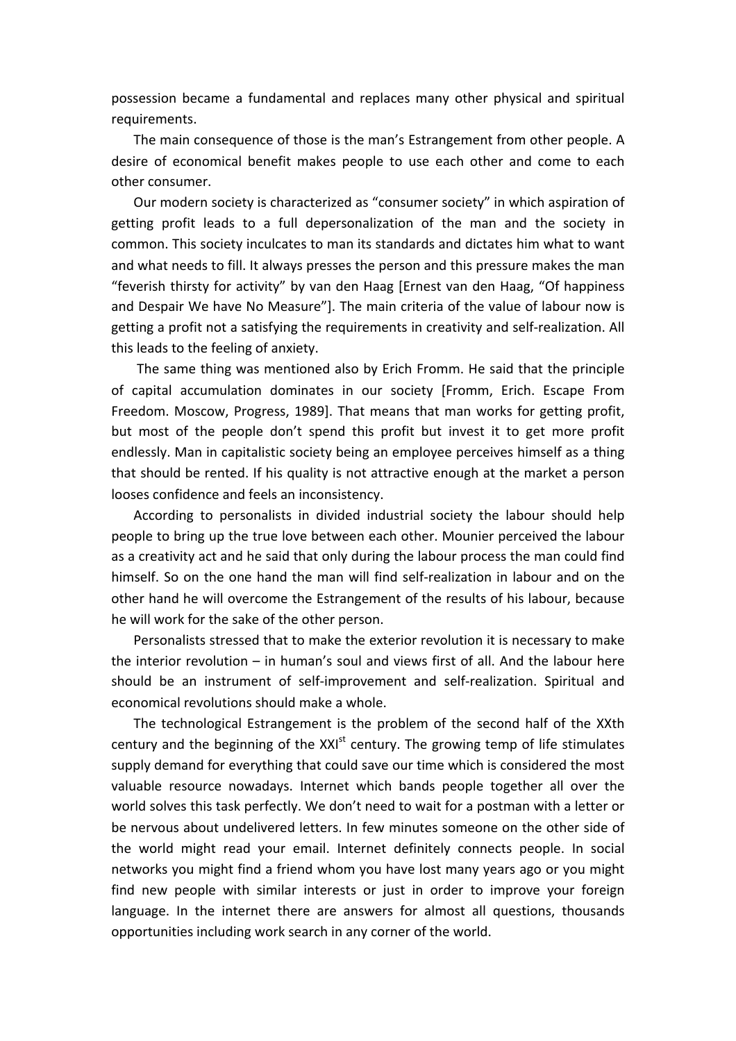possession became a fundamental and replaces many other physical and spiritual requirements. 

The main consequence of those is the man's Estrangement from other people. A desire of economical benefit makes people to use each other and come to each other consumer.

Our modern society is characterized as "consumer society" in which aspiration of getting profit leads to a full depersonalization of the man and the society in common. This society inculcates to man its standards and dictates him what to want and what needs to fill. It always presses the person and this pressure makes the man "feverish thirsty for activity" by van den Haag [Ernest van den Haag, "Of happiness and Despair We have No Measure"]. The main criteria of the value of labour now is getting a profit not a satisfying the requirements in creativity and self-realization. All this leads to the feeling of anxiety.

The same thing was mentioned also by Erich Fromm. He said that the principle of capital accumulation dominates in our society [Fromm, Erich. Escape From Freedom. Moscow, Progress, 1989]. That means that man works for getting profit, but most of the people don't spend this profit but invest it to get more profit endlessly. Man in capitalistic society being an employee perceives himself as a thing that should be rented. If his quality is not attractive enough at the market a person looses confidence and feels an inconsistency.

According to personalists in divided industrial society the labour should help people to bring up the true love between each other. Mounier perceived the labour as a creativity act and he said that only during the labour process the man could find himself. So on the one hand the man will find self-realization in labour and on the other hand he will overcome the Estrangement of the results of his labour, because he will work for the sake of the other person.

Personalists stressed that to make the exterior revolution it is necessary to make the interior revolution  $-$  in human's soul and views first of all. And the labour here should be an instrument of self-improvement and self-realization. Spiritual and economical revolutions should make a whole.

The technological Estrangement is the problem of the second half of the XXth century and the beginning of the  $XXI^{st}$  century. The growing temp of life stimulates supply demand for everything that could save our time which is considered the most valuable resource nowadays. Internet which bands people together all over the world solves this task perfectly. We don't need to wait for a postman with a letter or be nervous about undelivered letters. In few minutes someone on the other side of the world might read your email. Internet definitely connects people. In social networks you might find a friend whom you have lost many years ago or you might find new people with similar interests or just in order to improve your foreign language. In the internet there are answers for almost all questions, thousands opportunities including work search in any corner of the world.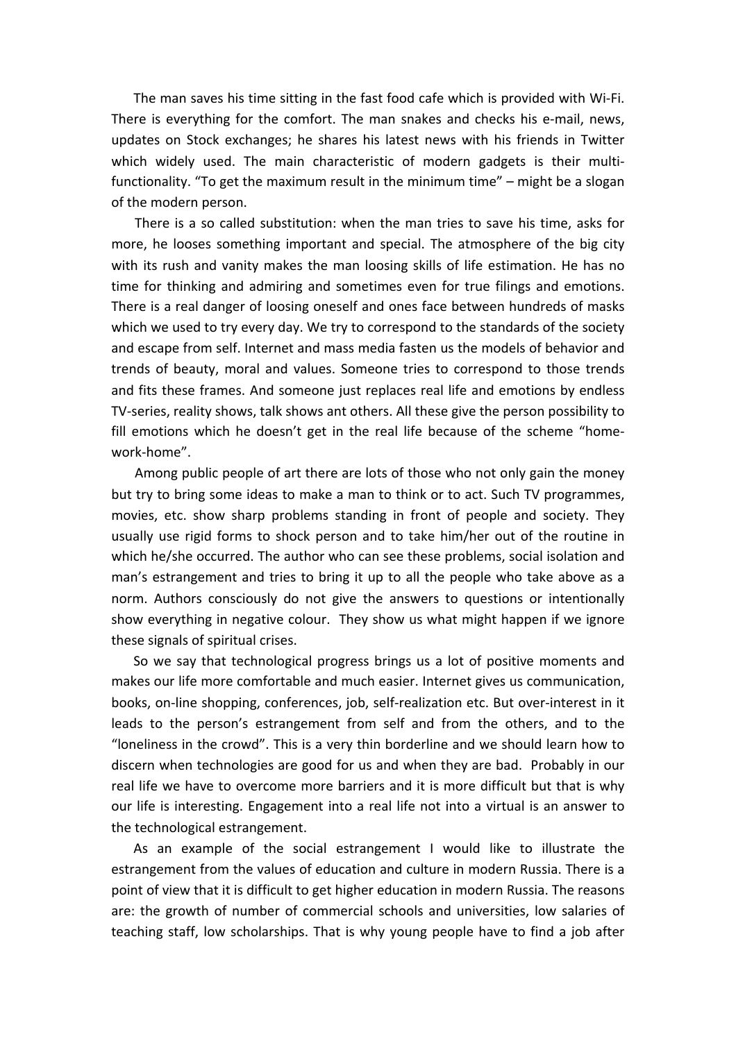The man saves his time sitting in the fast food cafe which is provided with Wi-Fi. There is everything for the comfort. The man snakes and checks his e-mail, news, updates on Stock exchanges; he shares his latest news with his friends in Twitter which widely used. The main characteristic of modern gadgets is their multifunctionality. "To get the maximum result in the minimum time" – might be a slogan of the modern person.

There is a so called substitution: when the man tries to save his time, asks for more, he looses something important and special. The atmosphere of the big city with its rush and vanity makes the man loosing skills of life estimation. He has no time for thinking and admiring and sometimes even for true filings and emotions. There is a real danger of loosing oneself and ones face between hundreds of masks which we used to try every day. We try to correspond to the standards of the society and escape from self. Internet and mass media fasten us the models of behavior and trends of beauty, moral and values. Someone tries to correspond to those trends and fits these frames. And someone just replaces real life and emotions by endless TV-series, reality shows, talk shows ant others. All these give the person possibility to fill emotions which he doesn't get in the real life because of the scheme "homework-home". 

Among public people of art there are lots of those who not only gain the money but try to bring some ideas to make a man to think or to act. Such TV programmes, movies, etc. show sharp problems standing in front of people and society. They usually use rigid forms to shock person and to take him/her out of the routine in which he/she occurred. The author who can see these problems, social isolation and man's estrangement and tries to bring it up to all the people who take above as a norm. Authors consciously do not give the answers to questions or intentionally show everything in negative colour. They show us what might happen if we ignore these signals of spiritual crises.

So we say that technological progress brings us a lot of positive moments and makes our life more comfortable and much easier. Internet gives us communication, books, on-line shopping, conferences, job, self-realization etc. But over-interest in it leads to the person's estrangement from self and from the others, and to the "loneliness in the crowd". This is a very thin borderline and we should learn how to discern when technologies are good for us and when they are bad. Probably in our real life we have to overcome more barriers and it is more difficult but that is why our life is interesting. Engagement into a real life not into a virtual is an answer to the technological estrangement.

As an example of the social estrangement I would like to illustrate the estrangement from the values of education and culture in modern Russia. There is a point of view that it is difficult to get higher education in modern Russia. The reasons are: the growth of number of commercial schools and universities, low salaries of teaching staff, low scholarships. That is why young people have to find a job after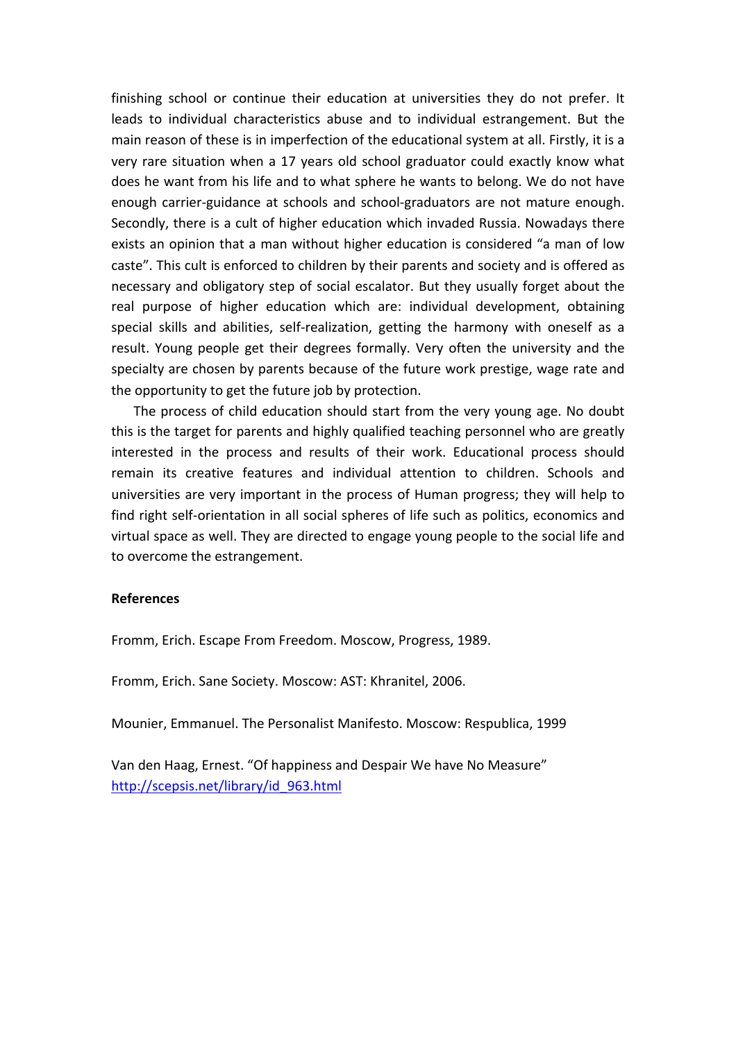finishing school or continue their education at universities they do not prefer. It leads to individual characteristics abuse and to individual estrangement. But the main reason of these is in imperfection of the educational system at all. Firstly, it is a very rare situation when a 17 years old school graduator could exactly know what does he want from his life and to what sphere he wants to belong. We do not have enough carrier-guidance at schools and school-graduators are not mature enough. Secondly, there is a cult of higher education which invaded Russia. Nowadays there exists an opinion that a man without higher education is considered "a man of low caste". This cult is enforced to children by their parents and society and is offered as necessary and obligatory step of social escalator. But they usually forget about the real purpose of higher education which are: individual development, obtaining special skills and abilities, self-realization, getting the harmony with oneself as a result. Young people get their degrees formally. Very often the university and the specialty are chosen by parents because of the future work prestige, wage rate and the opportunity to get the future job by protection.

The process of child education should start from the very young age. No doubt this is the target for parents and highly qualified teaching personnel who are greatly interested in the process and results of their work. Educational process should remain its creative features and individual attention to children. Schools and universities are very important in the process of Human progress; they will help to find right self-orientation in all social spheres of life such as politics, economics and virtual space as well. They are directed to engage young people to the social life and to overcome the estrangement.

#### **References**

Fromm, Erich. Escape From Freedom. Moscow, Progress, 1989.

Fromm, Erich. Sane Society. Moscow: AST: Khranitel, 2006.

Mounier, Emmanuel. The Personalist Manifesto. Moscow: Respublica, 1999

Van den Haag, Ernest. "Of happiness and Despair We have No Measure" http://scepsis.net/library/id\_963.html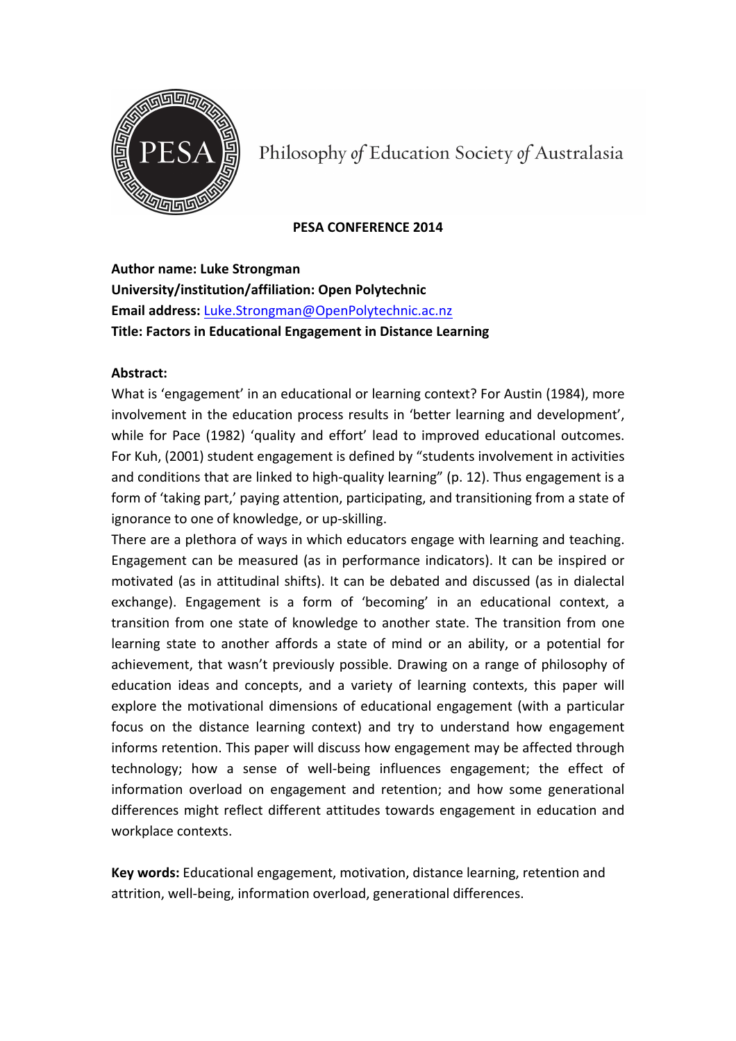

Philosophy of Education Society of Australasia

### **PESA CONFERENCE 2014**

**Author name: Luke Strongman University/institution/affiliation: Open Polytechnic Email address:** Luke.Strongman@OpenPolytechnic.ac.nz **Title: Factors in Educational Engagement in Distance Learning** 

## **Abstract:**

What is 'engagement' in an educational or learning context? For Austin (1984), more involvement in the education process results in 'better learning and development', while for Pace (1982) 'quality and effort' lead to improved educational outcomes. For Kuh, (2001) student engagement is defined by "students involvement in activities and conditions that are linked to high-quality learning" (p. 12). Thus engagement is a form of 'taking part,' paying attention, participating, and transitioning from a state of ignorance to one of knowledge, or up-skilling.

There are a plethora of ways in which educators engage with learning and teaching. Engagement can be measured (as in performance indicators). It can be inspired or motivated (as in attitudinal shifts). It can be debated and discussed (as in dialectal exchange). Engagement is a form of 'becoming' in an educational context, a transition from one state of knowledge to another state. The transition from one learning state to another affords a state of mind or an ability, or a potential for achievement, that wasn't previously possible. Drawing on a range of philosophy of education ideas and concepts, and a variety of learning contexts, this paper will explore the motivational dimensions of educational engagement (with a particular focus on the distance learning context) and try to understand how engagement informs retention. This paper will discuss how engagement may be affected through technology; how a sense of well-being influences engagement; the effect of information overload on engagement and retention; and how some generational differences might reflect different attitudes towards engagement in education and workplace contexts.

**Key words:** Educational engagement, motivation, distance learning, retention and attrition, well-being, information overload, generational differences.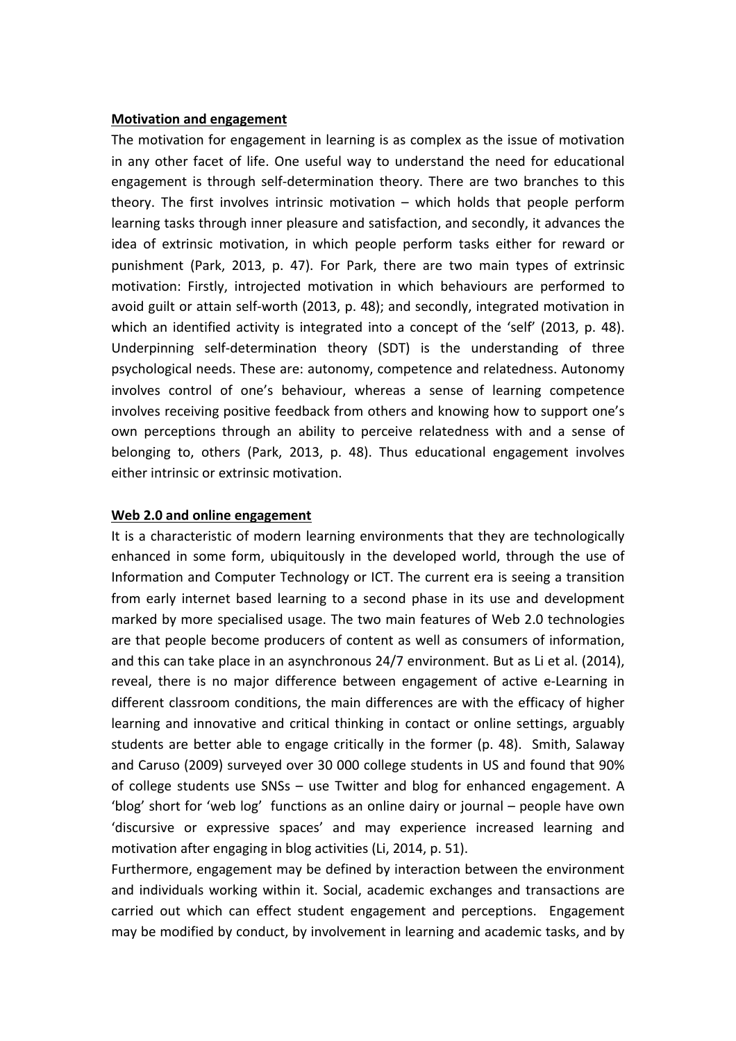#### **Motivation and engagement**

The motivation for engagement in learning is as complex as the issue of motivation in any other facet of life. One useful way to understand the need for educational engagement is through self-determination theory. There are two branches to this theory. The first involves intrinsic motivation  $-$  which holds that people perform learning tasks through inner pleasure and satisfaction, and secondly, it advances the idea of extrinsic motivation, in which people perform tasks either for reward or punishment (Park, 2013, p. 47). For Park, there are two main types of extrinsic motivation: Firstly, introjected motivation in which behaviours are performed to avoid guilt or attain self-worth (2013, p. 48); and secondly, integrated motivation in which an identified activity is integrated into a concept of the 'self' (2013, p. 48). Underpinning self-determination theory (SDT) is the understanding of three psychological needs. These are: autonomy, competence and relatedness. Autonomy involves control of one's behaviour, whereas a sense of learning competence involves receiving positive feedback from others and knowing how to support one's own perceptions through an ability to perceive relatedness with and a sense of belonging to, others (Park, 2013, p. 48). Thus educational engagement involves either intrinsic or extrinsic motivation.

### Web 2.0 and online engagement

It is a characteristic of modern learning environments that they are technologically enhanced in some form, ubiquitously in the developed world, through the use of Information and Computer Technology or ICT. The current era is seeing a transition from early internet based learning to a second phase in its use and development marked by more specialised usage. The two main features of Web 2.0 technologies are that people become producers of content as well as consumers of information, and this can take place in an asynchronous 24/7 environment. But as Li et al. (2014), reveal, there is no major difference between engagement of active e-Learning in different classroom conditions, the main differences are with the efficacy of higher learning and innovative and critical thinking in contact or online settings, arguably students are better able to engage critically in the former (p.  $48$ ). Smith, Salaway and Caruso (2009) surveyed over 30 000 college students in US and found that 90% of college students use SNSs – use Twitter and blog for enhanced engagement. A 'blog' short for 'web log' functions as an online dairy or journal – people have own 'discursive or expressive spaces' and may experience increased learning and motivation after engaging in blog activities (Li, 2014, p. 51).

Furthermore, engagement may be defined by interaction between the environment and individuals working within it. Social, academic exchanges and transactions are carried out which can effect student engagement and perceptions. Engagement may be modified by conduct, by involvement in learning and academic tasks, and by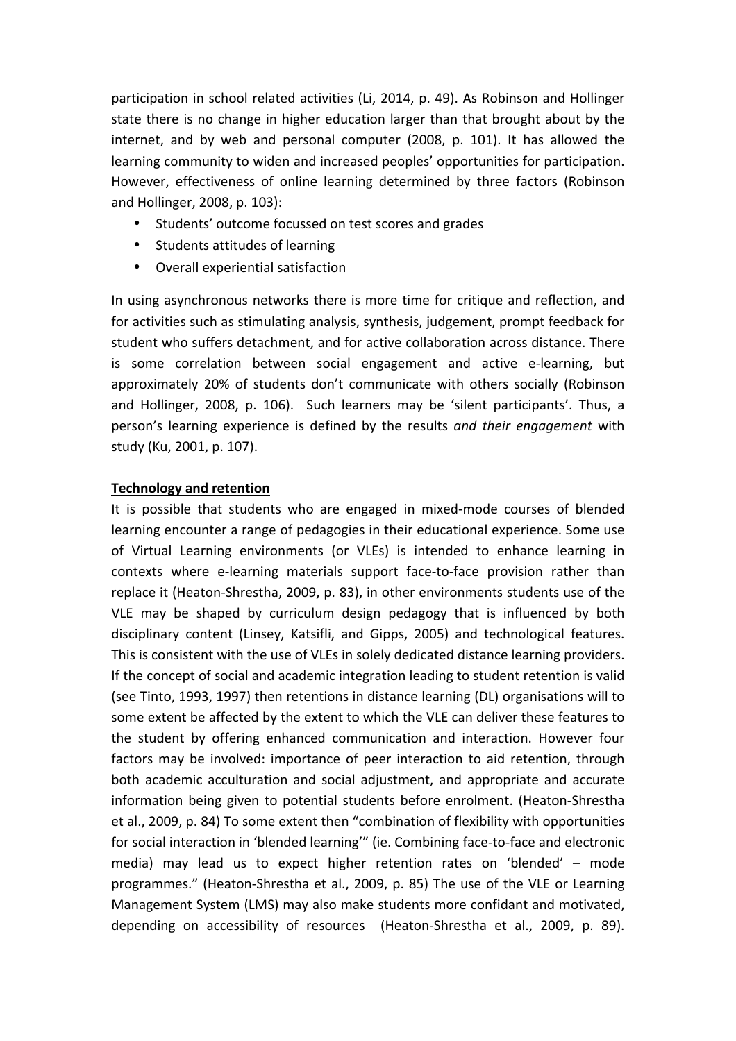participation in school related activities (Li, 2014, p. 49). As Robinson and Hollinger state there is no change in higher education larger than that brought about by the internet, and by web and personal computer (2008, p. 101). It has allowed the learning community to widen and increased peoples' opportunities for participation. However, effectiveness of online learning determined by three factors (Robinson and Hollinger, 2008, p. 103):

- Students' outcome focussed on test scores and grades
- Students attitudes of learning
- Overall experiential satisfaction

In using asynchronous networks there is more time for critique and reflection, and for activities such as stimulating analysis, synthesis, judgement, prompt feedback for student who suffers detachment, and for active collaboration across distance. There is some correlation between social engagement and active e-learning, but approximately 20% of students don't communicate with others socially (Robinson and Hollinger, 2008, p. 106). Such learners may be 'silent participants'. Thus, a person's learning experience is defined by the results and their engagement with study (Ku, 2001, p. 107).

## **Technology and retention**

It is possible that students who are engaged in mixed-mode courses of blended learning encounter a range of pedagogies in their educational experience. Some use of Virtual Learning environments (or VLEs) is intended to enhance learning in contexts where e-learning materials support face-to-face provision rather than replace it (Heaton-Shrestha, 2009, p. 83), in other environments students use of the VLE may be shaped by curriculum design pedagogy that is influenced by both disciplinary content (Linsey, Katsifli, and Gipps, 2005) and technological features. This is consistent with the use of VLEs in solely dedicated distance learning providers. If the concept of social and academic integration leading to student retention is valid (see Tinto, 1993, 1997) then retentions in distance learning (DL) organisations will to some extent be affected by the extent to which the VLE can deliver these features to the student by offering enhanced communication and interaction. However four factors may be involved: importance of peer interaction to aid retention, through both academic acculturation and social adjustment, and appropriate and accurate information being given to potential students before enrolment. (Heaton-Shrestha et al., 2009, p. 84) To some extent then "combination of flexibility with opportunities for social interaction in 'blended learning'" (ie. Combining face-to-face and electronic media) may lead us to expect higher retention rates on 'blended' – mode programmes." (Heaton-Shrestha et al., 2009, p. 85) The use of the VLE or Learning Management System (LMS) may also make students more confidant and motivated, depending on accessibility of resources (Heaton-Shrestha et al., 2009, p. 89).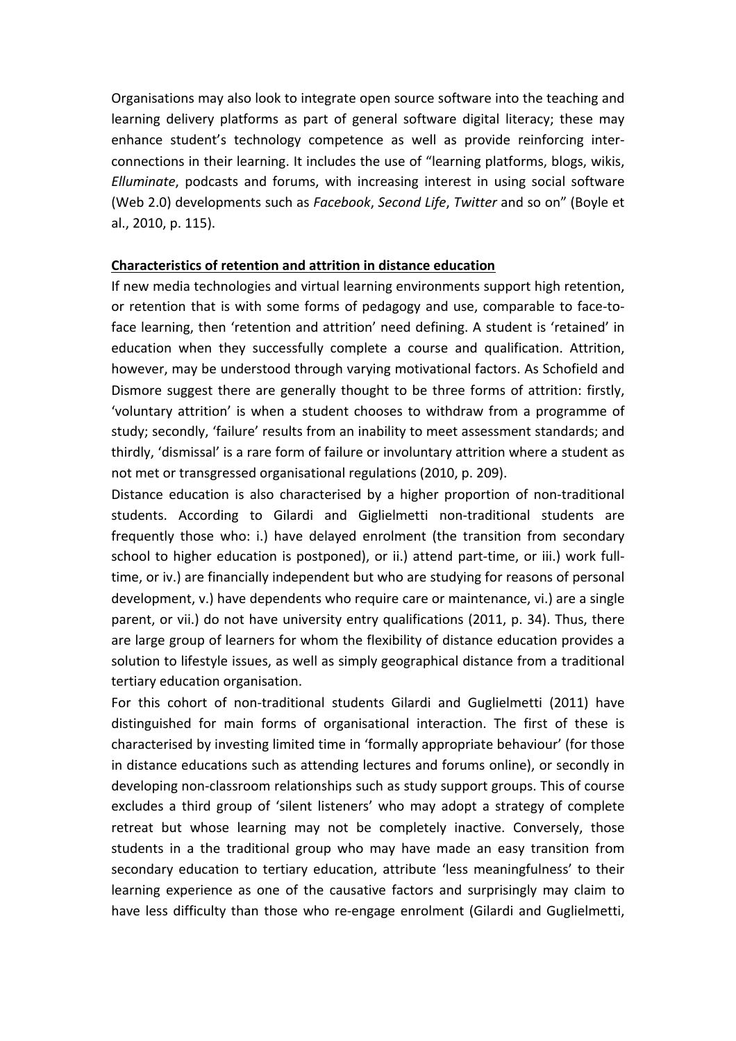Organisations may also look to integrate open source software into the teaching and learning delivery platforms as part of general software digital literacy; these may enhance student's technology competence as well as provide reinforcing interconnections in their learning. It includes the use of "learning platforms, blogs, wikis, *Elluminate*, podcasts and forums, with increasing interest in using social software (Web 2.0) developments such as *Facebook*, *Second Life*, *Twitter* and so on" (Boyle et al., 2010, p. 115).

### **Characteristics of retention and attrition in distance education**

If new media technologies and virtual learning environments support high retention, or retention that is with some forms of pedagogy and use, comparable to face-toface learning, then 'retention and attrition' need defining. A student is 'retained' in education when they successfully complete a course and qualification. Attrition, however, may be understood through varying motivational factors. As Schofield and Dismore suggest there are generally thought to be three forms of attrition: firstly, 'voluntary attrition' is when a student chooses to withdraw from a programme of study; secondly, 'failure' results from an inability to meet assessment standards; and thirdly, 'dismissal' is a rare form of failure or involuntary attrition where a student as not met or transgressed organisational regulations (2010, p. 209).

Distance education is also characterised by a higher proportion of non-traditional students. According to Gilardi and Giglielmetti non-traditional students are frequently those who: i.) have delayed enrolment (the transition from secondary school to higher education is postponed), or ii.) attend part-time, or iii.) work fulltime, or iv.) are financially independent but who are studying for reasons of personal development, v.) have dependents who require care or maintenance, vi.) are a single parent, or vii.) do not have university entry qualifications (2011, p. 34). Thus, there are large group of learners for whom the flexibility of distance education provides a solution to lifestyle issues, as well as simply geographical distance from a traditional tertiary education organisation.

For this cohort of non-traditional students Gilardi and Guglielmetti (2011) have distinguished for main forms of organisational interaction. The first of these is characterised by investing limited time in 'formally appropriate behaviour' (for those in distance educations such as attending lectures and forums online), or secondly in developing non-classroom relationships such as study support groups. This of course excludes a third group of 'silent listeners' who may adopt a strategy of complete retreat but whose learning may not be completely inactive. Conversely, those students in a the traditional group who may have made an easy transition from secondary education to tertiary education, attribute 'less meaningfulness' to their learning experience as one of the causative factors and surprisingly may claim to have less difficulty than those who re-engage enrolment (Gilardi and Guglielmetti,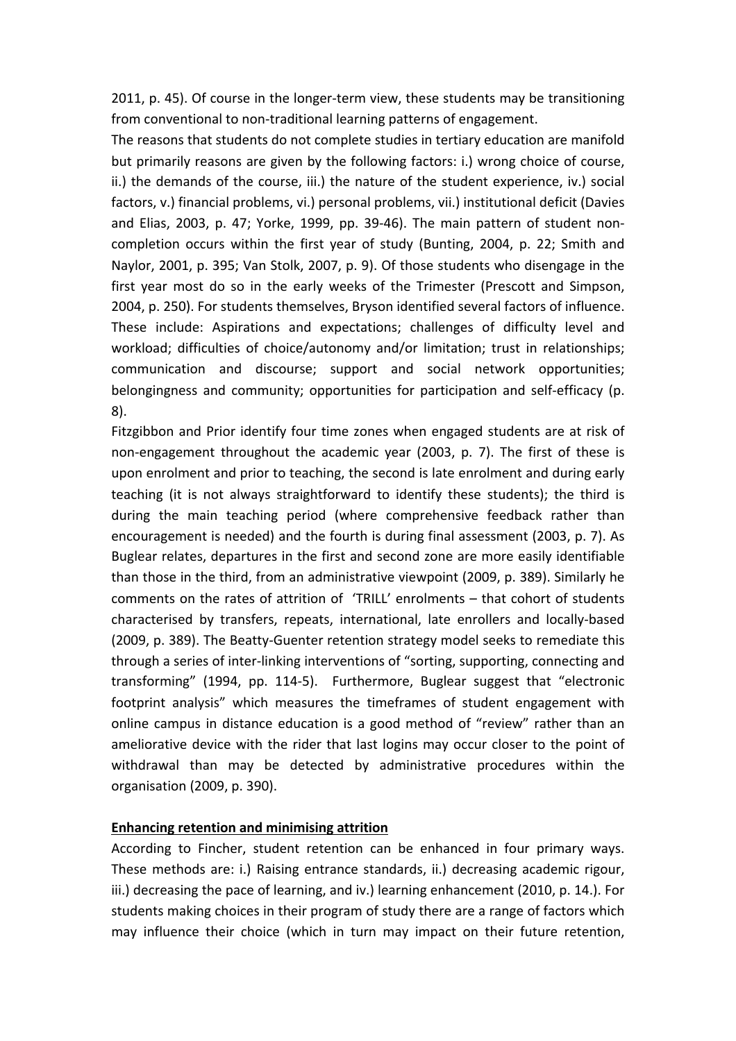2011, p. 45). Of course in the longer-term view, these students may be transitioning from conventional to non-traditional learning patterns of engagement.

The reasons that students do not complete studies in tertiary education are manifold but primarily reasons are given by the following factors: i.) wrong choice of course, ii.) the demands of the course, iii.) the nature of the student experience, iv.) social factors, v.) financial problems, vi.) personal problems, vii.) institutional deficit (Davies and Elias, 2003, p. 47; Yorke, 1999, pp. 39-46). The main pattern of student noncompletion occurs within the first year of study (Bunting, 2004, p. 22; Smith and Naylor, 2001, p. 395; Van Stolk, 2007, p. 9). Of those students who disengage in the first year most do so in the early weeks of the Trimester (Prescott and Simpson, 2004, p. 250). For students themselves, Bryson identified several factors of influence. These include: Aspirations and expectations; challenges of difficulty level and workload; difficulties of choice/autonomy and/or limitation; trust in relationships; communication and discourse; support and social network opportunities; belongingness and community; opportunities for participation and self-efficacy (p. 8). 

Fitzgibbon and Prior identify four time zones when engaged students are at risk of non-engagement throughout the academic year (2003, p. 7). The first of these is upon enrolment and prior to teaching, the second is late enrolment and during early teaching (it is not always straightforward to identify these students); the third is during the main teaching period (where comprehensive feedback rather than encouragement is needed) and the fourth is during final assessment (2003, p. 7). As Buglear relates, departures in the first and second zone are more easily identifiable than those in the third, from an administrative viewpoint (2009, p. 389). Similarly he comments on the rates of attrition of 'TRILL' enrolments - that cohort of students characterised by transfers, repeats, international, late enrollers and locally-based (2009, p. 389). The Beatty-Guenter retention strategy model seeks to remediate this through a series of inter-linking interventions of "sorting, supporting, connecting and transforming" (1994, pp. 114-5). Furthermore, Buglear suggest that "electronic footprint analysis" which measures the timeframes of student engagement with online campus in distance education is a good method of "review" rather than an ameliorative device with the rider that last logins may occur closer to the point of withdrawal than may be detected by administrative procedures within the organisation (2009, p. 390).

### **Enhancing retention and minimising attrition**

According to Fincher, student retention can be enhanced in four primary ways. These methods are: i.) Raising entrance standards, ii.) decreasing academic rigour, iii.) decreasing the pace of learning, and iv.) learning enhancement (2010, p. 14.). For students making choices in their program of study there are a range of factors which may influence their choice (which in turn may impact on their future retention,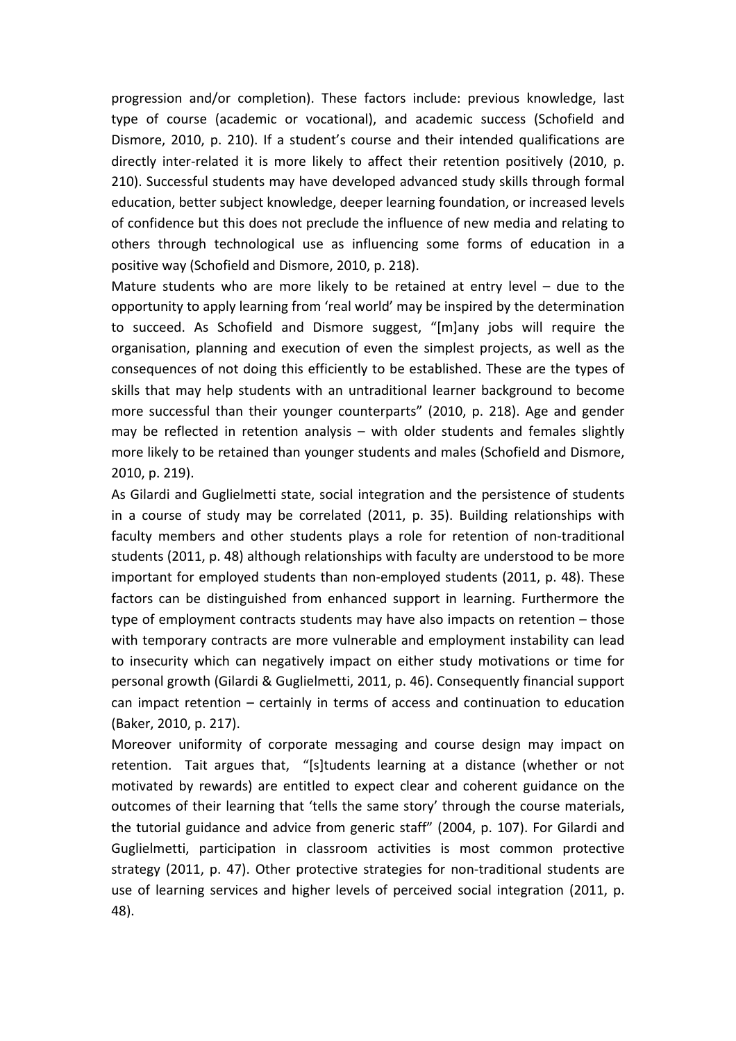progression and/or completion). These factors include: previous knowledge, last type of course (academic or vocational), and academic success (Schofield and Dismore, 2010, p. 210). If a student's course and their intended qualifications are directly inter-related it is more likely to affect their retention positively (2010, p. 210). Successful students may have developed advanced study skills through formal education, better subject knowledge, deeper learning foundation, or increased levels of confidence but this does not preclude the influence of new media and relating to others through technological use as influencing some forms of education in a positive way (Schofield and Dismore, 2010, p. 218).

Mature students who are more likely to be retained at entry level  $-$  due to the opportunity to apply learning from 'real world' may be inspired by the determination to succeed. As Schofield and Dismore suggest, "[m]any jobs will require the organisation, planning and execution of even the simplest projects, as well as the consequences of not doing this efficiently to be established. These are the types of skills that may help students with an untraditional learner background to become more successful than their younger counterparts" (2010, p. 218). Age and gender may be reflected in retention analysis  $-$  with older students and females slightly more likely to be retained than younger students and males (Schofield and Dismore, 2010, p. 219).

As Gilardi and Guglielmetti state, social integration and the persistence of students in a course of study may be correlated  $(2011, p. 35)$ . Building relationships with faculty members and other students plays a role for retention of non-traditional students (2011, p. 48) although relationships with faculty are understood to be more important for employed students than non-employed students (2011, p. 48). These factors can be distinguished from enhanced support in learning. Furthermore the type of employment contracts students may have also impacts on retention  $-$  those with temporary contracts are more vulnerable and employment instability can lead to insecurity which can negatively impact on either study motivations or time for personal growth (Gilardi & Guglielmetti, 2011, p. 46). Consequently financial support can impact retention  $-$  certainly in terms of access and continuation to education (Baker, 2010, p. 217).

Moreover uniformity of corporate messaging and course design may impact on retention. Tait argues that, "[s]tudents learning at a distance (whether or not motivated by rewards) are entitled to expect clear and coherent guidance on the outcomes of their learning that 'tells the same story' through the course materials, the tutorial guidance and advice from generic staff" (2004, p. 107). For Gilardi and Guglielmetti, participation in classroom activities is most common protective strategy (2011, p. 47). Other protective strategies for non-traditional students are use of learning services and higher levels of perceived social integration (2011, p. 48).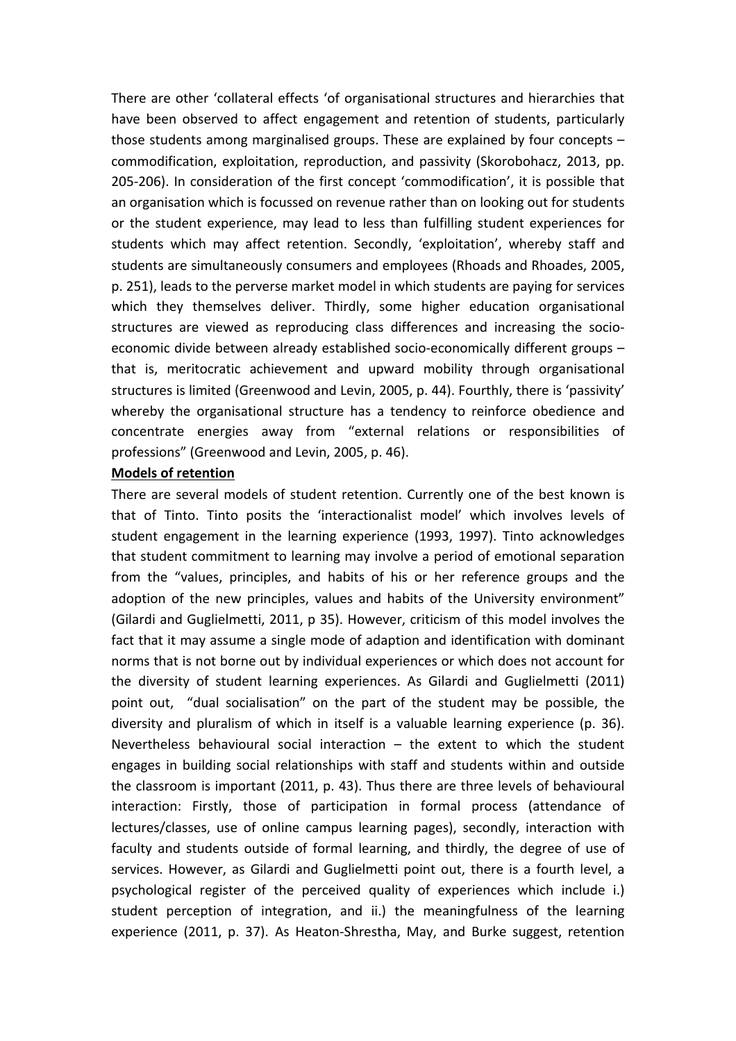There are other 'collateral effects 'of organisational structures and hierarchies that have been observed to affect engagement and retention of students, particularly those students among marginalised groups. These are explained by four concepts  $$ commodification, exploitation, reproduction, and passivity (Skorobohacz, 2013, pp. 205-206). In consideration of the first concept 'commodification', it is possible that an organisation which is focussed on revenue rather than on looking out for students or the student experience, may lead to less than fulfilling student experiences for students which may affect retention. Secondly, 'exploitation', whereby staff and students are simultaneously consumers and employees (Rhoads and Rhoades, 2005, p. 251), leads to the perverse market model in which students are paying for services which they themselves deliver. Thirdly, some higher education organisational structures are viewed as reproducing class differences and increasing the socioeconomic divide between already established socio-economically different groups that is, meritocratic achievement and upward mobility through organisational structures is limited (Greenwood and Levin, 2005, p. 44). Fourthly, there is 'passivity' whereby the organisational structure has a tendency to reinforce obedience and concentrate energies away from "external relations or responsibilities of professions" (Greenwood and Levin, 2005, p. 46).

#### **Models of retention**

There are several models of student retention. Currently one of the best known is that of Tinto. Tinto posits the 'interactionalist model' which involves levels of student engagement in the learning experience (1993, 1997). Tinto acknowledges that student commitment to learning may involve a period of emotional separation from the "values, principles, and habits of his or her reference groups and the adoption of the new principles, values and habits of the University environment" (Gilardi and Guglielmetti, 2011, p 35). However, criticism of this model involves the fact that it may assume a single mode of adaption and identification with dominant norms that is not borne out by individual experiences or which does not account for the diversity of student learning experiences. As Gilardi and Guglielmetti (2011) point out, "dual socialisation" on the part of the student may be possible, the diversity and pluralism of which in itself is a valuable learning experience (p. 36). Nevertheless behavioural social interaction  $-$  the extent to which the student engages in building social relationships with staff and students within and outside the classroom is important (2011, p. 43). Thus there are three levels of behavioural interaction: Firstly, those of participation in formal process (attendance of lectures/classes, use of online campus learning pages), secondly, interaction with faculty and students outside of formal learning, and thirdly, the degree of use of services. However, as Gilardi and Guglielmetti point out, there is a fourth level, a psychological register of the perceived quality of experiences which include i.) student perception of integration, and ii.) the meaningfulness of the learning experience (2011, p. 37). As Heaton-Shrestha, May, and Burke suggest, retention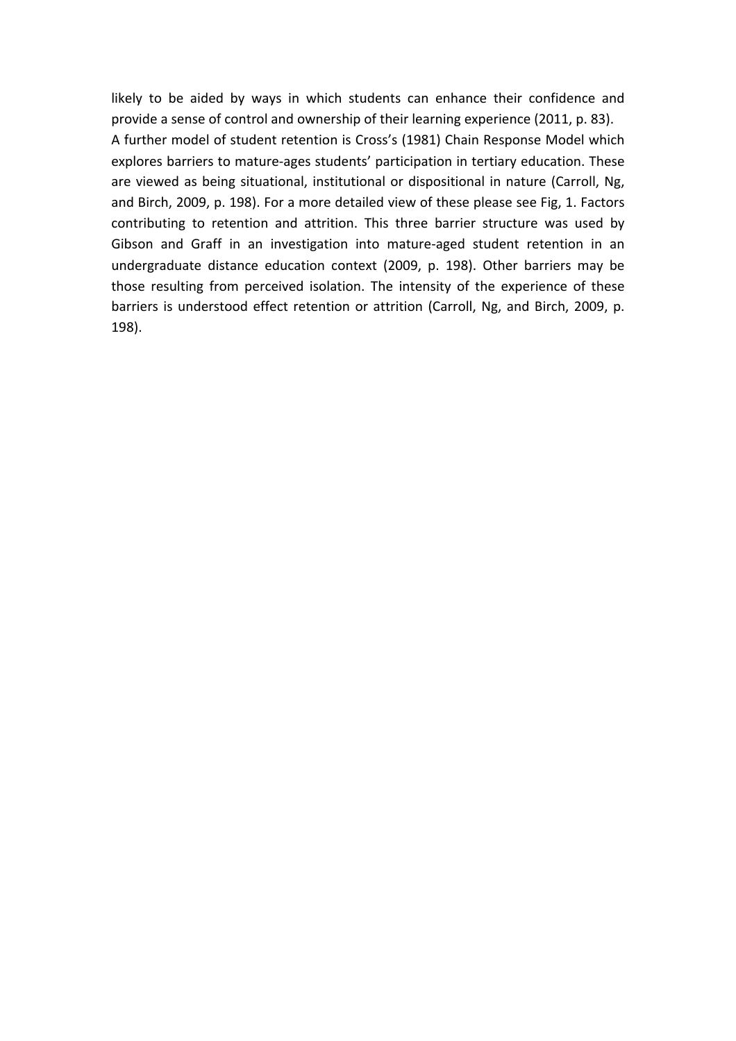likely to be aided by ways in which students can enhance their confidence and provide a sense of control and ownership of their learning experience (2011, p. 83). A further model of student retention is Cross's (1981) Chain Response Model which explores barriers to mature-ages students' participation in tertiary education. These are viewed as being situational, institutional or dispositional in nature (Carroll, Ng, and Birch, 2009, p. 198). For a more detailed view of these please see Fig, 1. Factors contributing to retention and attrition. This three barrier structure was used by Gibson and Graff in an investigation into mature-aged student retention in an undergraduate distance education context (2009, p. 198). Other barriers may be those resulting from perceived isolation. The intensity of the experience of these barriers is understood effect retention or attrition (Carroll, Ng, and Birch, 2009, p. 198).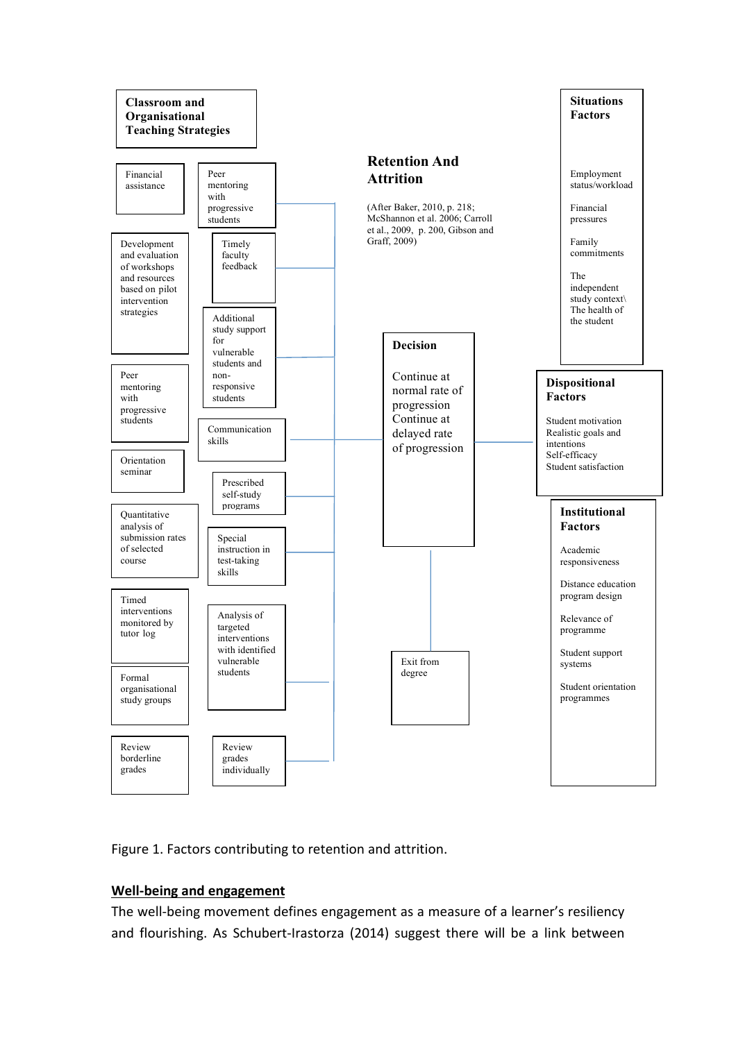

Figure 1. Factors contributing to retention and attrition.

## **Well-being and engagement**

The well-being movement defines engagement as a measure of a learner's resiliency and flourishing. As Schubert-Irastorza (2014) suggest there will be a link between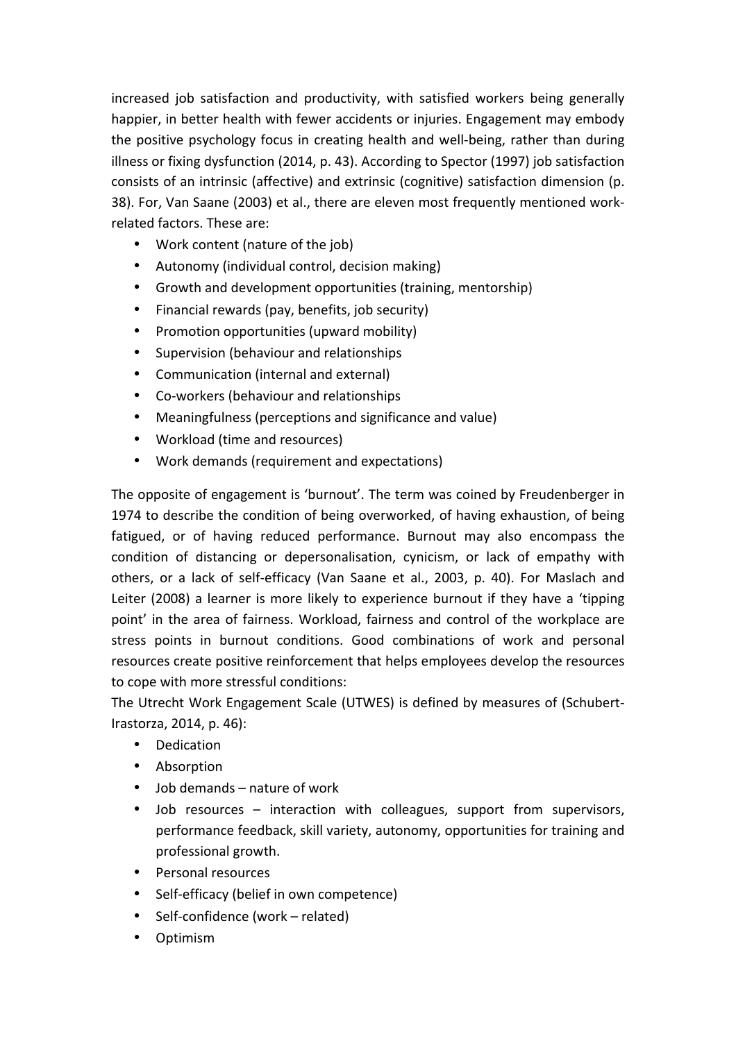increased job satisfaction and productivity, with satisfied workers being generally happier, in better health with fewer accidents or injuries. Engagement may embody the positive psychology focus in creating health and well-being, rather than during illness or fixing dysfunction (2014, p. 43). According to Spector (1997) job satisfaction consists of an intrinsic (affective) and extrinsic (cognitive) satisfaction dimension (p. 38). For, Van Saane (2003) et al., there are eleven most frequently mentioned workrelated factors. These are:

- Work content (nature of the job)
- Autonomy (individual control, decision making)
- Growth and development opportunities (training, mentorship)
- Financial rewards (pay, benefits, job security)
- Promotion opportunities (upward mobility)
- Supervision (behaviour and relationships
- Communication (internal and external)
- Co-workers (behaviour and relationships
- Meaningfulness (perceptions and significance and value)
- Workload (time and resources)
- Work demands (requirement and expectations)

The opposite of engagement is 'burnout'. The term was coined by Freudenberger in 1974 to describe the condition of being overworked, of having exhaustion, of being fatigued, or of having reduced performance. Burnout may also encompass the condition of distancing or depersonalisation, cynicism, or lack of empathy with others, or a lack of self-efficacy (Van Saane et al., 2003, p. 40). For Maslach and Leiter (2008) a learner is more likely to experience burnout if they have a 'tipping point' in the area of fairness. Workload, fairness and control of the workplace are stress points in burnout conditions. Good combinations of work and personal resources create positive reinforcement that helps employees develop the resources to cope with more stressful conditions:

The Utrecht Work Engagement Scale (UTWES) is defined by measures of (Schubert-Irastorza, 2014, p. 46):

- Dedication
- Absorption
- $\bullet$  Job demands nature of work
- Job resources interaction with colleagues, support from supervisors, performance feedback, skill variety, autonomy, opportunities for training and professional growth.
- Personal resources
- Self-efficacy (belief in own competence)
- Self-confidence (work related)
- Optimism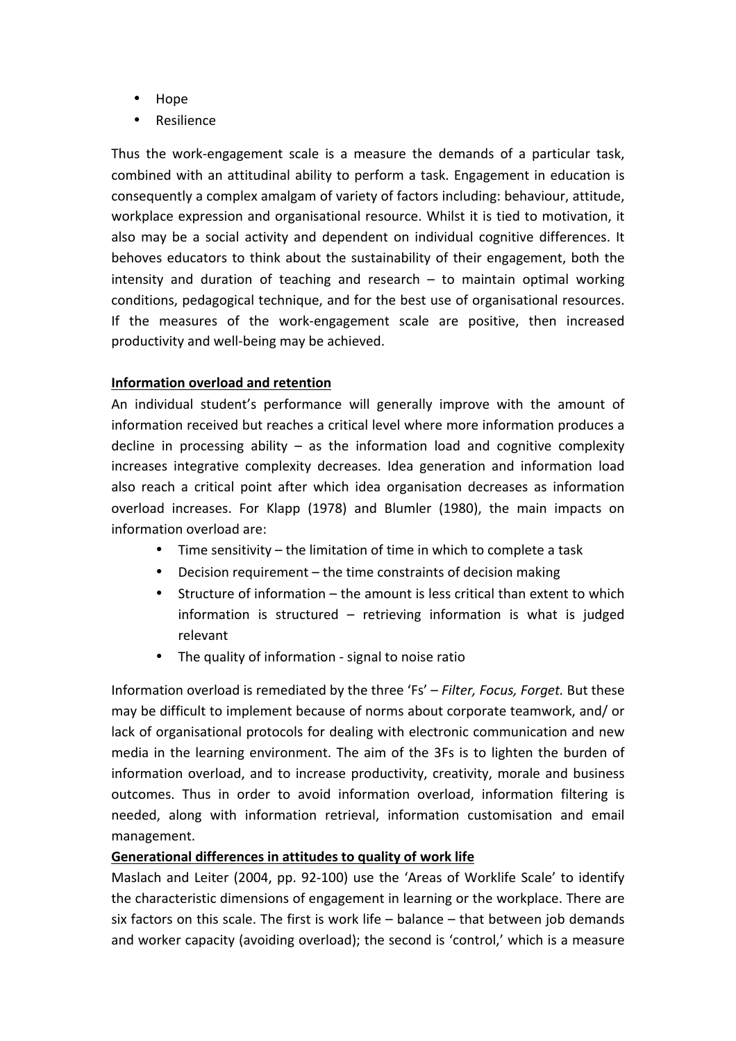- Hope
- Resilience

Thus the work-engagement scale is a measure the demands of a particular task, combined with an attitudinal ability to perform a task. Engagement in education is consequently a complex amalgam of variety of factors including: behaviour, attitude, workplace expression and organisational resource. Whilst it is tied to motivation, it also may be a social activity and dependent on individual cognitive differences. It behoves educators to think about the sustainability of their engagement, both the intensity and duration of teaching and research  $-$  to maintain optimal working conditions, pedagogical technique, and for the best use of organisational resources. If the measures of the work-engagement scale are positive, then increased productivity and well-being may be achieved.

### **Information overload and retention**

An individual student's performance will generally improve with the amount of information received but reaches a critical level where more information produces a decline in processing ability  $-$  as the information load and cognitive complexity increases integrative complexity decreases. Idea generation and information load also reach a critical point after which idea organisation decreases as information overload increases. For Klapp (1978) and Blumler (1980), the main impacts on information overload are:

- Time sensitivity  $-$  the limitation of time in which to complete a task
- Decision requirement  $-$  the time constraints of decision making
- Structure of information  $-$  the amount is less critical than extent to which information is structured  $-$  retrieving information is what is judged relevant
- The quality of information signal to noise ratio

Information overload is remediated by the three 'Fs' – *Filter, Focus, Forget*. But these may be difficult to implement because of norms about corporate teamwork, and/ or lack of organisational protocols for dealing with electronic communication and new media in the learning environment. The aim of the 3Fs is to lighten the burden of information overload, and to increase productivity, creativity, morale and business outcomes. Thus in order to avoid information overload, information filtering is needed, along with information retrieval, information customisation and email management. 

## **Generational differences in attitudes to quality of work life**

Maslach and Leiter (2004, pp. 92-100) use the 'Areas of Worklife Scale' to identify the characteristic dimensions of engagement in learning or the workplace. There are six factors on this scale. The first is work life  $-$  balance  $-$  that between job demands and worker capacity (avoiding overload); the second is 'control,' which is a measure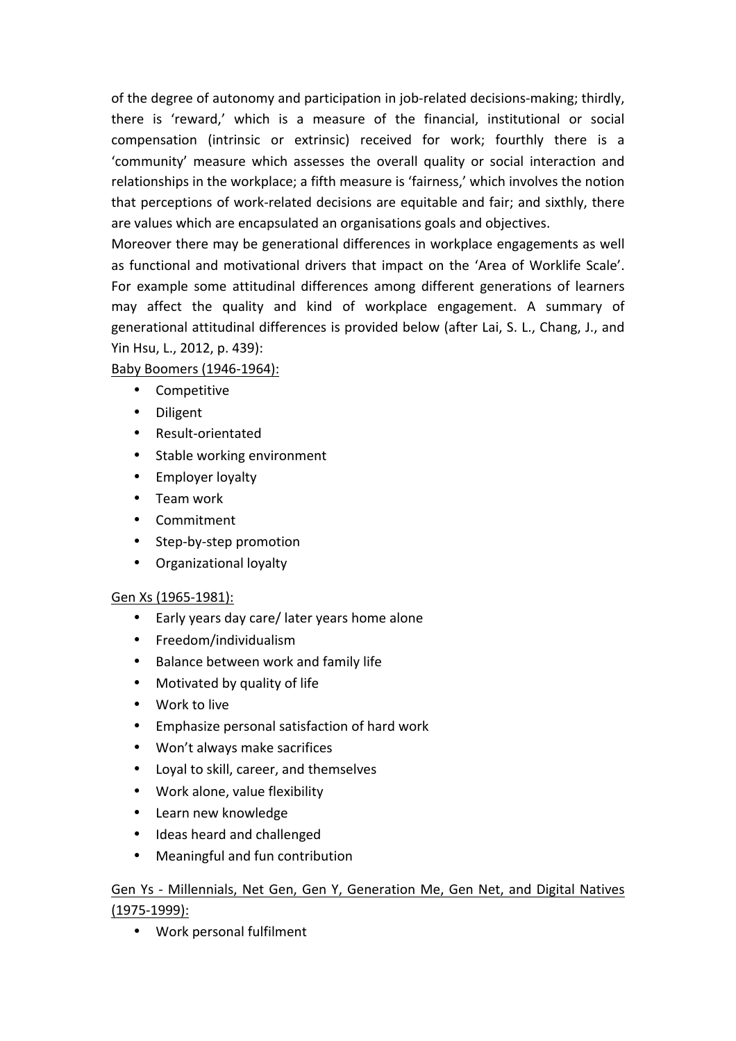of the degree of autonomy and participation in job-related decisions-making; thirdly, there is 'reward,' which is a measure of the financial, institutional or social compensation (intrinsic or extrinsic) received for work; fourthly there is a 'community' measure which assesses the overall quality or social interaction and relationships in the workplace; a fifth measure is 'fairness,' which involves the notion that perceptions of work-related decisions are equitable and fair; and sixthly, there are values which are encapsulated an organisations goals and objectives.

Moreover there may be generational differences in workplace engagements as well as functional and motivational drivers that impact on the 'Area of Worklife Scale'. For example some attitudinal differences among different generations of learners may affect the quality and kind of workplace engagement. A summary of generational attitudinal differences is provided below (after Lai, S. L., Chang, J., and Yin Hsu, L., 2012, p. 439):

## Baby Boomers (1946-1964):

- Competitive
- Diligent
- Result-orientated
- Stable working environment
- Employer loyalty
- Team work
- Commitment
- Step-by-step promotion
- Organizational loyalty

## Gen Xs (1965-1981):

- Early years day care/ later years home alone
- Freedom/individualism
- Balance between work and family life
- Motivated by quality of life
- Work to live
- Emphasize personal satisfaction of hard work
- Won't always make sacrifices
- Loyal to skill, career, and themselves
- Work alone, value flexibility
- Learn new knowledge
- Ideas heard and challenged
- Meaningful and fun contribution

# Gen Ys - Millennials, Net Gen, Gen Y, Generation Me, Gen Net, and Digital Natives (1975-1999):

• Work personal fulfilment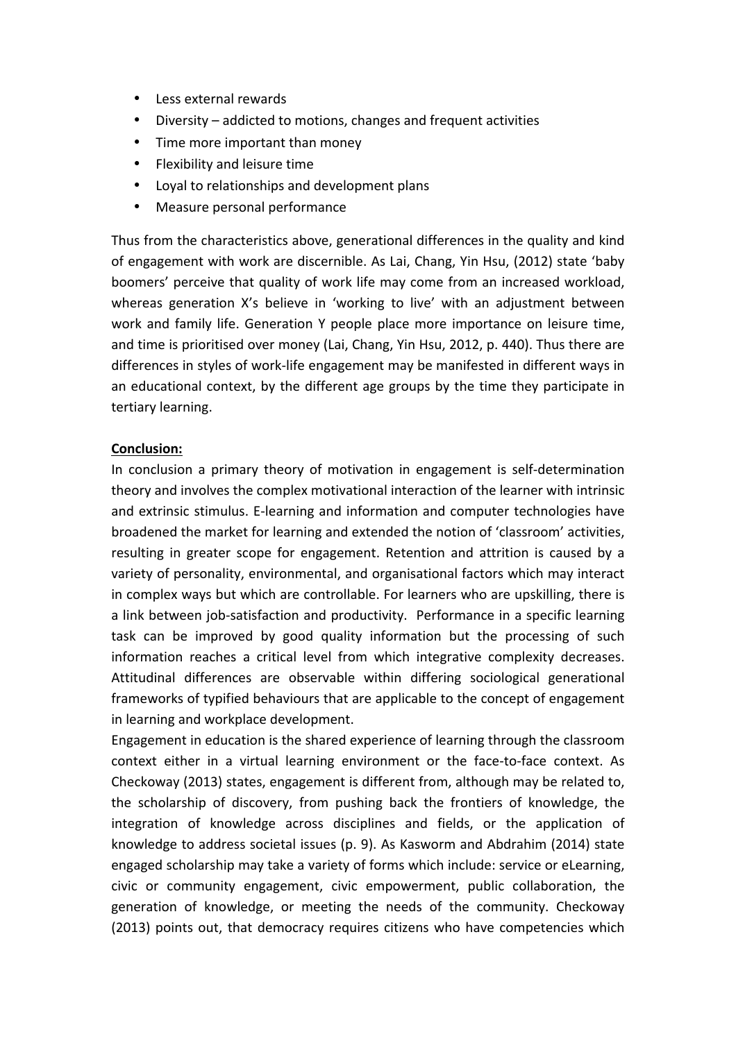- Less external rewards
- Diversity addicted to motions, changes and frequent activities
- Time more important than money
- Flexibility and leisure time
- Loyal to relationships and development plans
- Measure personal performance

Thus from the characteristics above, generational differences in the quality and kind of engagement with work are discernible. As Lai, Chang, Yin Hsu, (2012) state 'baby boomers' perceive that quality of work life may come from an increased workload, whereas generation X's believe in 'working to live' with an adjustment between work and family life. Generation Y people place more importance on leisure time, and time is prioritised over money (Lai, Chang, Yin Hsu, 2012, p. 440). Thus there are differences in styles of work-life engagement may be manifested in different ways in an educational context, by the different age groups by the time they participate in tertiary learning.

### **Conclusion:**

In conclusion a primary theory of motivation in engagement is self-determination theory and involves the complex motivational interaction of the learner with intrinsic and extrinsic stimulus. E-learning and information and computer technologies have broadened the market for learning and extended the notion of 'classroom' activities, resulting in greater scope for engagement. Retention and attrition is caused by a variety of personality, environmental, and organisational factors which may interact in complex ways but which are controllable. For learners who are upskilling, there is a link between job-satisfaction and productivity. Performance in a specific learning task can be improved by good quality information but the processing of such information reaches a critical level from which integrative complexity decreases. Attitudinal differences are observable within differing sociological generational frameworks of typified behaviours that are applicable to the concept of engagement in learning and workplace development.

Engagement in education is the shared experience of learning through the classroom context either in a virtual learning environment or the face-to-face context. As Checkoway (2013) states, engagement is different from, although may be related to, the scholarship of discovery, from pushing back the frontiers of knowledge, the integration of knowledge across disciplines and fields, or the application of knowledge to address societal issues (p. 9). As Kasworm and Abdrahim (2014) state engaged scholarship may take a variety of forms which include: service or eLearning, civic or community engagement, civic empowerment, public collaboration, the generation of knowledge, or meeting the needs of the community. Checkoway (2013) points out, that democracy requires citizens who have competencies which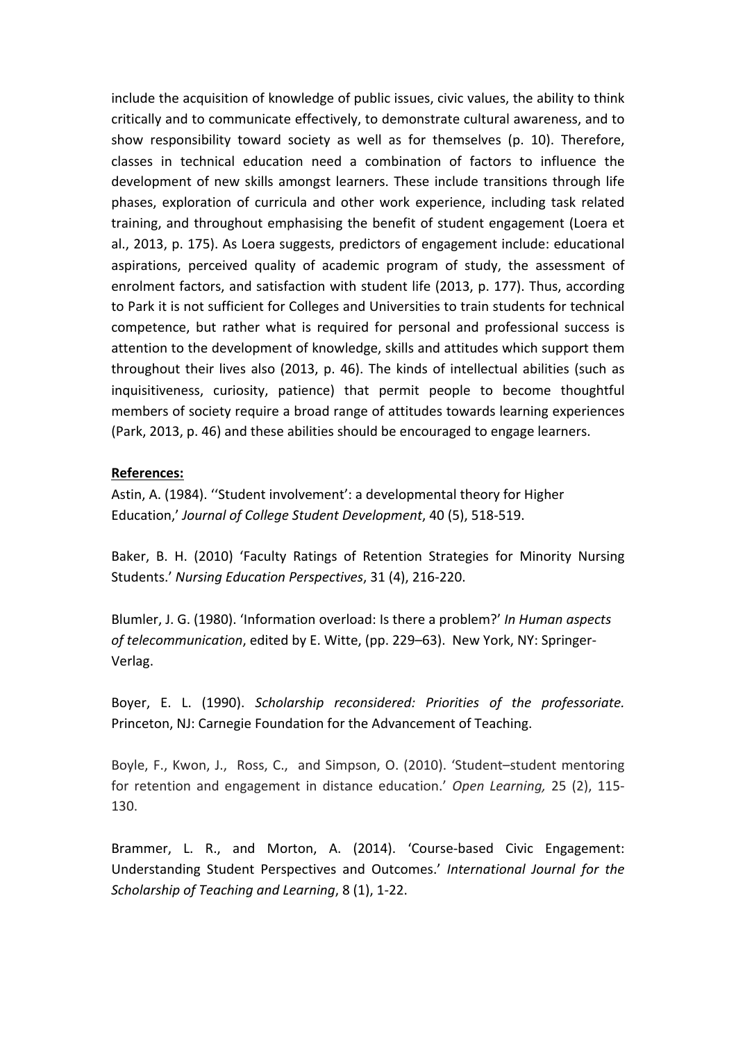include the acquisition of knowledge of public issues, civic values, the ability to think critically and to communicate effectively, to demonstrate cultural awareness, and to show responsibility toward society as well as for themselves  $(p. 10)$ . Therefore, classes in technical education need a combination of factors to influence the development of new skills amongst learners. These include transitions through life phases, exploration of curricula and other work experience, including task related training, and throughout emphasising the benefit of student engagement (Loera et al., 2013, p. 175). As Loera suggests, predictors of engagement include: educational aspirations, perceived quality of academic program of study, the assessment of enrolment factors, and satisfaction with student life  $(2013, p. 177)$ . Thus, according to Park it is not sufficient for Colleges and Universities to train students for technical competence, but rather what is required for personal and professional success is attention to the development of knowledge, skills and attitudes which support them throughout their lives also (2013, p. 46). The kinds of intellectual abilities (such as inquisitiveness, curiosity, patience) that permit people to become thoughtful members of society require a broad range of attitudes towards learning experiences (Park, 2013, p. 46) and these abilities should be encouraged to engage learners.

### **References:**

Astin, A. (1984). "Student involvement': a developmental theory for Higher Education,' Journal of College Student Development, 40 (5), 518-519.

Baker, B. H. (2010) 'Faculty Ratings of Retention Strategies for Minority Nursing Students.' *Nursing Education Perspectives*, 31 (4), 216-220.

Blumler, J. G. (1980). 'Information overload: Is there a problem?' In Human aspects *of telecommunication*, edited by E. Witte, (pp. 229–63). New York, NY: Springer-Verlag.

Boyer, E. L. (1990). *Scholarship reconsidered: Priorities of the professoriate.* Princeton, NJ: Carnegie Foundation for the Advancement of Teaching.

Boyle, F., Kwon, J., Ross, C., and Simpson, O. (2010). 'Student-student mentoring for retention and engagement in distance education.' *Open Learning*, 25 (2), 115-130.

Brammer, L. R., and Morton, A. (2014). 'Course-based Civic Engagement: Understanding Student Perspectives and Outcomes.' International Journal for the *Scholarship of Teaching and Learning*, 8(1), 1-22.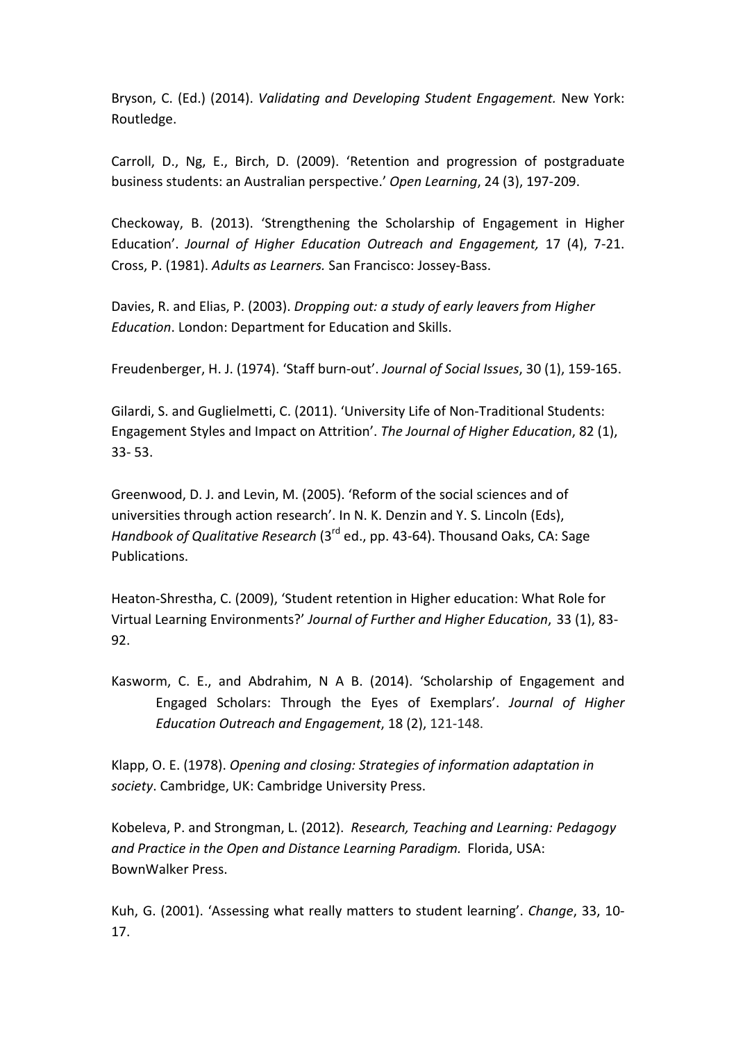Bryson, C. (Ed.) (2014). *Validating and Developing Student Engagement*. New York: Routledge.

Carroll, D., Ng, E., Birch, D. (2009). 'Retention and progression of postgraduate business students: an Australian perspective.' Open Learning, 24 (3), 197-209.

Checkoway, B. (2013). 'Strengthening the Scholarship of Engagement in Higher Education'. *Journal of Higher Education Outreach and Engagement*, 17 (4), 7-21. Cross, P. (1981). *Adults as Learners.* San Francisco: Jossey-Bass.

Davies, R. and Elias, P. (2003). *Dropping out: a study of early leavers from Higher Education*. London: Department for Education and Skills.

Freudenberger, H. J. (1974). 'Staff burn-out'. *Journal of Social Issues*, 30 (1), 159-165.

Gilardi, S. and Guglielmetti, C. (2011). 'University Life of Non-Traditional Students: Engagement Styles and Impact on Attrition'. The Journal of Higher Education, 82 (1), 33- 53.

Greenwood, D. J. and Levin, M. (2005). 'Reform of the social sciences and of universities through action research'. In N. K. Denzin and Y. S. Lincoln (Eds), *Handbook of Qualitative Research* (3<sup>rd</sup> ed., pp. 43-64). Thousand Oaks, CA: Sage Publications.

Heaton-Shrestha, C. (2009), 'Student retention in Higher education: What Role for Virtual Learning Environments?' Journal of Further and Higher Education, 33 (1), 83-92.

Kasworm, C. E., and Abdrahim, N A B. (2014). 'Scholarship of Engagement and Engaged Scholars: Through the Eyes of Exemplars'. *Journal of Higher Education Outreach and Engagement*, 18 (2), 121-148.

Klapp, O. E. (1978). *Opening and closing: Strategies of information adaptation in* society. Cambridge, UK: Cambridge University Press.

Kobeleva, P. and Strongman, L. (2012). *Research, Teaching and Learning: Pedagogy* and Practice in the Open and Distance Learning Paradigm. Florida, USA: BownWalker Press.

Kuh, G. (2001). 'Assessing what really matters to student learning'. *Change*, 33, 10-17.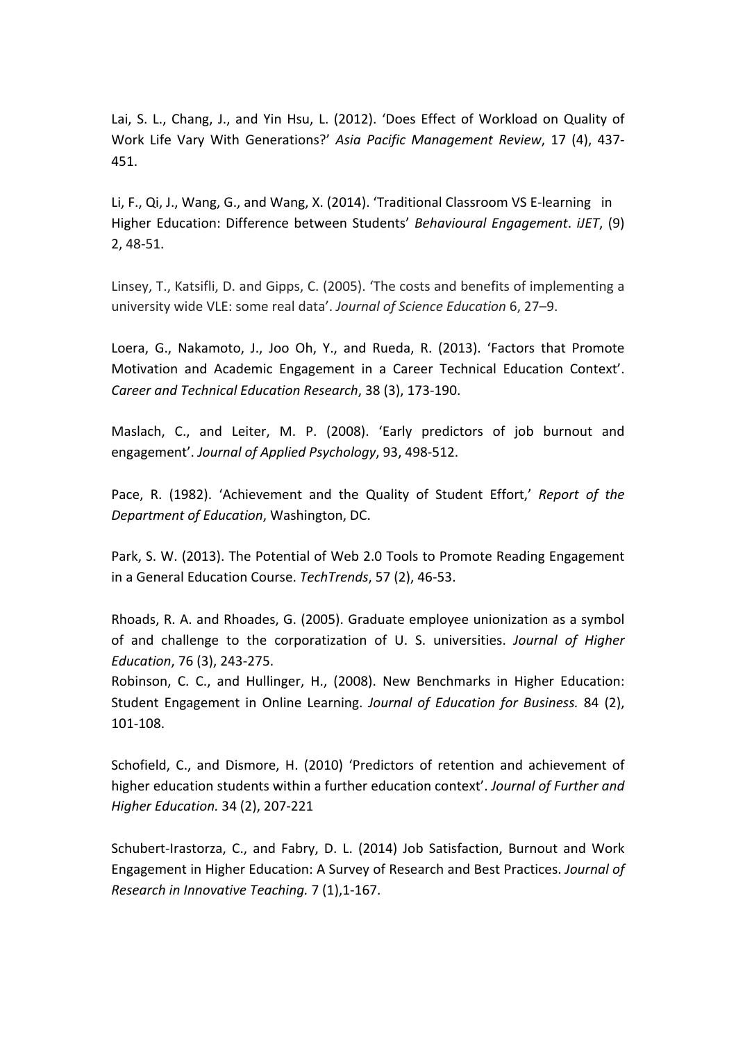Lai, S. L., Chang, J., and Yin Hsu, L. (2012). 'Does Effect of Workload on Quality of Work Life Vary With Generations?' Asia Pacific Management Review, 17 (4), 437-451.

Li, F., Qi, J., Wang, G., and Wang, X. (2014). 'Traditional Classroom VS E-learning in Higher Education: Difference between Students' Behavioural Engagement. *iJET*, (9) 2, 48-51.

Linsey, T., Katsifli, D. and Gipps, C. (2005). 'The costs and benefits of implementing a university wide VLE: some real data'. *Journal of Science Education* 6, 27–9.

Loera, G., Nakamoto, J., Joo Oh, Y., and Rueda, R. (2013). 'Factors that Promote Motivation and Academic Engagement in a Career Technical Education Context'. *Career and Technical Education Research*, 38 (3), 173-190.

Maslach, C., and Leiter, M. P. (2008). 'Early predictors of job burnout and engagement'. Journal of Applied Psychology, 93, 498-512.

Pace, R. (1982). 'Achievement and the Quality of Student Effort,' Report of the *Department of Education*, Washington, DC.

Park, S. W. (2013). The Potential of Web 2.0 Tools to Promote Reading Engagement in a General Education Course. *TechTrends*, 57 (2), 46-53.

Rhoads, R. A. and Rhoades, G. (2005). Graduate employee unionization as a symbol of and challenge to the corporatization of U. S. universities. *Journal of Higher Education*, 76 (3), 243-275.

Robinson, C. C., and Hullinger, H., (2008). New Benchmarks in Higher Education: Student Engagement in Online Learning. *Journal of Education for Business.* 84 (2), 101-108.

Schofield, C., and Dismore, H. (2010) 'Predictors of retention and achievement of higher education students within a further education context'. Journal of Further and *Higher Education.* 34 (2), 207-221

Schubert-Irastorza, C., and Fabry, D. L. (2014) Job Satisfaction, Burnout and Work Engagement in Higher Education: A Survey of Research and Best Practices. *Journal of Research in Innovative Teaching.* 7 (1), 1-167.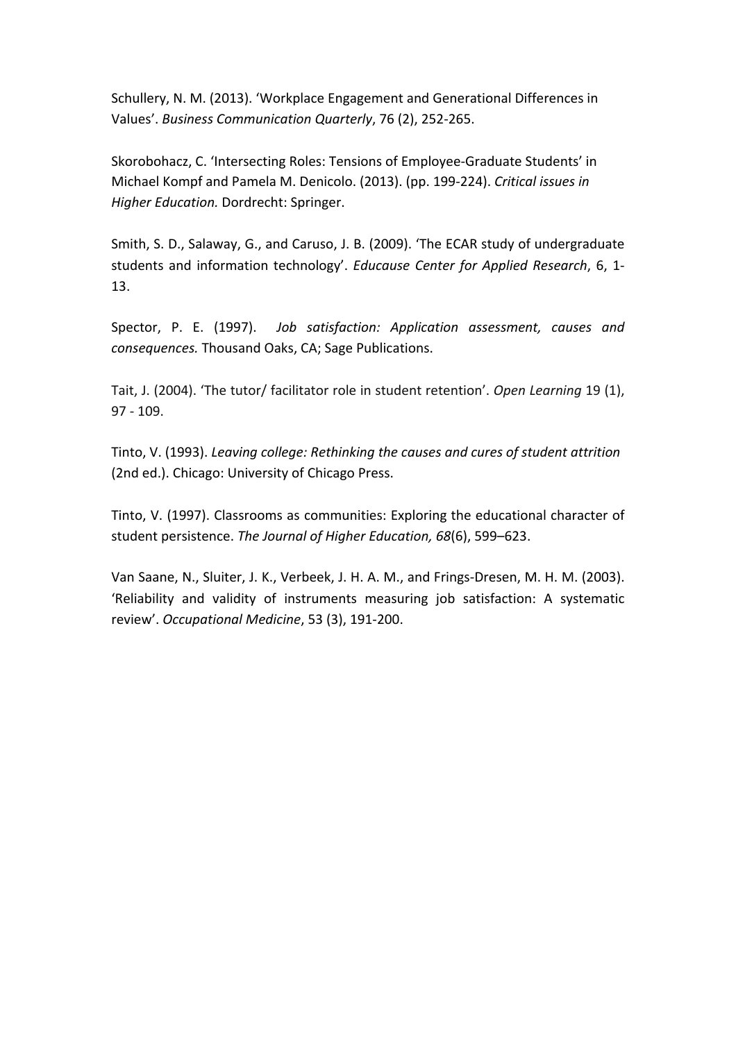Schullery, N. M. (2013). 'Workplace Engagement and Generational Differences in Values'. Business Communication Quarterly, 76 (2), 252-265.

Skorobohacz, C. 'Intersecting Roles: Tensions of Employee-Graduate Students' in Michael Kompf and Pamela M. Denicolo. (2013). (pp. 199-224). *Critical issues in Higher Education.* Dordrecht: Springer.

Smith, S. D., Salaway, G., and Caruso, J. B. (2009). 'The ECAR study of undergraduate students and information technology'. *Educause Center for Applied Research*, 6, 1-13.

Spector, P. E. (1997). Job satisfaction: Application assessment, causes and *consequences.* Thousand Oaks, CA; Sage Publications.

Tait, J. (2004). 'The tutor/ facilitator role in student retention'. Open Learning 19 (1), 97 - 109.

Tinto, V. (1993). *Leaving college: Rethinking the causes and cures of student attrition* (2nd ed.). Chicago: University of Chicago Press.

Tinto, V. (1997). Classrooms as communities: Exploring the educational character of student persistence. The Journal of Higher Education, 68(6), 599-623.

Van Saane, N., Sluiter, J. K., Verbeek, J. H. A. M., and Frings-Dresen, M. H. M. (2003). 'Reliability and validity of instruments measuring job satisfaction: A systematic review'. Occupational Medicine, 53 (3), 191-200.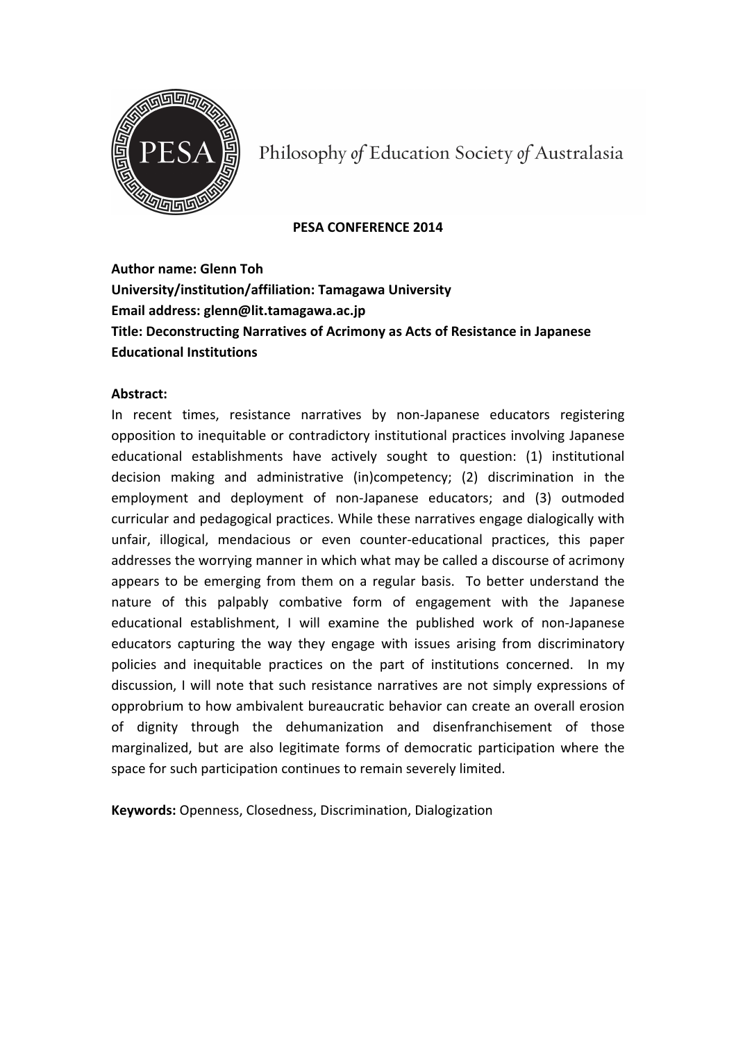

Philosophy of Education Society of Australasia

### **PESA CONFERENCE 2014**

**Author name: Glenn Toh University/institution/affiliation: Tamagawa University Email address: glenn@lit.tamagawa.ac.jp Title: Deconstructing Narratives of Acrimony as Acts of Resistance in Japanese Educational Institutions** 

### **Abstract:**

In recent times, resistance narratives by non-Japanese educators registering opposition to inequitable or contradictory institutional practices involving Japanese educational establishments have actively sought to question: (1) institutional decision making and administrative (in)competency; (2) discrimination in the employment and deployment of non-Japanese educators; and (3) outmoded curricular and pedagogical practices. While these narratives engage dialogically with unfair, illogical, mendacious or even counter-educational practices, this paper addresses the worrying manner in which what may be called a discourse of acrimony appears to be emerging from them on a regular basis. To better understand the nature of this palpably combative form of engagement with the Japanese educational establishment, I will examine the published work of non-Japanese educators capturing the way they engage with issues arising from discriminatory policies and inequitable practices on the part of institutions concerned. In my discussion, I will note that such resistance narratives are not simply expressions of opprobrium to how ambivalent bureaucratic behavior can create an overall erosion of dignity through the dehumanization and disenfranchisement of those marginalized, but are also legitimate forms of democratic participation where the space for such participation continues to remain severely limited.

**Keywords:** Openness, Closedness, Discrimination, Dialogization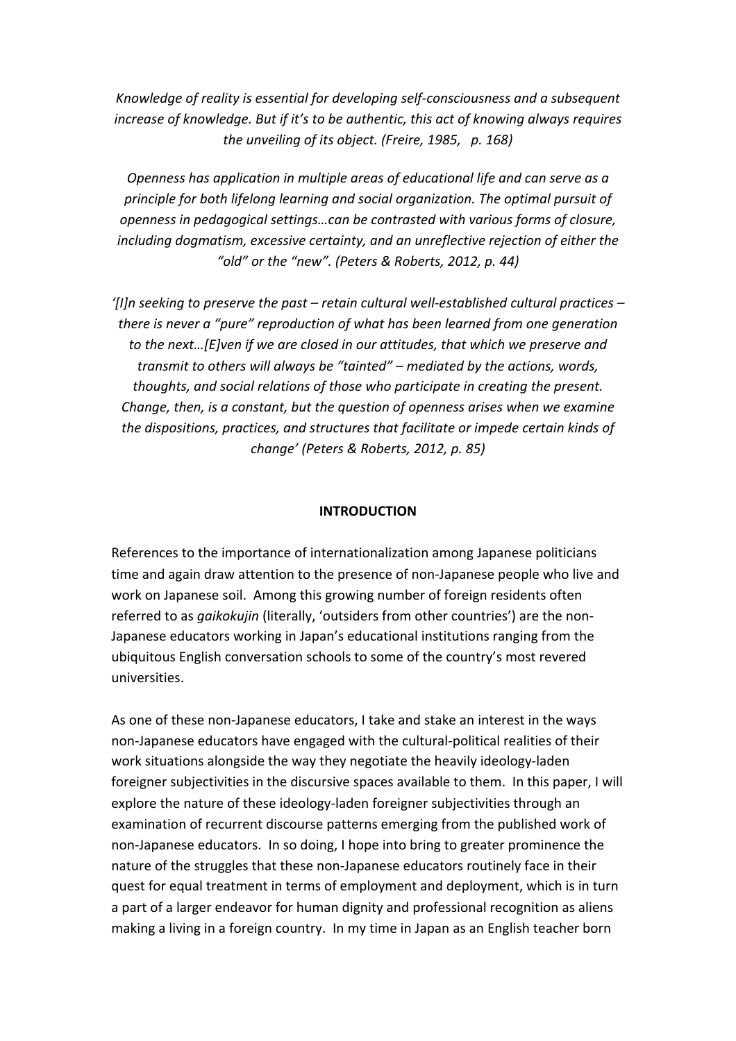*Knowledge of reality is essential for developing self-consciousness and a subsequent increase of knowledge. But if it's to be authentic, this act of knowing always requires the unveiling of its object. (Freire, 1985, p. 168)* 

*Openness has application in multiple areas of educational life and can serve as a* principle for both lifelong learning and social organization. The optimal pursuit of *openness in pedagogical settings...can be contrasted with various forms of closure, including dogmatism, excessive certainty, and an unreflective rejection of either the "old" or the "new". (Peters & Roberts, 2012, p. 44)*

*'[I]n seeking to preserve the past – retain cultural well-established cultural practices – there is never a "pure" reproduction of what has been learned from one generation to* the next...[E]ven if we are closed in our attitudes, that which we preserve and *transmit to others will always be "tainted"* – *mediated by the actions, words, thoughts, and social relations of those who participate in creating the present. Change, then, is a constant, but the question of openness arises when we examine* the dispositions, practices, and structures that facilitate or impede certain kinds of *change' (Peters & Roberts, 2012, p. 85)*

#### **INTRODUCTION**

References to the importance of internationalization among Japanese politicians time and again draw attention to the presence of non-Japanese people who live and work on Japanese soil. Among this growing number of foreign residents often referred to as *qaikokujin* (literally, 'outsiders from other countries') are the non-Japanese educators working in Japan's educational institutions ranging from the ubiquitous English conversation schools to some of the country's most revered universities. 

As one of these non-Japanese educators, I take and stake an interest in the ways non-Japanese educators have engaged with the cultural-political realities of their work situations alongside the way they negotiate the heavily ideology-laden foreigner subjectivities in the discursive spaces available to them. In this paper, I will explore the nature of these ideology-laden foreigner subjectivities through an examination of recurrent discourse patterns emerging from the published work of non-Japanese educators. In so doing, I hope into bring to greater prominence the nature of the struggles that these non-Japanese educators routinely face in their quest for equal treatment in terms of employment and deployment, which is in turn a part of a larger endeavor for human dignity and professional recognition as aliens making a living in a foreign country. In my time in Japan as an English teacher born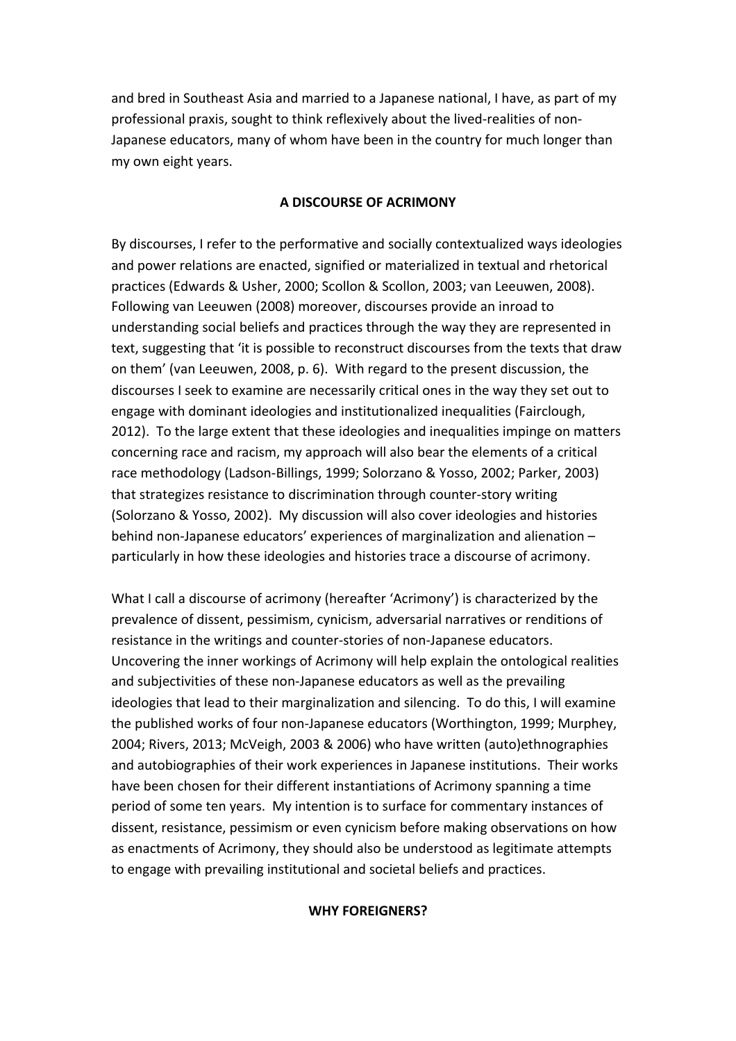and bred in Southeast Asia and married to a Japanese national, I have, as part of my professional praxis, sought to think reflexively about the lived-realities of non-Japanese educators, many of whom have been in the country for much longer than my own eight years.

#### **A DISCOURSE OF ACRIMONY**

By discourses, I refer to the performative and socially contextualized ways ideologies and power relations are enacted, signified or materialized in textual and rhetorical practices (Edwards & Usher, 2000; Scollon & Scollon, 2003; van Leeuwen, 2008). Following van Leeuwen (2008) moreover, discourses provide an inroad to understanding social beliefs and practices through the way they are represented in text, suggesting that 'it is possible to reconstruct discourses from the texts that draw on them' (van Leeuwen, 2008, p. 6). With regard to the present discussion, the discourses I seek to examine are necessarily critical ones in the way they set out to engage with dominant ideologies and institutionalized inequalities (Fairclough, 2012). To the large extent that these ideologies and inequalities impinge on matters concerning race and racism, my approach will also bear the elements of a critical race methodology (Ladson-Billings, 1999; Solorzano & Yosso, 2002; Parker, 2003) that strategizes resistance to discrimination through counter-story writing (Solorzano & Yosso, 2002). My discussion will also cover ideologies and histories behind non-Japanese educators' experiences of marginalization and alienation  $$ particularly in how these ideologies and histories trace a discourse of acrimony.

What I call a discourse of acrimony (hereafter 'Acrimony') is characterized by the prevalence of dissent, pessimism, cynicism, adversarial narratives or renditions of resistance in the writings and counter-stories of non-Japanese educators. Uncovering the inner workings of Acrimony will help explain the ontological realities and subjectivities of these non-Japanese educators as well as the prevailing ideologies that lead to their marginalization and silencing. To do this, I will examine the published works of four non-Japanese educators (Worthington, 1999; Murphey, 2004; Rivers, 2013; McVeigh, 2003 & 2006) who have written (auto)ethnographies and autobiographies of their work experiences in Japanese institutions. Their works have been chosen for their different instantiations of Acrimony spanning a time period of some ten years. My intention is to surface for commentary instances of dissent, resistance, pessimism or even cynicism before making observations on how as enactments of Acrimony, they should also be understood as legitimate attempts to engage with prevailing institutional and societal beliefs and practices.

#### **WHY FOREIGNERS?**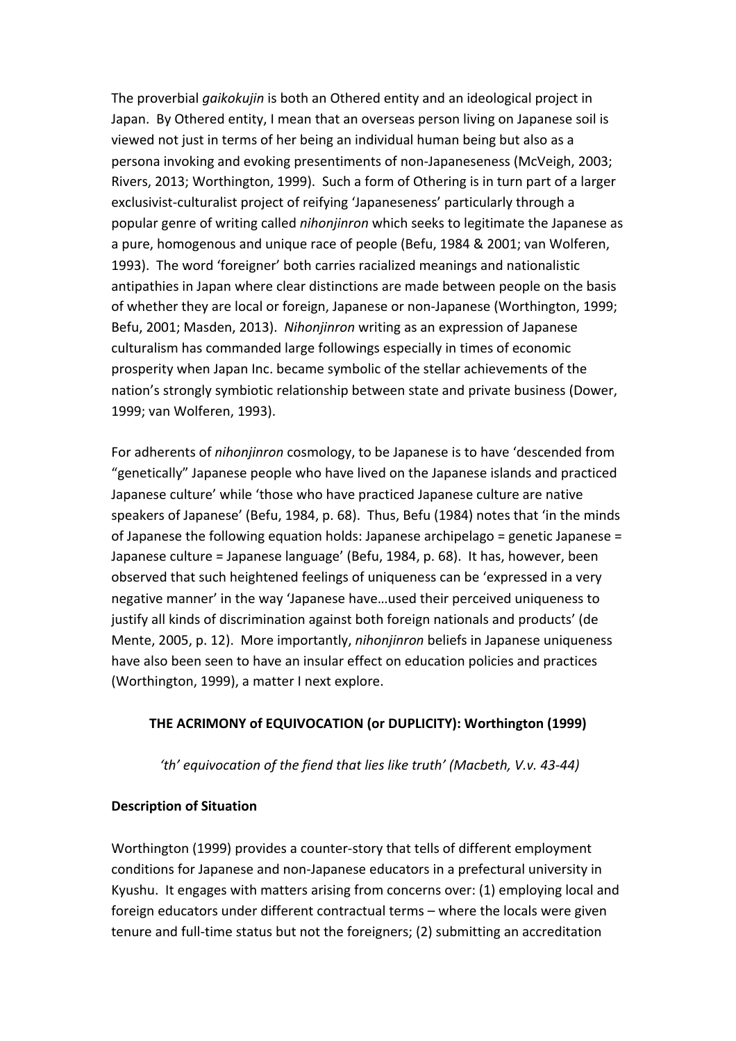The proverbial *qaikokujin* is both an Othered entity and an ideological project in Japan. By Othered entity, I mean that an overseas person living on Japanese soil is viewed not just in terms of her being an individual human being but also as a persona invoking and evoking presentiments of non-Japaneseness (McVeigh, 2003; Rivers, 2013; Worthington, 1999). Such a form of Othering is in turn part of a larger exclusivist-culturalist project of reifying 'Japaneseness' particularly through a popular genre of writing called *nihonjinron* which seeks to legitimate the Japanese as a pure, homogenous and unique race of people (Befu, 1984 & 2001; van Wolferen, 1993). The word 'foreigner' both carries racialized meanings and nationalistic antipathies in Japan where clear distinctions are made between people on the basis of whether they are local or foreign, Japanese or non-Japanese (Worthington, 1999; Befu, 2001; Masden, 2013). Nihonjinron writing as an expression of Japanese culturalism has commanded large followings especially in times of economic prosperity when Japan Inc. became symbolic of the stellar achievements of the nation's strongly symbiotic relationship between state and private business (Dower, 1999; van Wolferen, 1993).

For adherents of *nihonjinron* cosmology, to be Japanese is to have 'descended from "genetically" Japanese people who have lived on the Japanese islands and practiced Japanese culture' while 'those who have practiced Japanese culture are native speakers of Japanese' (Befu, 1984, p. 68). Thus, Befu (1984) notes that 'in the minds of Japanese the following equation holds: Japanese archipelago = genetic Japanese = Japanese culture = Japanese language' (Befu, 1984, p. 68). It has, however, been observed that such heightened feelings of uniqueness can be 'expressed in a very negative manner' in the way 'Japanese have...used their perceived uniqueness to justify all kinds of discrimination against both foreign nationals and products' (de Mente, 2005, p. 12). More importantly, *nihonjinron* beliefs in Japanese uniqueness have also been seen to have an insular effect on education policies and practices (Worthington, 1999), a matter I next explore.

### **THE ACRIMONY of EQUIVOCATION (or DUPLICITY): Worthington (1999)**

'th' equivocation of the fiend that lies like truth' (Macbeth, V.v. 43-44)

### **Description of Situation**

Worthington (1999) provides a counter-story that tells of different employment conditions for Japanese and non-Japanese educators in a prefectural university in Kyushu. It engages with matters arising from concerns over: (1) employing local and foreign educators under different contractual terms - where the locals were given tenure and full-time status but not the foreigners; (2) submitting an accreditation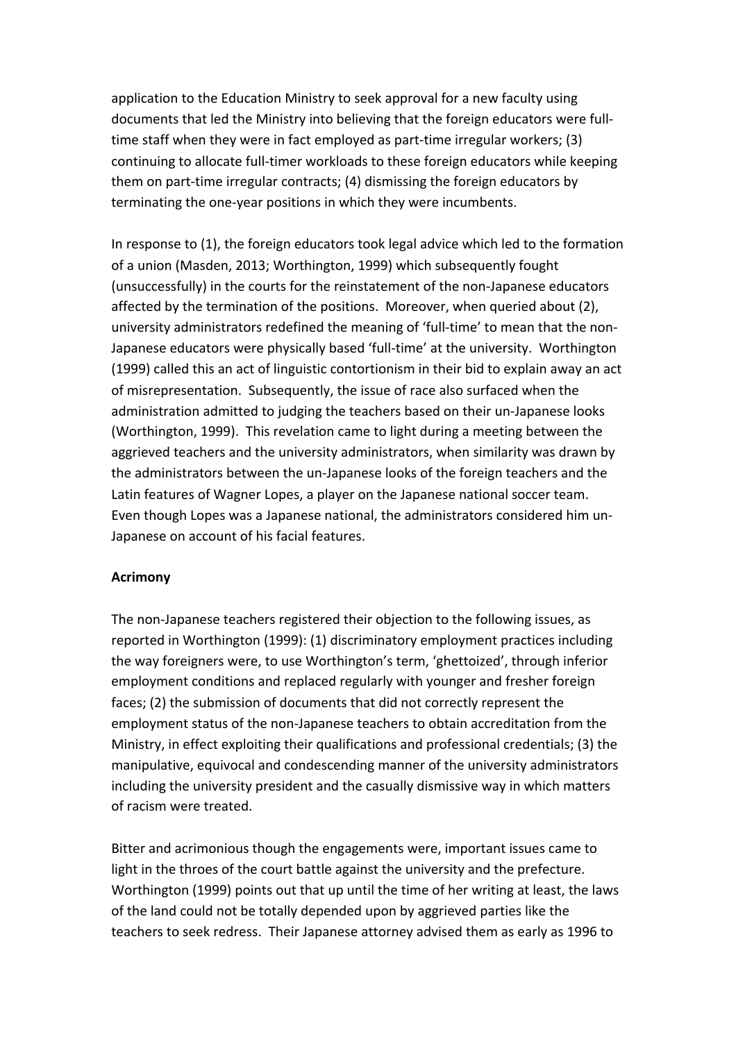application to the Education Ministry to seek approval for a new faculty using documents that led the Ministry into believing that the foreign educators were fulltime staff when they were in fact employed as part-time irregular workers; (3) continuing to allocate full-timer workloads to these foreign educators while keeping them on part-time irregular contracts; (4) dismissing the foreign educators by terminating the one-year positions in which they were incumbents.

In response to (1), the foreign educators took legal advice which led to the formation of a union (Masden, 2013; Worthington, 1999) which subsequently fought (unsuccessfully) in the courts for the reinstatement of the non-Japanese educators affected by the termination of the positions. Moreover, when queried about (2), university administrators redefined the meaning of 'full-time' to mean that the non-Japanese educators were physically based 'full-time' at the university. Worthington (1999) called this an act of linguistic contortionism in their bid to explain away an act of misrepresentation. Subsequently, the issue of race also surfaced when the administration admitted to judging the teachers based on their un-Japanese looks (Worthington, 1999). This revelation came to light during a meeting between the aggrieved teachers and the university administrators, when similarity was drawn by the administrators between the un-Japanese looks of the foreign teachers and the Latin features of Wagner Lopes, a player on the Japanese national soccer team. Even though Lopes was a Japanese national, the administrators considered him un-Japanese on account of his facial features.

### **Acrimony**

The non-Japanese teachers registered their objection to the following issues, as reported in Worthington (1999): (1) discriminatory employment practices including the way foreigners were, to use Worthington's term, 'ghettoized', through inferior employment conditions and replaced regularly with younger and fresher foreign faces; (2) the submission of documents that did not correctly represent the employment status of the non-Japanese teachers to obtain accreditation from the Ministry, in effect exploiting their qualifications and professional credentials; (3) the manipulative, equivocal and condescending manner of the university administrators including the university president and the casually dismissive way in which matters of racism were treated.

Bitter and acrimonious though the engagements were, important issues came to light in the throes of the court battle against the university and the prefecture. Worthington (1999) points out that up until the time of her writing at least, the laws of the land could not be totally depended upon by aggrieved parties like the teachers to seek redress. Their Japanese attorney advised them as early as 1996 to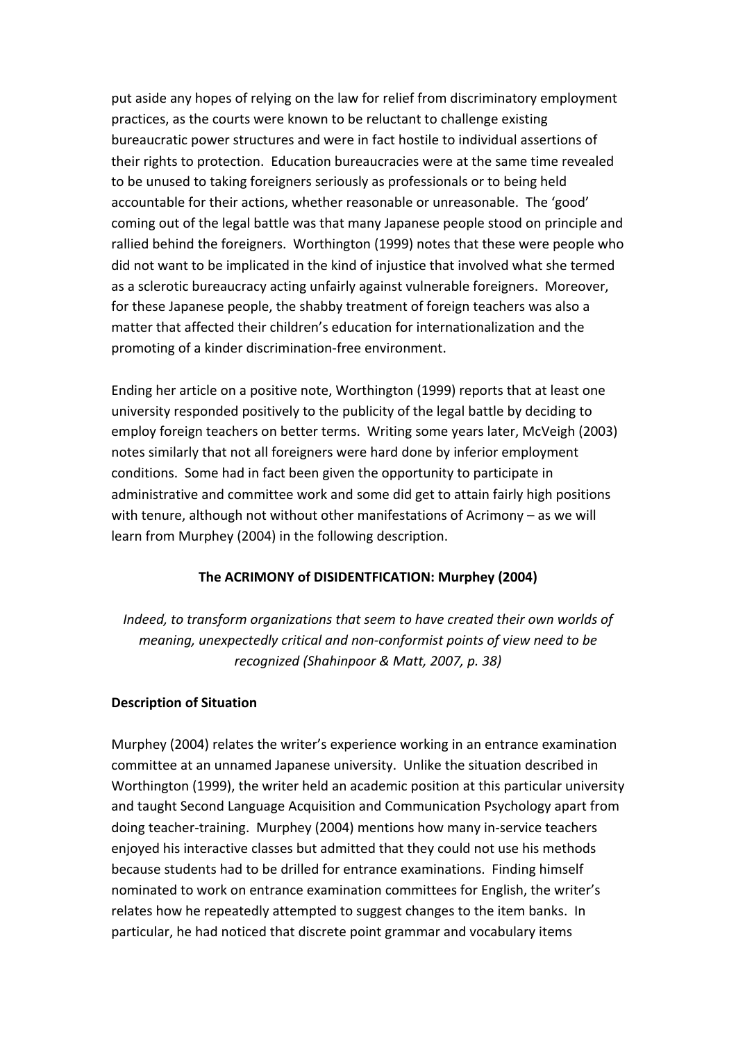put aside any hopes of relying on the law for relief from discriminatory employment practices, as the courts were known to be reluctant to challenge existing bureaucratic power structures and were in fact hostile to individual assertions of their rights to protection. Education bureaucracies were at the same time revealed to be unused to taking foreigners seriously as professionals or to being held accountable for their actions, whether reasonable or unreasonable. The 'good' coming out of the legal battle was that many Japanese people stood on principle and rallied behind the foreigners. Worthington (1999) notes that these were people who did not want to be implicated in the kind of injustice that involved what she termed as a sclerotic bureaucracy acting unfairly against vulnerable foreigners. Moreover, for these Japanese people, the shabby treatment of foreign teachers was also a matter that affected their children's education for internationalization and the promoting of a kinder discrimination-free environment.

Ending her article on a positive note, Worthington (1999) reports that at least one university responded positively to the publicity of the legal battle by deciding to employ foreign teachers on better terms. Writing some years later, McVeigh (2003) notes similarly that not all foreigners were hard done by inferior employment conditions. Some had in fact been given the opportunity to participate in administrative and committee work and some did get to attain fairly high positions with tenure, although not without other manifestations of Acrimony  $-$  as we will learn from Murphey (2004) in the following description.

## The ACRIMONY of DISIDENTFICATION: Murphey (2004)

Indeed, to transform organizations that seem to have created their own worlds of *meaning, unexpectedly critical and non-conformist points of view need to be recognized (Shahinpoor & Matt, 2007, p. 38)*

### **Description of Situation**

Murphey (2004) relates the writer's experience working in an entrance examination committee at an unnamed Japanese university. Unlike the situation described in Worthington (1999), the writer held an academic position at this particular university and taught Second Language Acquisition and Communication Psychology apart from doing teacher-training. Murphey (2004) mentions how many in-service teachers enjoyed his interactive classes but admitted that they could not use his methods because students had to be drilled for entrance examinations. Finding himself nominated to work on entrance examination committees for English, the writer's relates how he repeatedly attempted to suggest changes to the item banks. In particular, he had noticed that discrete point grammar and vocabulary items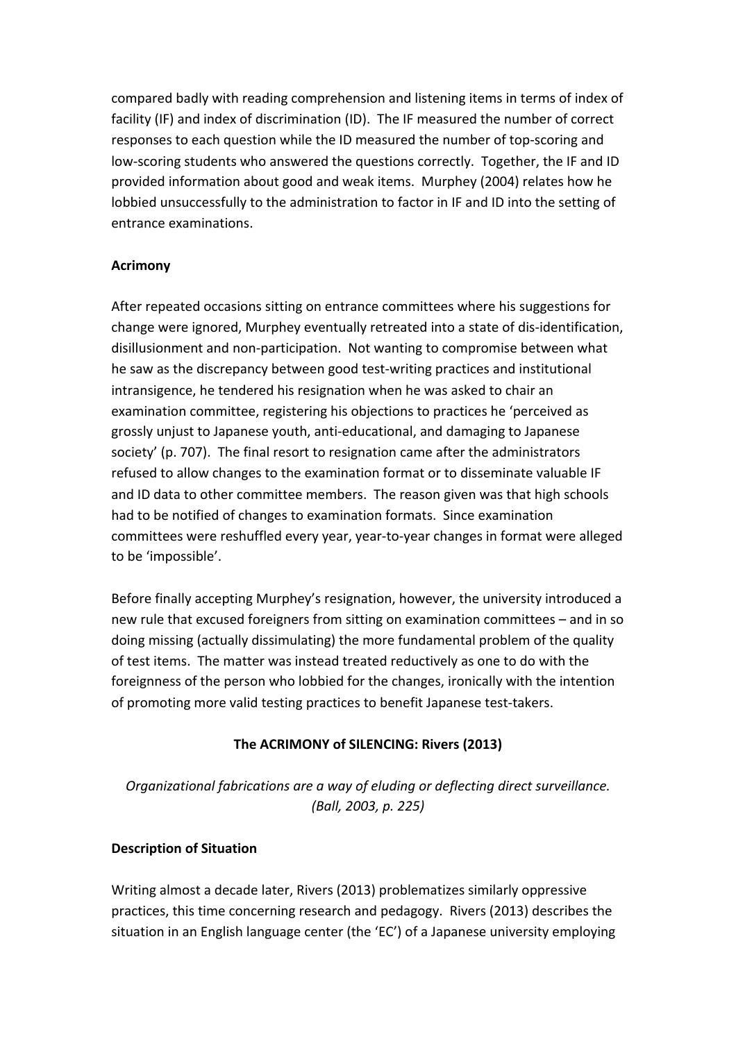compared badly with reading comprehension and listening items in terms of index of facility (IF) and index of discrimination (ID). The IF measured the number of correct responses to each question while the ID measured the number of top-scoring and low-scoring students who answered the questions correctly. Together, the IF and ID provided information about good and weak items. Murphey (2004) relates how he lobbied unsuccessfully to the administration to factor in IF and ID into the setting of entrance examinations.

### **Acrimony**

After repeated occasions sitting on entrance committees where his suggestions for change were ignored, Murphey eventually retreated into a state of dis-identification, disillusionment and non-participation. Not wanting to compromise between what he saw as the discrepancy between good test-writing practices and institutional intransigence, he tendered his resignation when he was asked to chair an examination committee, registering his objections to practices he 'perceived as grossly unjust to Japanese youth, anti-educational, and damaging to Japanese society' (p. 707). The final resort to resignation came after the administrators refused to allow changes to the examination format or to disseminate valuable IF and ID data to other committee members. The reason given was that high schools had to be notified of changes to examination formats. Since examination committees were reshuffled every year, year-to-year changes in format were alleged to be 'impossible'.

Before finally accepting Murphey's resignation, however, the university introduced a new rule that excused foreigners from sitting on examination committees – and in so doing missing (actually dissimulating) the more fundamental problem of the quality of test items. The matter was instead treated reductively as one to do with the foreignness of the person who lobbied for the changes, ironically with the intention of promoting more valid testing practices to benefit Japanese test-takers.

### The ACRIMONY of SILENCING: Rivers (2013)

*Organizational fabrications are a way of eluding or deflecting direct surveillance. (Ball, 2003, p. 225)*

### **Description of Situation**

Writing almost a decade later, Rivers (2013) problematizes similarly oppressive practices, this time concerning research and pedagogy. Rivers (2013) describes the situation in an English language center (the 'EC') of a Japanese university employing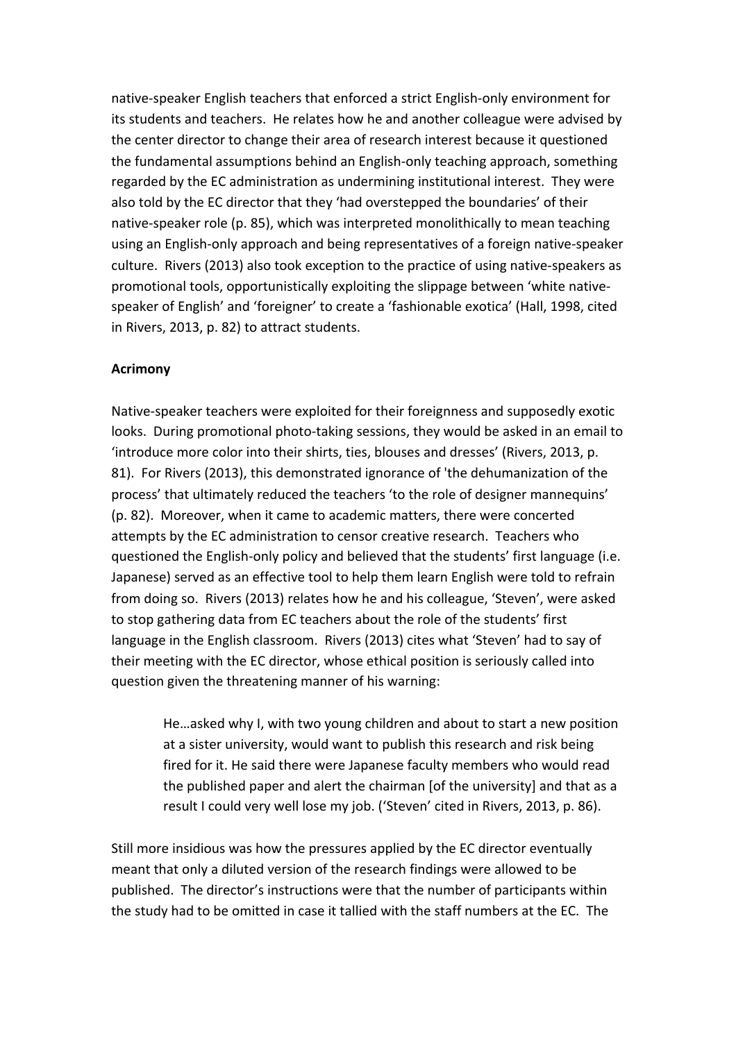native-speaker English teachers that enforced a strict English-only environment for its students and teachers. He relates how he and another colleague were advised by the center director to change their area of research interest because it questioned the fundamental assumptions behind an English-only teaching approach, something regarded by the EC administration as undermining institutional interest. They were also told by the EC director that they 'had overstepped the boundaries' of their native-speaker role (p. 85), which was interpreted monolithically to mean teaching using an English-only approach and being representatives of a foreign native-speaker culture. Rivers (2013) also took exception to the practice of using native-speakers as promotional tools, opportunistically exploiting the slippage between 'white nativespeaker of English' and 'foreigner' to create a 'fashionable exotica' (Hall, 1998, cited in Rivers, 2013, p. 82) to attract students.

### **Acrimony**

Native-speaker teachers were exploited for their foreignness and supposedly exotic looks. During promotional photo-taking sessions, they would be asked in an email to 'introduce more color into their shirts, ties, blouses and dresses' (Rivers, 2013, p. 81). For Rivers (2013), this demonstrated ignorance of 'the dehumanization of the process' that ultimately reduced the teachers 'to the role of designer mannequins' (p. 82). Moreover, when it came to academic matters, there were concerted attempts by the EC administration to censor creative research. Teachers who questioned the English-only policy and believed that the students' first language (i.e. Japanese) served as an effective tool to help them learn English were told to refrain from doing so. Rivers (2013) relates how he and his colleague, 'Steven', were asked to stop gathering data from EC teachers about the role of the students' first language in the English classroom. Rivers (2013) cites what 'Steven' had to say of their meeting with the EC director, whose ethical position is seriously called into question given the threatening manner of his warning:

> He...asked why I, with two young children and about to start a new position at a sister university, would want to publish this research and risk being fired for it. He said there were Japanese faculty members who would read the published paper and alert the chairman [of the university] and that as a result I could very well lose my job. ('Steven' cited in Rivers, 2013, p. 86).

Still more insidious was how the pressures applied by the EC director eventually meant that only a diluted version of the research findings were allowed to be published. The director's instructions were that the number of participants within the study had to be omitted in case it tallied with the staff numbers at the EC. The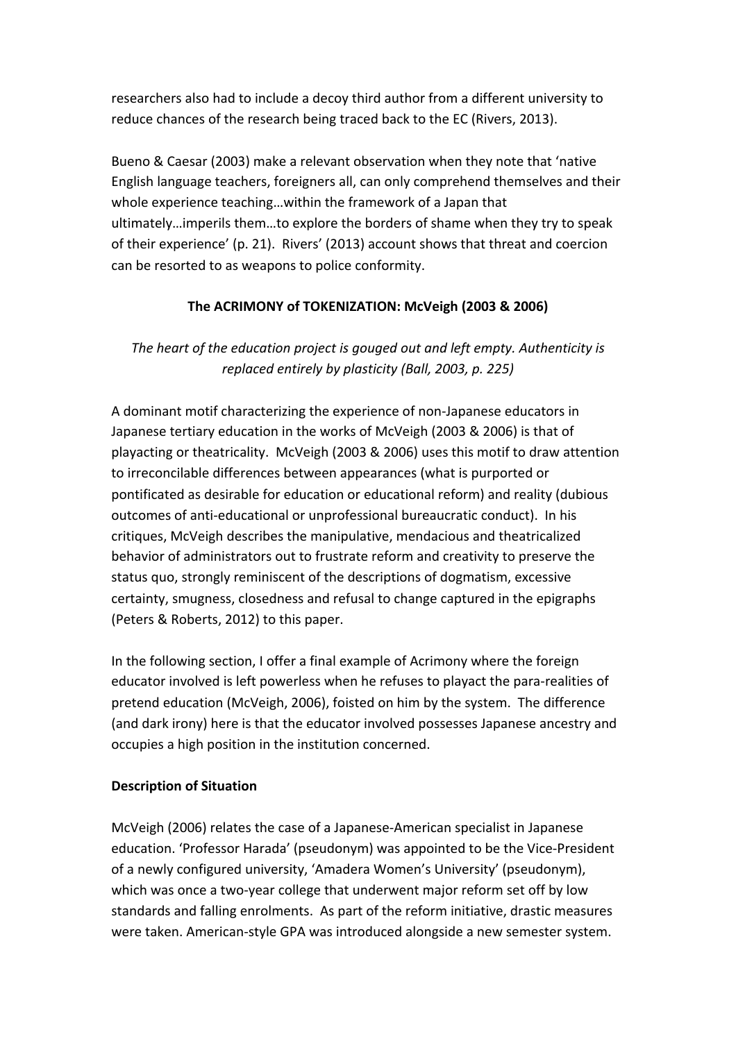researchers also had to include a decoy third author from a different university to reduce chances of the research being traced back to the EC (Rivers, 2013).

Bueno & Caesar (2003) make a relevant observation when they note that 'native English language teachers, foreigners all, can only comprehend themselves and their whole experience teaching...within the framework of a Japan that ultimately…imperils them…to explore the borders of shame when they try to speak of their experience' (p. 21). Rivers' (2013) account shows that threat and coercion can be resorted to as weapons to police conformity.

## The ACRIMONY of TOKENIZATION: McVeigh (2003 & 2006)

The heart of the education project is gouged out and left empty. Authenticity is *replaced entirely by plasticity (Ball, 2003, p. 225)* 

A dominant motif characterizing the experience of non-Japanese educators in Japanese tertiary education in the works of McVeigh (2003 & 2006) is that of playacting or theatricality. McVeigh (2003 & 2006) uses this motif to draw attention to irreconcilable differences between appearances (what is purported or pontificated as desirable for education or educational reform) and reality (dubious outcomes of anti-educational or unprofessional bureaucratic conduct). In his critiques, McVeigh describes the manipulative, mendacious and theatricalized behavior of administrators out to frustrate reform and creativity to preserve the status quo, strongly reminiscent of the descriptions of dogmatism, excessive certainty, smugness, closedness and refusal to change captured in the epigraphs (Peters & Roberts, 2012) to this paper.

In the following section, I offer a final example of Acrimony where the foreign educator involved is left powerless when he refuses to playact the para-realities of pretend education (McVeigh, 2006), foisted on him by the system. The difference (and dark irony) here is that the educator involved possesses Japanese ancestry and occupies a high position in the institution concerned.

### **Description of Situation**

McVeigh (2006) relates the case of a Japanese-American specialist in Japanese education. 'Professor Harada' (pseudonym) was appointed to be the Vice-President of a newly configured university, 'Amadera Women's University' (pseudonym), which was once a two-year college that underwent major reform set off by low standards and falling enrolments. As part of the reform initiative, drastic measures were taken. American-style GPA was introduced alongside a new semester system.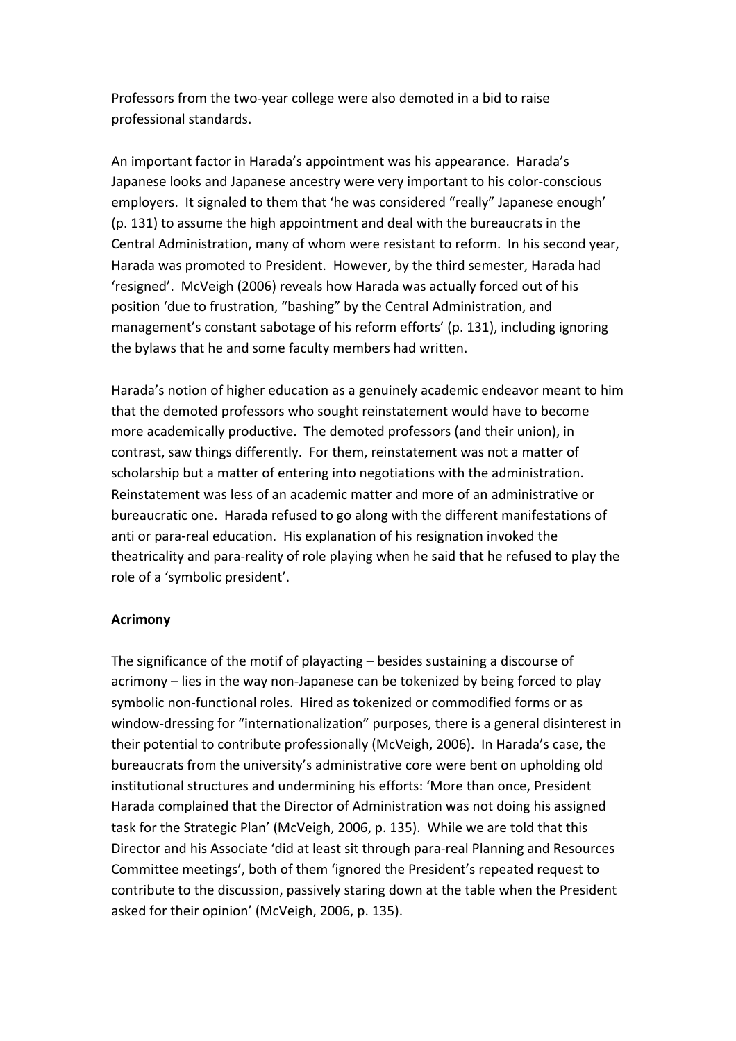Professors from the two-year college were also demoted in a bid to raise professional standards.

An important factor in Harada's appointment was his appearance. Harada's Japanese looks and Japanese ancestry were very important to his color-conscious employers. It signaled to them that 'he was considered "really" Japanese enough' (p. 131) to assume the high appointment and deal with the bureaucrats in the Central Administration, many of whom were resistant to reform. In his second year, Harada was promoted to President. However, by the third semester, Harada had 'resigned'. McVeigh (2006) reveals how Harada was actually forced out of his position 'due to frustration, "bashing" by the Central Administration, and management's constant sabotage of his reform efforts' (p. 131), including ignoring the bylaws that he and some faculty members had written.

Harada's notion of higher education as a genuinely academic endeavor meant to him that the demoted professors who sought reinstatement would have to become more academically productive. The demoted professors (and their union), in contrast, saw things differently. For them, reinstatement was not a matter of scholarship but a matter of entering into negotiations with the administration. Reinstatement was less of an academic matter and more of an administrative or bureaucratic one. Harada refused to go along with the different manifestations of anti or para-real education. His explanation of his resignation invoked the theatricality and para-reality of role playing when he said that he refused to play the role of a 'symbolic president'.

# **Acrimony**

The significance of the motif of playacting  $-$  besides sustaining a discourse of acrimony – lies in the way non-Japanese can be tokenized by being forced to play symbolic non-functional roles. Hired as tokenized or commodified forms or as window-dressing for "internationalization" purposes, there is a general disinterest in their potential to contribute professionally (McVeigh, 2006). In Harada's case, the bureaucrats from the university's administrative core were bent on upholding old institutional structures and undermining his efforts: 'More than once, President Harada complained that the Director of Administration was not doing his assigned task for the Strategic Plan' (McVeigh, 2006, p. 135). While we are told that this Director and his Associate 'did at least sit through para-real Planning and Resources Committee meetings', both of them 'ignored the President's repeated request to contribute to the discussion, passively staring down at the table when the President asked for their opinion' (McVeigh, 2006, p. 135).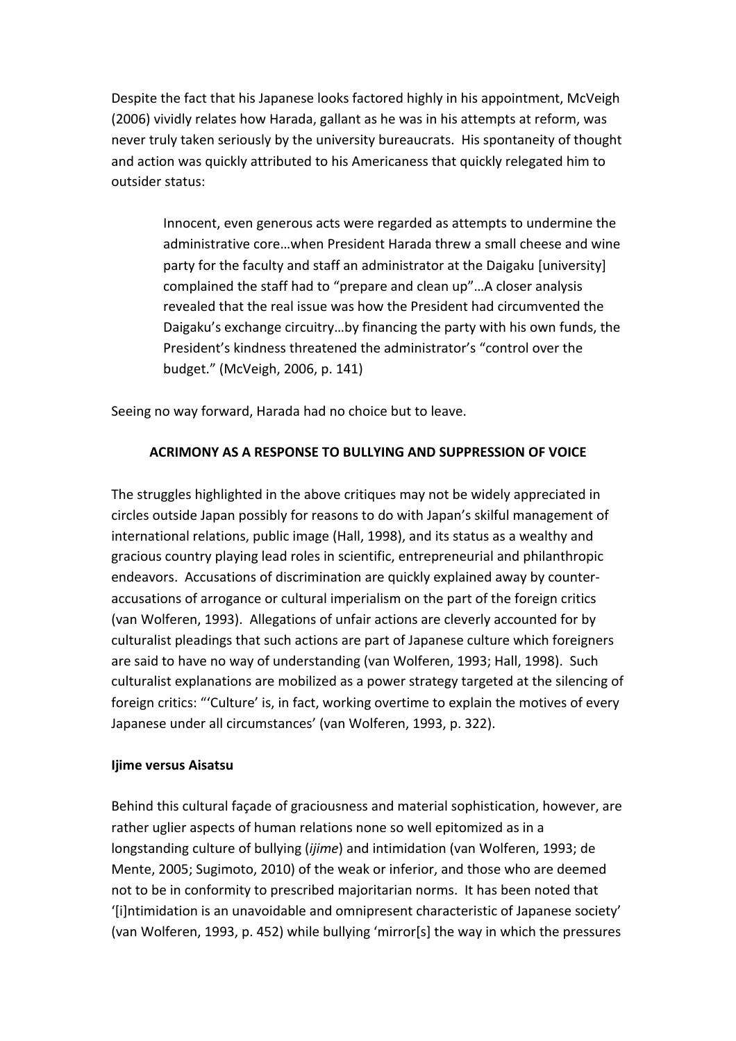Despite the fact that his Japanese looks factored highly in his appointment, McVeigh (2006) vividly relates how Harada, gallant as he was in his attempts at reform, was never truly taken seriously by the university bureaucrats. His spontaneity of thought and action was quickly attributed to his Americaness that quickly relegated him to outsider status:

> Innocent, even generous acts were regarded as attempts to undermine the administrative core...when President Harada threw a small cheese and wine party for the faculty and staff an administrator at the Daigaku [university] complained the staff had to "prepare and clean up"...A closer analysis revealed that the real issue was how the President had circumvented the Daigaku's exchange circuitry...by financing the party with his own funds, the President's kindness threatened the administrator's "control over the budget." (McVeigh, 2006, p. 141)

Seeing no way forward, Harada had no choice but to leave.

# **ACRIMONY AS A RESPONSE TO BULLYING AND SUPPRESSION OF VOICE**

The struggles highlighted in the above critiques may not be widely appreciated in circles outside Japan possibly for reasons to do with Japan's skilful management of international relations, public image (Hall, 1998), and its status as a wealthy and gracious country playing lead roles in scientific, entrepreneurial and philanthropic endeavors. Accusations of discrimination are quickly explained away by counteraccusations of arrogance or cultural imperialism on the part of the foreign critics (van Wolferen, 1993). Allegations of unfair actions are cleverly accounted for by culturalist pleadings that such actions are part of Japanese culture which foreigners are said to have no way of understanding (van Wolferen, 1993; Hall, 1998). Such culturalist explanations are mobilized as a power strategy targeted at the silencing of foreign critics: "'Culture' is, in fact, working overtime to explain the motives of every Japanese under all circumstances' (van Wolferen, 1993, p. 322).

# **Iiime versus Aisatsu**

Behind this cultural façade of graciousness and material sophistication, however, are rather uglier aspects of human relations none so well epitomized as in a longstanding culture of bullying (*ijime*) and intimidation (van Wolferen, 1993; de Mente, 2005; Sugimoto, 2010) of the weak or inferior, and those who are deemed not to be in conformity to prescribed majoritarian norms. It has been noted that '[i]ntimidation is an unavoidable and omnipresent characteristic of Japanese society' (van Wolferen, 1993, p. 452) while bullying 'mirror[s] the way in which the pressures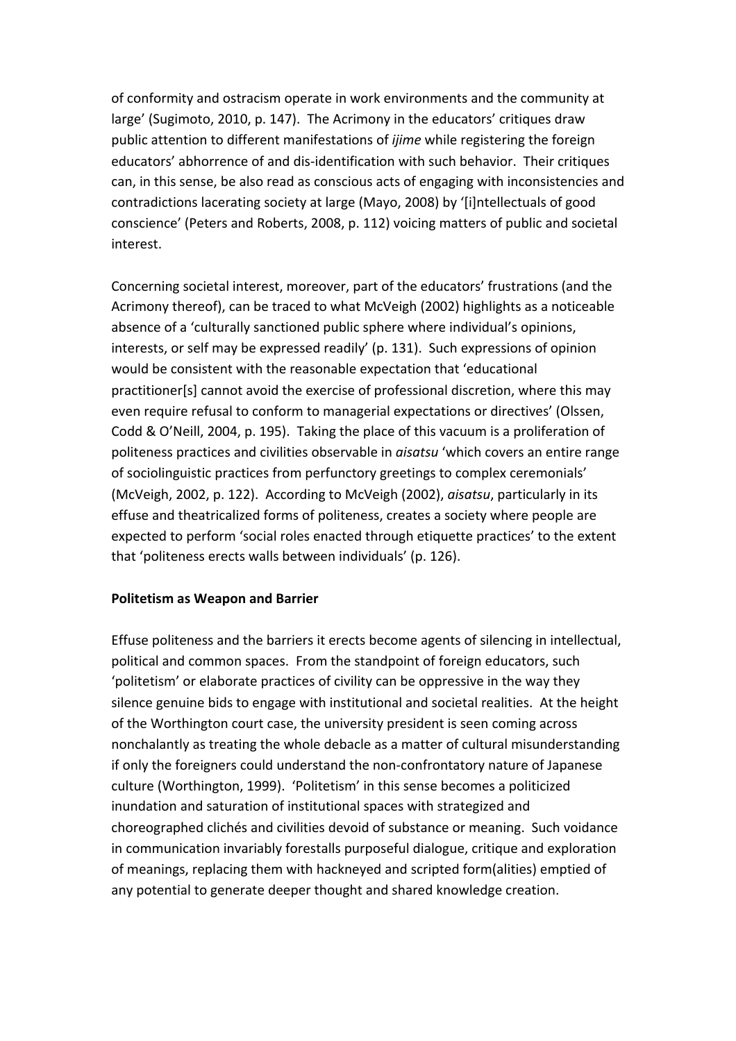of conformity and ostracism operate in work environments and the community at large' (Sugimoto, 2010, p. 147). The Acrimony in the educators' critiques draw public attention to different manifestations of *ijime* while registering the foreign educators' abhorrence of and dis-identification with such behavior. Their critiques can, in this sense, be also read as conscious acts of engaging with inconsistencies and contradictions lacerating society at large (Mayo, 2008) by '[i]ntellectuals of good conscience' (Peters and Roberts, 2008, p. 112) voicing matters of public and societal interest. 

Concerning societal interest, moreover, part of the educators' frustrations (and the Acrimony thereof), can be traced to what McVeigh (2002) highlights as a noticeable absence of a 'culturally sanctioned public sphere where individual's opinions, interests, or self may be expressed readily' (p. 131). Such expressions of opinion would be consistent with the reasonable expectation that 'educational practitioner[s] cannot avoid the exercise of professional discretion, where this may even require refusal to conform to managerial expectations or directives' (Olssen, Codd & O'Neill, 2004, p. 195). Taking the place of this vacuum is a proliferation of politeness practices and civilities observable in *aisatsu* 'which covers an entire range of sociolinguistic practices from perfunctory greetings to complex ceremonials' (McVeigh, 2002, p. 122). According to McVeigh (2002), *aisatsu*, particularly in its effuse and theatricalized forms of politeness, creates a society where people are expected to perform 'social roles enacted through etiquette practices' to the extent that 'politeness erects walls between individuals' (p. 126).

# **Politetism as Weapon and Barrier**

Effuse politeness and the barriers it erects become agents of silencing in intellectual, political and common spaces. From the standpoint of foreign educators, such 'politetism' or elaborate practices of civility can be oppressive in the way they silence genuine bids to engage with institutional and societal realities. At the height of the Worthington court case, the university president is seen coming across nonchalantly as treating the whole debacle as a matter of cultural misunderstanding if only the foreigners could understand the non-confrontatory nature of Japanese culture (Worthington, 1999). 'Politetism' in this sense becomes a politicized inundation and saturation of institutional spaces with strategized and choreographed clichés and civilities devoid of substance or meaning. Such voidance in communication invariably forestalls purposeful dialogue, critique and exploration of meanings, replacing them with hackneyed and scripted form(alities) emptied of any potential to generate deeper thought and shared knowledge creation.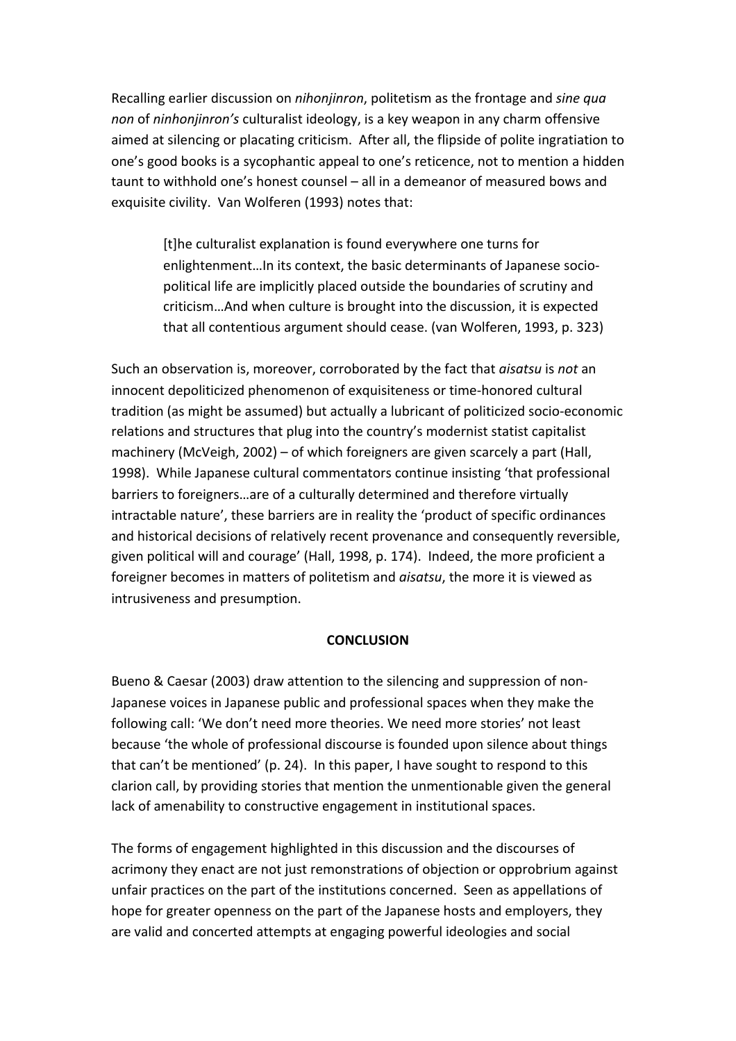Recalling earlier discussion on *nihonjinron*, politetism as the frontage and *sine qua non* of *ninhonjinron's* culturalist ideology, is a key weapon in any charm offensive aimed at silencing or placating criticism. After all, the flipside of polite ingratiation to one's good books is a sycophantic appeal to one's reticence, not to mention a hidden taunt to withhold one's honest counsel – all in a demeanor of measured bows and exquisite civility. Van Wolferen (1993) notes that:

[t]he culturalist explanation is found everywhere one turns for enlightenment... In its context, the basic determinants of Japanese sociopolitical life are implicitly placed outside the boundaries of scrutiny and criticism...And when culture is brought into the discussion, it is expected that all contentious argument should cease. (van Wolferen, 1993, p. 323)

Such an observation is, moreover, corroborated by the fact that *aisatsu* is *not* an innocent depoliticized phenomenon of exquisiteness or time-honored cultural tradition (as might be assumed) but actually a lubricant of politicized socio-economic relations and structures that plug into the country's modernist statist capitalist machinery (McVeigh, 2002) – of which foreigners are given scarcely a part (Hall, 1998). While Japanese cultural commentators continue insisting 'that professional barriers to foreigners…are of a culturally determined and therefore virtually intractable nature', these barriers are in reality the 'product of specific ordinances and historical decisions of relatively recent provenance and consequently reversible, given political will and courage' (Hall, 1998, p. 174). Indeed, the more proficient a foreigner becomes in matters of politetism and *aisatsu*, the more it is viewed as intrusiveness and presumption.

### **CONCLUSION**

Bueno & Caesar (2003) draw attention to the silencing and suppression of non-Japanese voices in Japanese public and professional spaces when they make the following call: 'We don't need more theories. We need more stories' not least because 'the whole of professional discourse is founded upon silence about things that can't be mentioned' (p. 24). In this paper, I have sought to respond to this clarion call, by providing stories that mention the unmentionable given the general lack of amenability to constructive engagement in institutional spaces.

The forms of engagement highlighted in this discussion and the discourses of acrimony they enact are not just remonstrations of objection or opprobrium against unfair practices on the part of the institutions concerned. Seen as appellations of hope for greater openness on the part of the Japanese hosts and employers, they are valid and concerted attempts at engaging powerful ideologies and social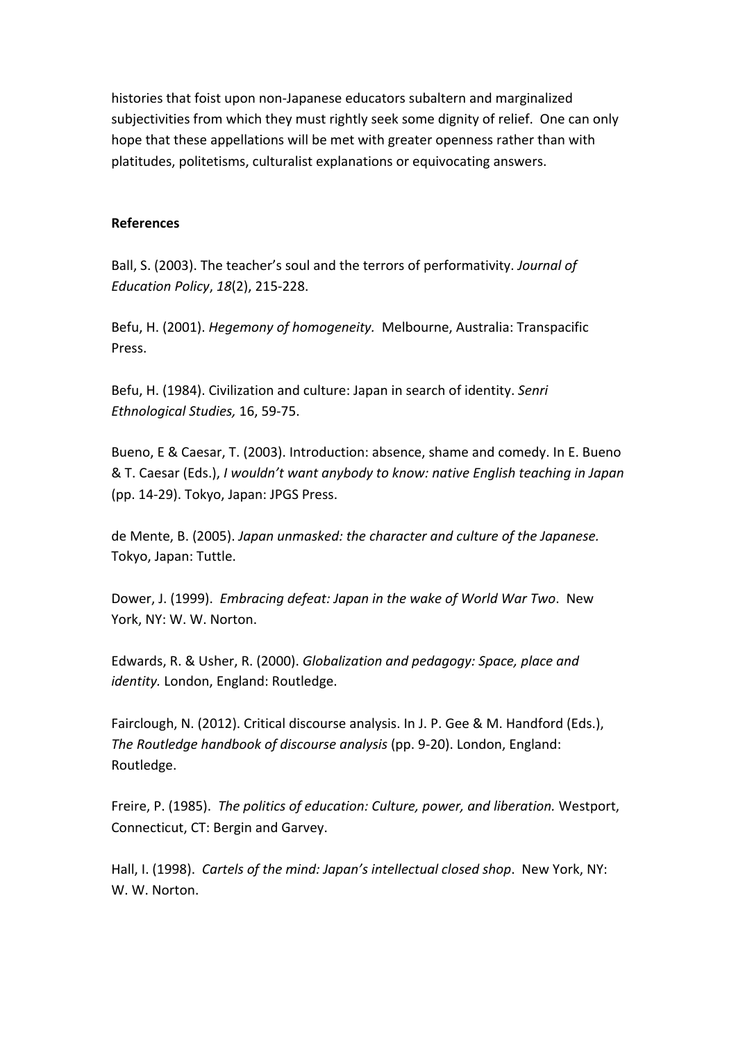histories that foist upon non-Japanese educators subaltern and marginalized subjectivities from which they must rightly seek some dignity of relief. One can only hope that these appellations will be met with greater openness rather than with platitudes, politetisms, culturalist explanations or equivocating answers.

## **References**

Ball, S. (2003). The teacher's soul and the terrors of performativity. *Journal of Education Policy*, *18*(2), 215-228.

Befu, H. (2001). *Hegemony of homogeneity.* Melbourne, Australia: Transpacific Press.

Befu, H. (1984). Civilization and culture: Japan in search of identity. Senri *Ethnological Studies,* 16, 59-75.

Bueno, E & Caesar, T. (2003). Introduction: absence, shame and comedy. In E. Bueno & T. Caesar (Eds.), *I wouldn't want anybody to know: native English teaching in Japan* (pp. 14-29). Tokyo, Japan: JPGS Press.

de Mente, B. (2005). *Japan unmasked: the character and culture of the Japanese.* Tokyo, Japan: Tuttle.

Dower, J. (1999). *Embracing defeat: Japan in the wake of World War Two*. New York, NY: W. W. Norton.

Edwards, R. & Usher, R. (2000). *Globalization and pedagogy: Space, place and* identity. London, England: Routledge.

Fairclough, N. (2012). Critical discourse analysis. In J. P. Gee & M. Handford (Eds.), The Routledge handbook of discourse analysis (pp. 9-20). London, England: Routledge.

Freire, P. (1985). The politics of education: Culture, power, and liberation. Westport, Connecticut, CT: Bergin and Garvey.

Hall, I. (1998). *Cartels of the mind: Japan's intellectual closed shop*. New York, NY: W. W. Norton.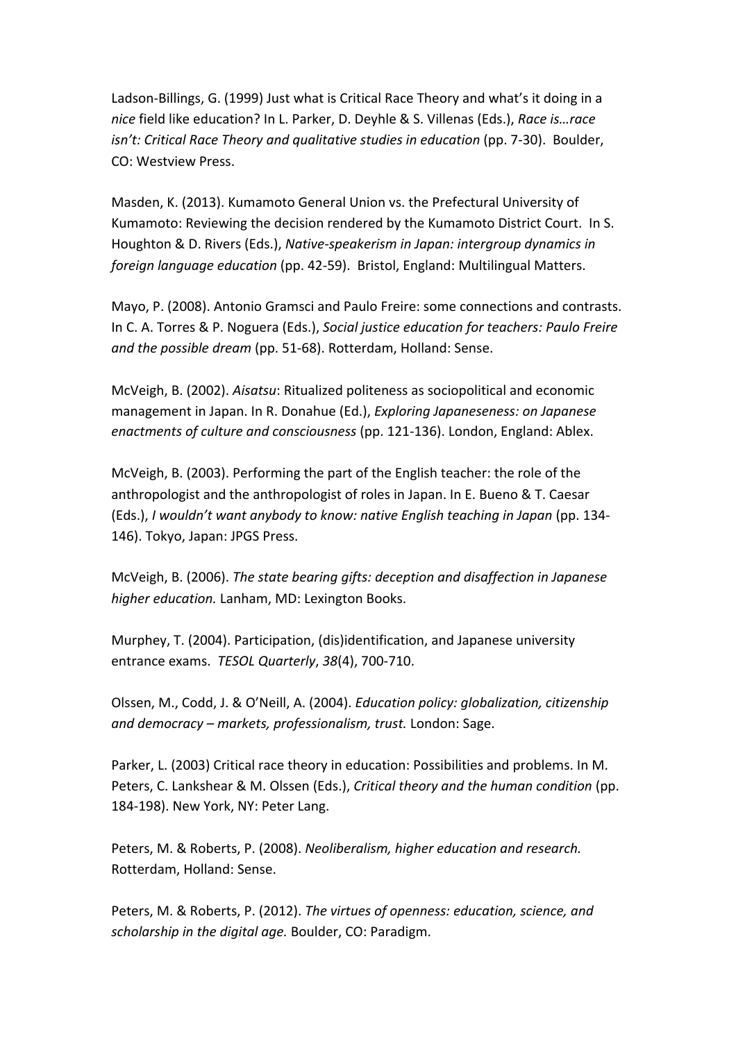Ladson-Billings, G. (1999) Just what is Critical Race Theory and what's it doing in a *nice* field like education? In L. Parker, D. Deyhle & S. Villenas (Eds.), *Race is...race isn't: Critical Race Theory and qualitative studies in education* (pp. 7-30). Boulder, CO: Westview Press.

Masden, K. (2013). Kumamoto General Union vs. the Prefectural University of Kumamoto: Reviewing the decision rendered by the Kumamoto District Court. In S. Houghton & D. Rivers (Eds.), *Native-speakerism in Japan: intergroup dynamics in foreign language education* (pp. 42-59). Bristol, England: Multilingual Matters.

Mayo, P. (2008). Antonio Gramsci and Paulo Freire: some connections and contrasts. In C. A. Torres & P. Noguera (Eds.), *Social justice education for teachers: Paulo Freire* and the possible dream (pp. 51-68). Rotterdam, Holland: Sense.

McVeigh, B. (2002). *Aisatsu*: Ritualized politeness as sociopolitical and economic management in Japan. In R. Donahue (Ed.), *Exploring Japaneseness: on Japanese enactments of culture and consciousness* (pp. 121-136). London, England: Ablex.

McVeigh, B. (2003). Performing the part of the English teacher: the role of the anthropologist and the anthropologist of roles in Japan. In E. Bueno & T. Caesar (Eds.), *I* wouldn't want anybody to know: native English teaching in Japan (pp. 134-146). Tokyo, Japan: JPGS Press.

McVeigh, B. (2006). *The state bearing gifts: deception and disaffection in Japanese higher education.* Lanham, MD: Lexington Books.

Murphey, T. (2004). Participation, (dis)identification, and Japanese university entrance exams. TESOL Quarterly, 38(4), 700-710.

Olssen, M., Codd, J. & O'Neill, A. (2004). *Education policy: globalization, citizenship and democracy – markets, professionalism, trust.* London: Sage.

Parker, L. (2003) Critical race theory in education: Possibilities and problems. In M. Peters, C. Lankshear & M. Olssen (Eds.), *Critical theory and the human condition* (pp. 184-198). New York, NY: Peter Lang.

Peters, M. & Roberts, P. (2008). *Neoliberalism, higher education and research.* Rotterdam, Holland: Sense.

Peters, M. & Roberts, P. (2012). The virtues of openness: education, science, and scholarship in the digital age. Boulder, CO: Paradigm.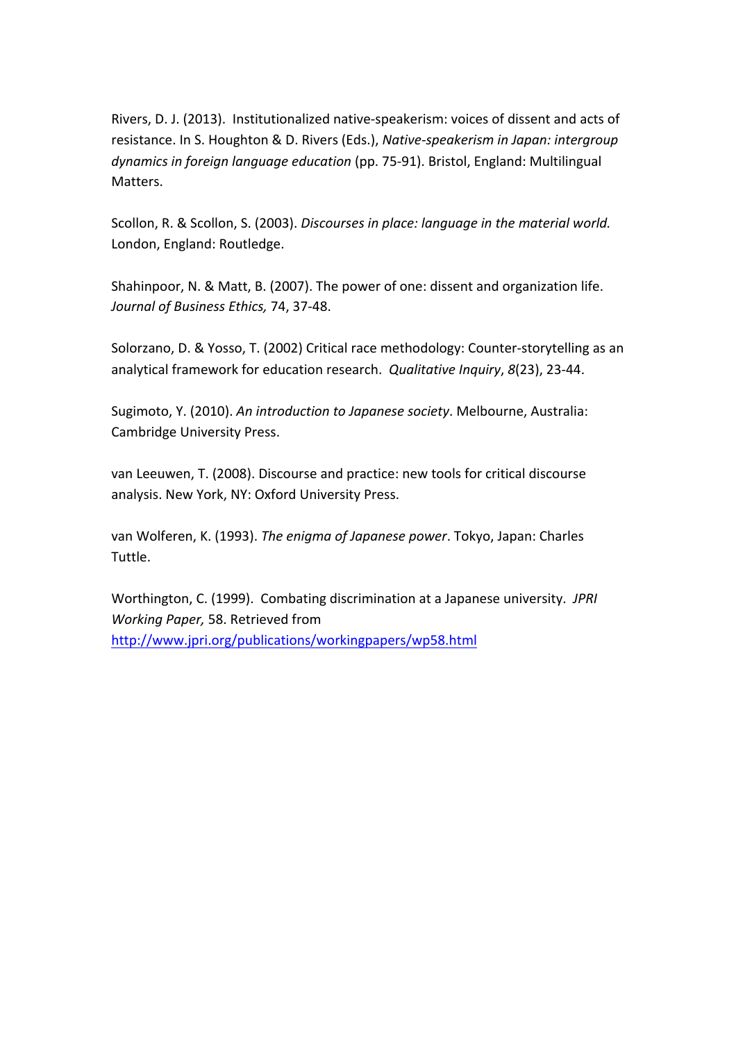Rivers, D. J. (2013). Institutionalized native-speakerism: voices of dissent and acts of resistance. In S. Houghton & D. Rivers (Eds.), *Native-speakerism in Japan: intergroup* dynamics in foreign language education (pp. 75-91). Bristol, England: Multilingual Matters.

Scollon, R. & Scollon, S. (2003). *Discourses in place: language in the material world.* London, England: Routledge.

Shahinpoor, N. & Matt, B. (2007). The power of one: dissent and organization life. *Journal of Business Ethics,* 74, 37-48.

Solorzano, D. & Yosso, T. (2002) Critical race methodology: Counter-storytelling as an analytical framework for education research. *Qualitative Inquiry*, 8(23), 23-44.

Sugimoto, Y. (2010). An introduction to Japanese society. Melbourne, Australia: Cambridge University Press.

van Leeuwen, T. (2008). Discourse and practice: new tools for critical discourse analysis. New York, NY: Oxford University Press.

van Wolferen, K. (1993). *The enigma of Japanese power*. Tokyo, Japan: Charles Tuttle.

Worthington, C. (1999). Combating discrimination at a Japanese university. *JPRI Working Paper,* 58. Retrieved from http://www.jpri.org/publications/workingpapers/wp58.html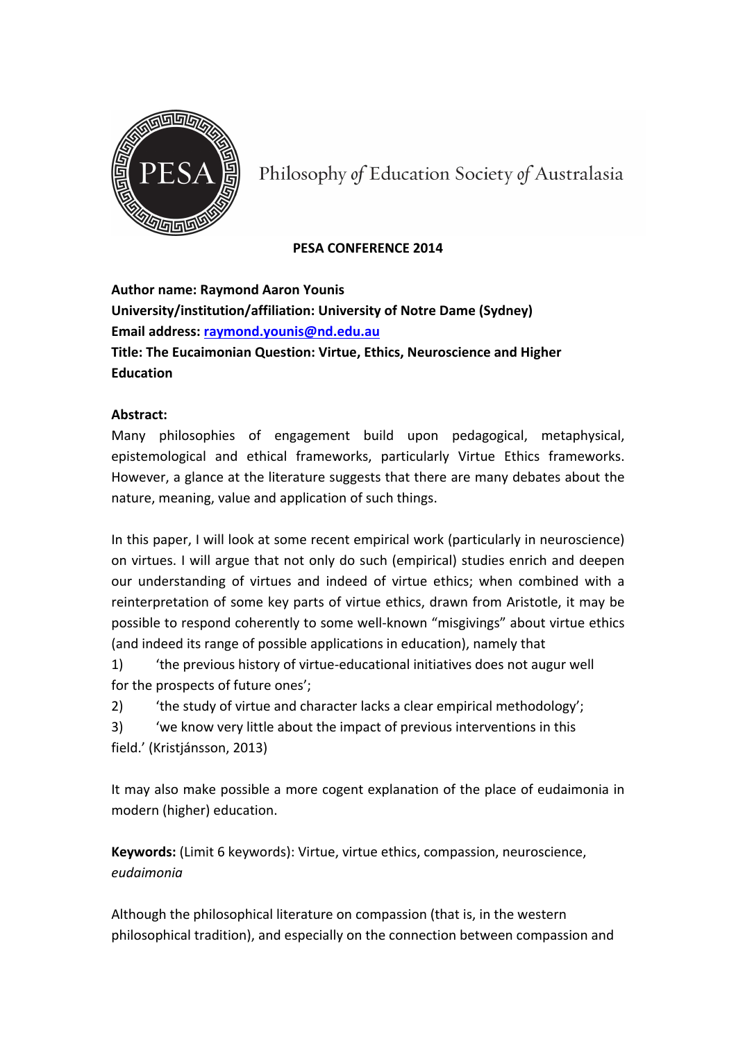

Philosophy of Education Society of Australasia

# **PESA CONFERENCE 2014**

**Author name: Raymond Aaron Younis University/institution/affiliation: University of Notre Dame (Sydney) Email address: raymond.younis@nd.edu.au Title: The Eucaimonian Question: Virtue, Ethics, Neuroscience and Higher Education**

# **Abstract:**

Many philosophies of engagement build upon pedagogical, metaphysical, epistemological and ethical frameworks, particularly Virtue Ethics frameworks. However, a glance at the literature suggests that there are many debates about the nature, meaning, value and application of such things.

In this paper, I will look at some recent empirical work (particularly in neuroscience) on virtues. I will argue that not only do such (empirical) studies enrich and deepen our understanding of virtues and indeed of virtue ethics; when combined with a reinterpretation of some key parts of virtue ethics, drawn from Aristotle, it may be possible to respond coherently to some well-known "misgivings" about virtue ethics (and indeed its range of possible applications in education), namely that

1) the previous history of virtue-educational initiatives does not augur well for the prospects of future ones';

2) the study of virtue and character lacks a clear empirical methodology';

3) "we know very little about the impact of previous interventions in this field.' (Kristjánsson, 2013)

It may also make possible a more cogent explanation of the place of eudaimonia in modern (higher) education.

**Keywords:** (Limit 6 keywords): Virtue, virtue ethics, compassion, neuroscience, *eudaimonia*

Although the philosophical literature on compassion (that is, in the western philosophical tradition), and especially on the connection between compassion and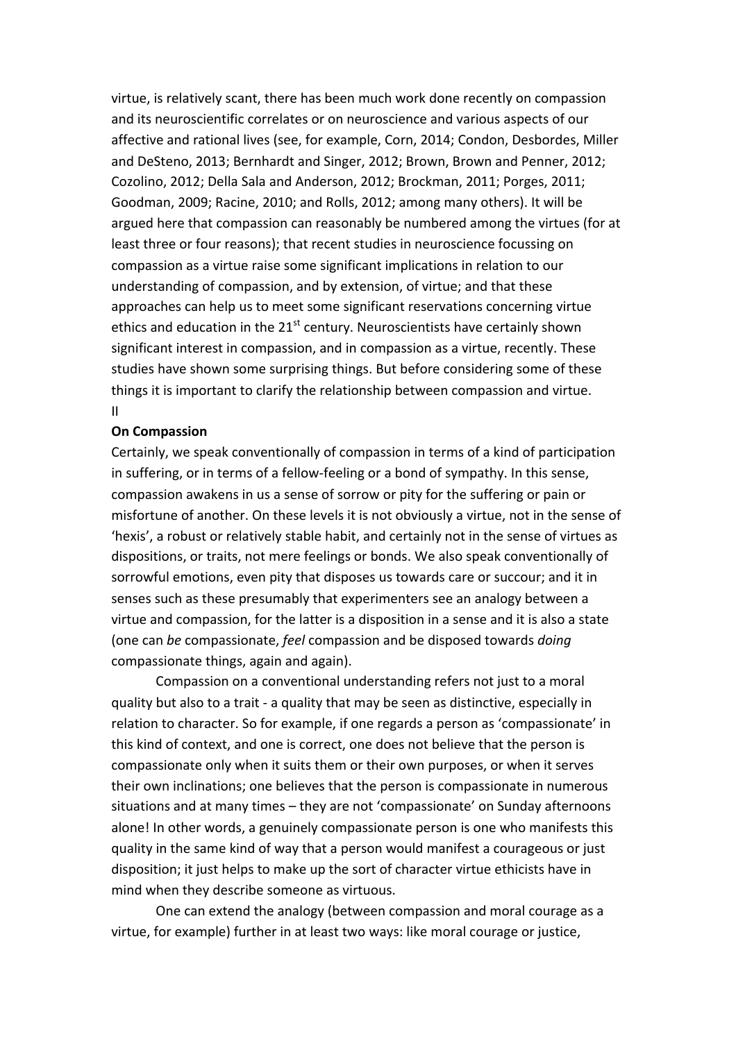virtue, is relatively scant, there has been much work done recently on compassion and its neuroscientific correlates or on neuroscience and various aspects of our affective and rational lives (see, for example, Corn, 2014; Condon, Desbordes, Miller and DeSteno, 2013; Bernhardt and Singer, 2012; Brown, Brown and Penner, 2012; Cozolino, 2012; Della Sala and Anderson, 2012; Brockman, 2011; Porges, 2011; Goodman, 2009; Racine, 2010; and Rolls, 2012; among many others). It will be argued here that compassion can reasonably be numbered among the virtues (for at least three or four reasons); that recent studies in neuroscience focussing on compassion as a virtue raise some significant implications in relation to our understanding of compassion, and by extension, of virtue; and that these approaches can help us to meet some significant reservations concerning virtue ethics and education in the  $21<sup>st</sup>$  century. Neuroscientists have certainly shown significant interest in compassion, and in compassion as a virtue, recently. These studies have shown some surprising things. But before considering some of these things it is important to clarify the relationship between compassion and virtue. II

### **On Compassion**

Certainly, we speak conventionally of compassion in terms of a kind of participation in suffering, or in terms of a fellow-feeling or a bond of sympathy. In this sense, compassion awakens in us a sense of sorrow or pity for the suffering or pain or misfortune of another. On these levels it is not obviously a virtue, not in the sense of 'hexis', a robust or relatively stable habit, and certainly not in the sense of virtues as dispositions, or traits, not mere feelings or bonds. We also speak conventionally of sorrowful emotions, even pity that disposes us towards care or succour; and it in senses such as these presumably that experimenters see an analogy between a virtue and compassion, for the latter is a disposition in a sense and it is also a state (one can *be* compassionate, *feel* compassion and be disposed towards *doing* compassionate things, again and again).

Compassion on a conventional understanding refers not just to a moral quality but also to a trait - a quality that may be seen as distinctive, especially in relation to character. So for example, if one regards a person as 'compassionate' in this kind of context, and one is correct, one does not believe that the person is compassionate only when it suits them or their own purposes, or when it serves their own inclinations; one believes that the person is compassionate in numerous situations and at many times - they are not 'compassionate' on Sunday afternoons alone! In other words, a genuinely compassionate person is one who manifests this quality in the same kind of way that a person would manifest a courageous or just disposition; it just helps to make up the sort of character virtue ethicists have in mind when they describe someone as virtuous.

One can extend the analogy (between compassion and moral courage as a virtue, for example) further in at least two ways: like moral courage or justice,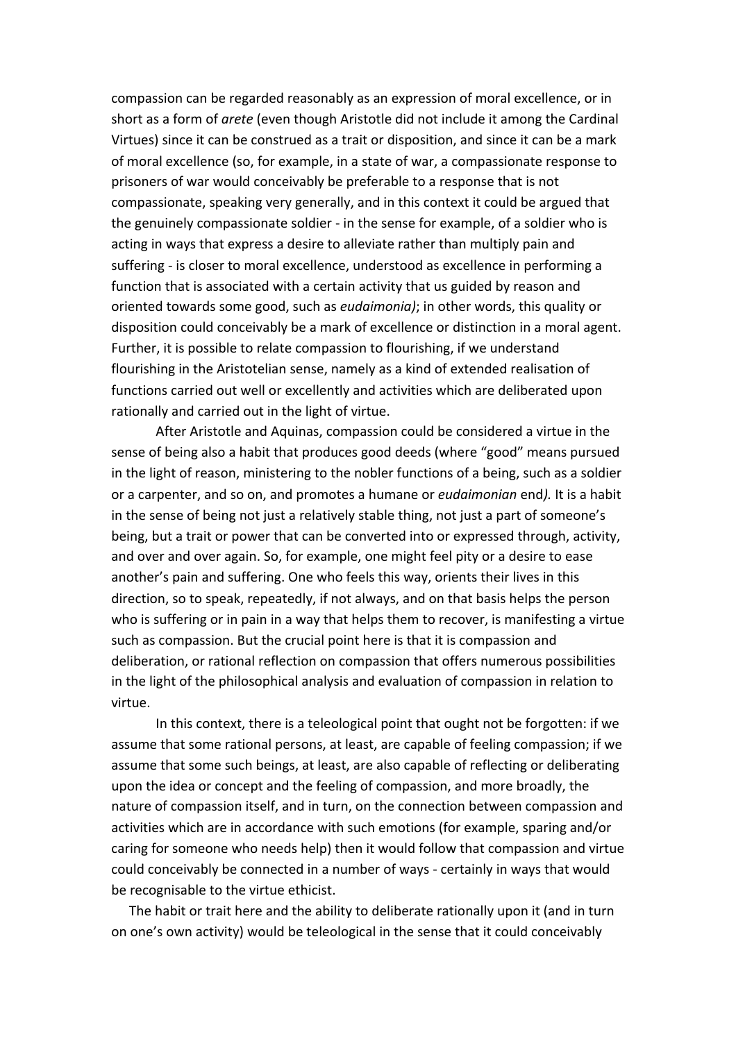compassion can be regarded reasonably as an expression of moral excellence, or in short as a form of *arete* (even though Aristotle did not include it among the Cardinal Virtues) since it can be construed as a trait or disposition, and since it can be a mark of moral excellence (so, for example, in a state of war, a compassionate response to prisoners of war would conceivably be preferable to a response that is not compassionate, speaking very generally, and in this context it could be argued that the genuinely compassionate soldier - in the sense for example, of a soldier who is acting in ways that express a desire to alleviate rather than multiply pain and suffering - is closer to moral excellence, understood as excellence in performing a function that is associated with a certain activity that us guided by reason and oriented towards some good, such as *eudaimonia*); in other words, this quality or disposition could conceivably be a mark of excellence or distinction in a moral agent. Further, it is possible to relate compassion to flourishing, if we understand flourishing in the Aristotelian sense, namely as a kind of extended realisation of functions carried out well or excellently and activities which are deliberated upon rationally and carried out in the light of virtue.

After Aristotle and Aquinas, compassion could be considered a virtue in the sense of being also a habit that produces good deeds (where "good" means pursued in the light of reason, ministering to the nobler functions of a being, such as a soldier or a carpenter, and so on, and promotes a humane or *eudaimonian* end*)*. It is a habit in the sense of being not just a relatively stable thing, not just a part of someone's being, but a trait or power that can be converted into or expressed through, activity, and over and over again. So, for example, one might feel pity or a desire to ease another's pain and suffering. One who feels this way, orients their lives in this direction, so to speak, repeatedly, if not always, and on that basis helps the person who is suffering or in pain in a way that helps them to recover, is manifesting a virtue such as compassion. But the crucial point here is that it is compassion and deliberation, or rational reflection on compassion that offers numerous possibilities in the light of the philosophical analysis and evaluation of compassion in relation to virtue. 

In this context, there is a teleological point that ought not be forgotten: if we assume that some rational persons, at least, are capable of feeling compassion; if we assume that some such beings, at least, are also capable of reflecting or deliberating upon the idea or concept and the feeling of compassion, and more broadly, the nature of compassion itself, and in turn, on the connection between compassion and activities which are in accordance with such emotions (for example, sparing and/or caring for someone who needs help) then it would follow that compassion and virtue could conceivably be connected in a number of ways - certainly in ways that would be recognisable to the virtue ethicist.

The habit or trait here and the ability to deliberate rationally upon it (and in turn on one's own activity) would be teleological in the sense that it could conceivably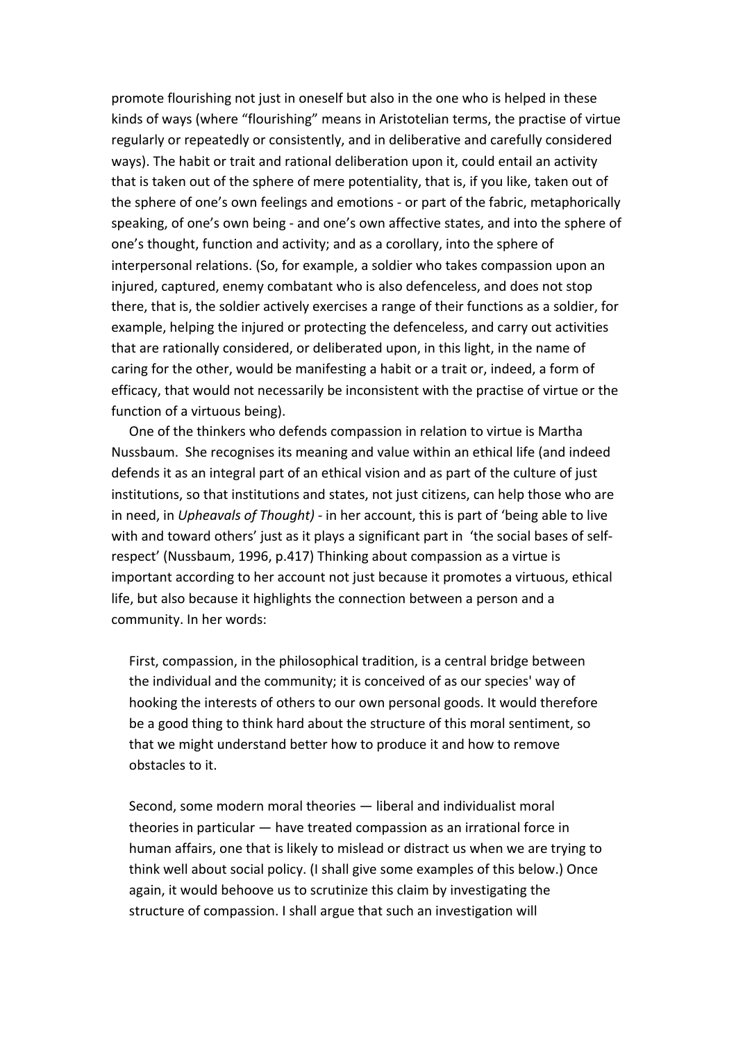promote flourishing not just in oneself but also in the one who is helped in these kinds of ways (where "flourishing" means in Aristotelian terms, the practise of virtue regularly or repeatedly or consistently, and in deliberative and carefully considered ways). The habit or trait and rational deliberation upon it, could entail an activity that is taken out of the sphere of mere potentiality, that is, if you like, taken out of the sphere of one's own feelings and emotions - or part of the fabric, metaphorically speaking, of one's own being - and one's own affective states, and into the sphere of one's thought, function and activity; and as a corollary, into the sphere of interpersonal relations. (So, for example, a soldier who takes compassion upon an injured, captured, enemy combatant who is also defenceless, and does not stop there, that is, the soldier actively exercises a range of their functions as a soldier, for example, helping the injured or protecting the defenceless, and carry out activities that are rationally considered, or deliberated upon, in this light, in the name of caring for the other, would be manifesting a habit or a trait or, indeed, a form of efficacy, that would not necessarily be inconsistent with the practise of virtue or the function of a virtuous being).

One of the thinkers who defends compassion in relation to virtue is Martha Nussbaum. She recognises its meaning and value within an ethical life (and indeed defends it as an integral part of an ethical vision and as part of the culture of just institutions, so that institutions and states, not just citizens, can help those who are in need, in *Upheavals of Thought*) - in her account, this is part of 'being able to live with and toward others' just as it plays a significant part in 'the social bases of selfrespect' (Nussbaum, 1996, p.417) Thinking about compassion as a virtue is important according to her account not just because it promotes a virtuous, ethical life, but also because it highlights the connection between a person and a community. In her words:

First, compassion, in the philosophical tradition, is a central bridge between the individual and the community; it is conceived of as our species' way of hooking the interests of others to our own personal goods. It would therefore be a good thing to think hard about the structure of this moral sentiment, so that we might understand better how to produce it and how to remove obstacles to it.

Second, some modern moral theories  $-$  liberal and individualist moral theories in particular  $-$  have treated compassion as an irrational force in human affairs, one that is likely to mislead or distract us when we are trying to think well about social policy. (I shall give some examples of this below.) Once again, it would behoove us to scrutinize this claim by investigating the structure of compassion. I shall argue that such an investigation will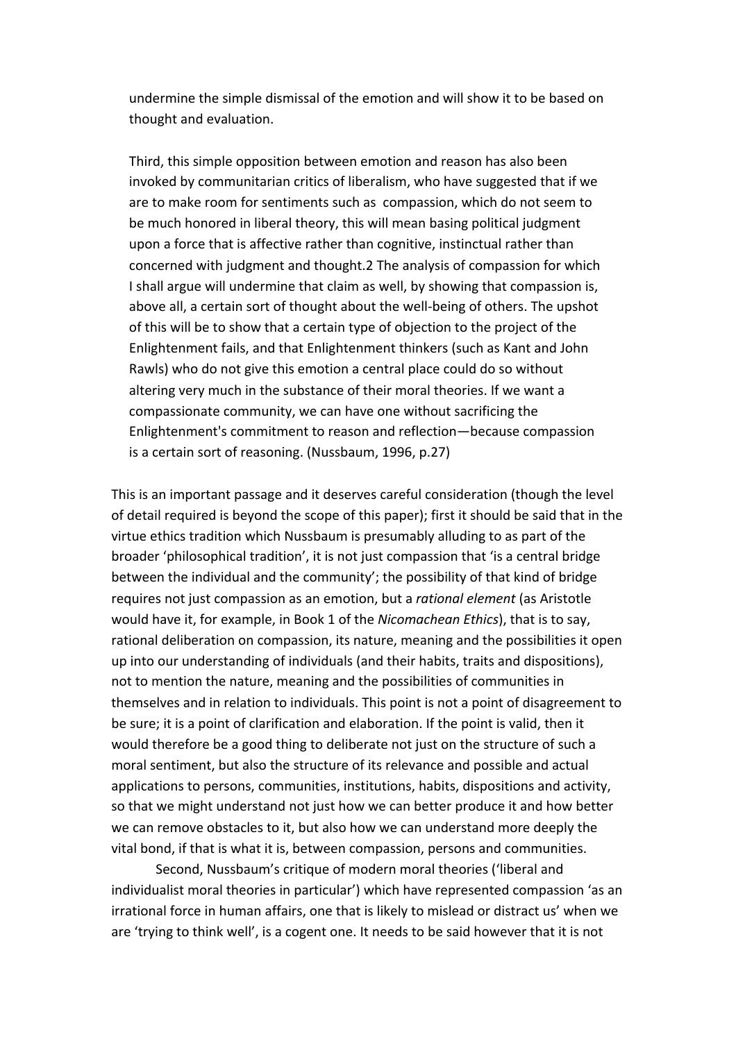undermine the simple dismissal of the emotion and will show it to be based on thought and evaluation.

Third, this simple opposition between emotion and reason has also been invoked by communitarian critics of liberalism, who have suggested that if we are to make room for sentiments such as compassion, which do not seem to be much honored in liberal theory, this will mean basing political judgment upon a force that is affective rather than cognitive, instinctual rather than concerned with judgment and thought.2 The analysis of compassion for which I shall argue will undermine that claim as well, by showing that compassion is, above all, a certain sort of thought about the well-being of others. The upshot of this will be to show that a certain type of objection to the project of the Enlightenment fails, and that Enlightenment thinkers (such as Kant and John Rawls) who do not give this emotion a central place could do so without altering very much in the substance of their moral theories. If we want a compassionate community, we can have one without sacrificing the Enlightenment's commitment to reason and reflection—because compassion is a certain sort of reasoning. (Nussbaum, 1996, p.27)

This is an important passage and it deserves careful consideration (though the level of detail required is beyond the scope of this paper); first it should be said that in the virtue ethics tradition which Nussbaum is presumably alluding to as part of the broader 'philosophical tradition', it is not just compassion that 'is a central bridge between the individual and the community'; the possibility of that kind of bridge requires not just compassion as an emotion, but a *rational element* (as Aristotle would have it, for example, in Book 1 of the *Nicomachean Ethics*), that is to say, rational deliberation on compassion, its nature, meaning and the possibilities it open up into our understanding of individuals (and their habits, traits and dispositions), not to mention the nature, meaning and the possibilities of communities in themselves and in relation to individuals. This point is not a point of disagreement to be sure; it is a point of clarification and elaboration. If the point is valid, then it would therefore be a good thing to deliberate not just on the structure of such a moral sentiment, but also the structure of its relevance and possible and actual applications to persons, communities, institutions, habits, dispositions and activity, so that we might understand not just how we can better produce it and how better we can remove obstacles to it, but also how we can understand more deeply the vital bond, if that is what it is, between compassion, persons and communities.

Second, Nussbaum's critique of modern moral theories ('liberal and individualist moral theories in particular') which have represented compassion 'as an irrational force in human affairs, one that is likely to mislead or distract us' when we are 'trying to think well', is a cogent one. It needs to be said however that it is not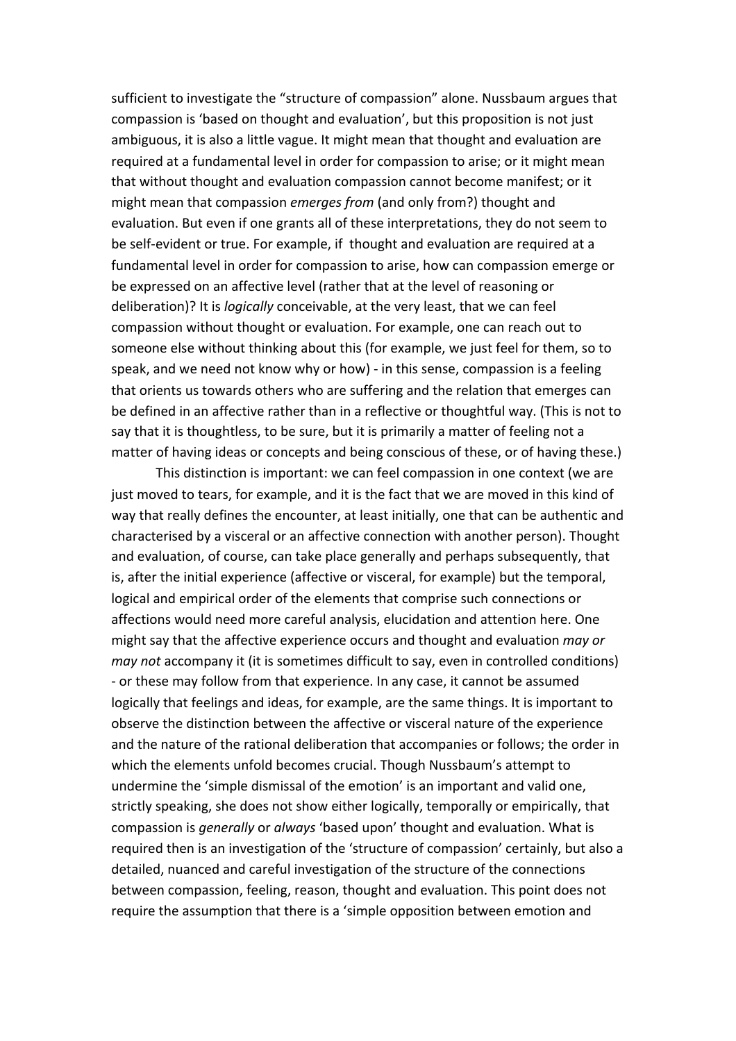sufficient to investigate the "structure of compassion" alone. Nussbaum argues that compassion is 'based on thought and evaluation', but this proposition is not just ambiguous, it is also a little vague. It might mean that thought and evaluation are required at a fundamental level in order for compassion to arise; or it might mean that without thought and evaluation compassion cannot become manifest; or it might mean that compassion *emerges from* (and only from?) thought and evaluation. But even if one grants all of these interpretations, they do not seem to be self-evident or true. For example, if thought and evaluation are required at a fundamental level in order for compassion to arise, how can compassion emerge or be expressed on an affective level (rather that at the level of reasoning or deliberation)? It is *logically* conceivable, at the very least, that we can feel compassion without thought or evaluation. For example, one can reach out to someone else without thinking about this (for example, we just feel for them, so to speak, and we need not know why or how) - in this sense, compassion is a feeling that orients us towards others who are suffering and the relation that emerges can be defined in an affective rather than in a reflective or thoughtful way. (This is not to say that it is thoughtless, to be sure, but it is primarily a matter of feeling not a matter of having ideas or concepts and being conscious of these, or of having these.)

This distinction is important: we can feel compassion in one context (we are just moved to tears, for example, and it is the fact that we are moved in this kind of way that really defines the encounter, at least initially, one that can be authentic and characterised by a visceral or an affective connection with another person). Thought and evaluation, of course, can take place generally and perhaps subsequently, that is, after the initial experience (affective or visceral, for example) but the temporal, logical and empirical order of the elements that comprise such connections or affections would need more careful analysis, elucidation and attention here. One might say that the affective experience occurs and thought and evaluation *may or may not* accompany it (it is sometimes difficult to say, even in controlled conditions) - or these may follow from that experience. In any case, it cannot be assumed logically that feelings and ideas, for example, are the same things. It is important to observe the distinction between the affective or visceral nature of the experience and the nature of the rational deliberation that accompanies or follows; the order in which the elements unfold becomes crucial. Though Nussbaum's attempt to undermine the 'simple dismissal of the emotion' is an important and valid one, strictly speaking, she does not show either logically, temporally or empirically, that compassion is *generally* or *always* 'based upon' thought and evaluation. What is required then is an investigation of the 'structure of compassion' certainly, but also a detailed, nuanced and careful investigation of the structure of the connections between compassion, feeling, reason, thought and evaluation. This point does not require the assumption that there is a 'simple opposition between emotion and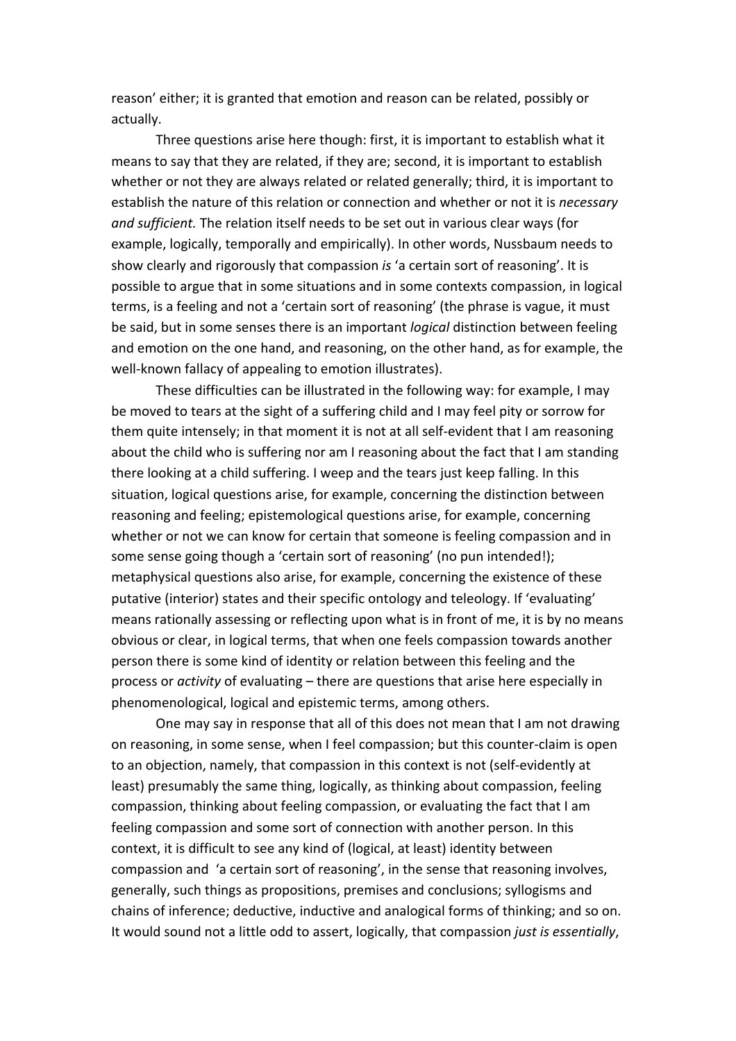reason' either; it is granted that emotion and reason can be related, possibly or actually. 

Three questions arise here though: first, it is important to establish what it means to say that they are related, if they are; second, it is important to establish whether or not they are always related or related generally; third, it is important to establish the nature of this relation or connection and whether or not it is *necessary* and sufficient. The relation itself needs to be set out in various clear ways (for example, logically, temporally and empirically). In other words, Nussbaum needs to show clearly and rigorously that compassion *is* 'a certain sort of reasoning'. It is possible to argue that in some situations and in some contexts compassion, in logical terms, is a feeling and not a 'certain sort of reasoning' (the phrase is vague, it must be said, but in some senses there is an important *logical* distinction between feeling and emotion on the one hand, and reasoning, on the other hand, as for example, the well-known fallacy of appealing to emotion illustrates).

These difficulties can be illustrated in the following way: for example, I may be moved to tears at the sight of a suffering child and I may feel pity or sorrow for them quite intensely; in that moment it is not at all self-evident that I am reasoning about the child who is suffering nor am I reasoning about the fact that I am standing there looking at a child suffering. I weep and the tears just keep falling. In this situation, logical questions arise, for example, concerning the distinction between reasoning and feeling; epistemological questions arise, for example, concerning whether or not we can know for certain that someone is feeling compassion and in some sense going though a 'certain sort of reasoning' (no pun intended!); metaphysical questions also arise, for example, concerning the existence of these putative (interior) states and their specific ontology and teleology. If 'evaluating' means rationally assessing or reflecting upon what is in front of me, it is by no means obvious or clear, in logical terms, that when one feels compassion towards another person there is some kind of identity or relation between this feeling and the process or *activity* of evaluating – there are questions that arise here especially in phenomenological, logical and epistemic terms, among others.

One may say in response that all of this does not mean that I am not drawing on reasoning, in some sense, when I feel compassion; but this counter-claim is open to an objection, namely, that compassion in this context is not (self-evidently at least) presumably the same thing, logically, as thinking about compassion, feeling compassion, thinking about feeling compassion, or evaluating the fact that I am feeling compassion and some sort of connection with another person. In this context, it is difficult to see any kind of (logical, at least) identity between compassion and 'a certain sort of reasoning', in the sense that reasoning involves, generally, such things as propositions, premises and conclusions; syllogisms and chains of inference; deductive, inductive and analogical forms of thinking; and so on. It would sound not a little odd to assert, logically, that compassion *just is essentially*,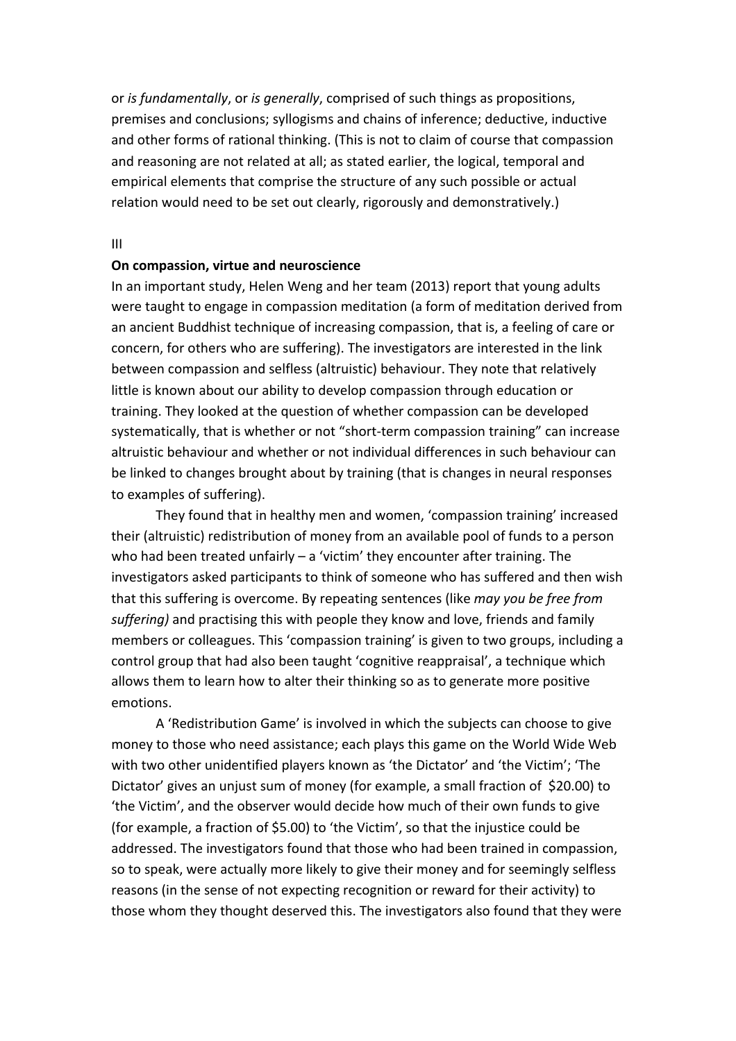or *is fundamentally,* or *is generally,* comprised of such things as propositions, premises and conclusions; syllogisms and chains of inference; deductive, inductive and other forms of rational thinking. (This is not to claim of course that compassion and reasoning are not related at all; as stated earlier, the logical, temporal and empirical elements that comprise the structure of any such possible or actual relation would need to be set out clearly, rigorously and demonstratively.)

III

## **On compassion, virtue and neuroscience**

In an important study, Helen Weng and her team (2013) report that young adults were taught to engage in compassion meditation (a form of meditation derived from an ancient Buddhist technique of increasing compassion, that is, a feeling of care or concern, for others who are suffering). The investigators are interested in the link between compassion and selfless (altruistic) behaviour. They note that relatively little is known about our ability to develop compassion through education or training. They looked at the question of whether compassion can be developed systematically, that is whether or not "short-term compassion training" can increase altruistic behaviour and whether or not individual differences in such behaviour can be linked to changes brought about by training (that is changes in neural responses to examples of suffering).

They found that in healthy men and women, 'compassion training' increased their (altruistic) redistribution of money from an available pool of funds to a person who had been treated unfairly  $-$  a 'victim' they encounter after training. The investigators asked participants to think of someone who has suffered and then wish that this suffering is overcome. By repeating sentences (like *may you be free from* suffering) and practising this with people they know and love, friends and family members or colleagues. This 'compassion training' is given to two groups, including a control group that had also been taught 'cognitive reappraisal', a technique which allows them to learn how to alter their thinking so as to generate more positive emotions. 

A 'Redistribution Game' is involved in which the subjects can choose to give money to those who need assistance; each plays this game on the World Wide Web with two other unidentified players known as 'the Dictator' and 'the Victim'; 'The Dictator' gives an unjust sum of money (for example, a small fraction of \$20.00) to 'the Victim', and the observer would decide how much of their own funds to give (for example, a fraction of \$5.00) to 'the Victim', so that the injustice could be addressed. The investigators found that those who had been trained in compassion, so to speak, were actually more likely to give their money and for seemingly selfless reasons (in the sense of not expecting recognition or reward for their activity) to those whom they thought deserved this. The investigators also found that they were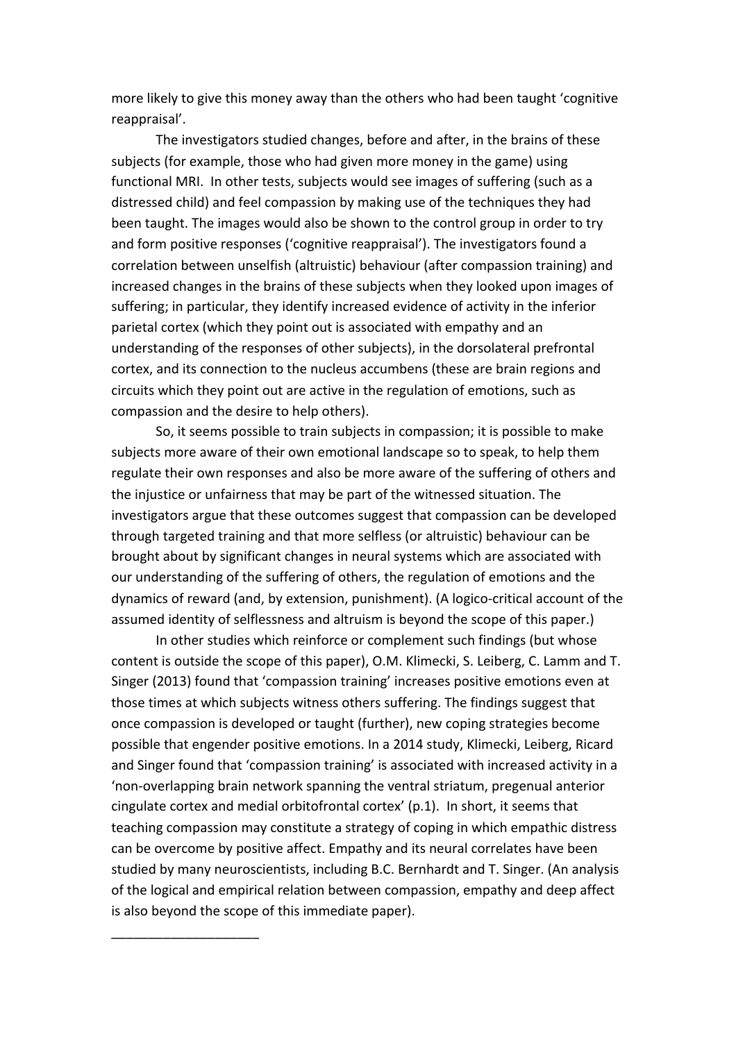more likely to give this money away than the others who had been taught 'cognitive reappraisal'.

The investigators studied changes, before and after, in the brains of these subjects (for example, those who had given more money in the game) using functional MRI. In other tests, subjects would see images of suffering (such as a distressed child) and feel compassion by making use of the techniques they had been taught. The images would also be shown to the control group in order to try and form positive responses ('cognitive reappraisal'). The investigators found a correlation between unselfish (altruistic) behaviour (after compassion training) and increased changes in the brains of these subjects when they looked upon images of suffering; in particular, they identify increased evidence of activity in the inferior parietal cortex (which they point out is associated with empathy and an understanding of the responses of other subjects), in the dorsolateral prefrontal cortex, and its connection to the nucleus accumbens (these are brain regions and circuits which they point out are active in the regulation of emotions, such as compassion and the desire to help others).

So, it seems possible to train subjects in compassion; it is possible to make subjects more aware of their own emotional landscape so to speak, to help them regulate their own responses and also be more aware of the suffering of others and the injustice or unfairness that may be part of the witnessed situation. The investigators argue that these outcomes suggest that compassion can be developed through targeted training and that more selfless (or altruistic) behaviour can be brought about by significant changes in neural systems which are associated with our understanding of the suffering of others, the regulation of emotions and the dynamics of reward (and, by extension, punishment). (A logico-critical account of the assumed identity of selflessness and altruism is beyond the scope of this paper.)

In other studies which reinforce or complement such findings (but whose content is outside the scope of this paper), O.M. Klimecki, S. Leiberg, C. Lamm and T. Singer (2013) found that 'compassion training' increases positive emotions even at those times at which subjects witness others suffering. The findings suggest that once compassion is developed or taught (further), new coping strategies become possible that engender positive emotions. In a 2014 study, Klimecki, Leiberg, Ricard and Singer found that 'compassion training' is associated with increased activity in a 'non-overlapping brain network spanning the ventral striatum, pregenual anterior cingulate cortex and medial orbitofrontal cortex' (p.1). In short, it seems that teaching compassion may constitute a strategy of coping in which empathic distress can be overcome by positive affect. Empathy and its neural correlates have been studied by many neuroscientists, including B.C. Bernhardt and T. Singer. (An analysis of the logical and empirical relation between compassion, empathy and deep affect is also beyond the scope of this immediate paper).

\_\_\_\_\_\_\_\_\_\_\_\_\_\_\_\_\_\_\_\_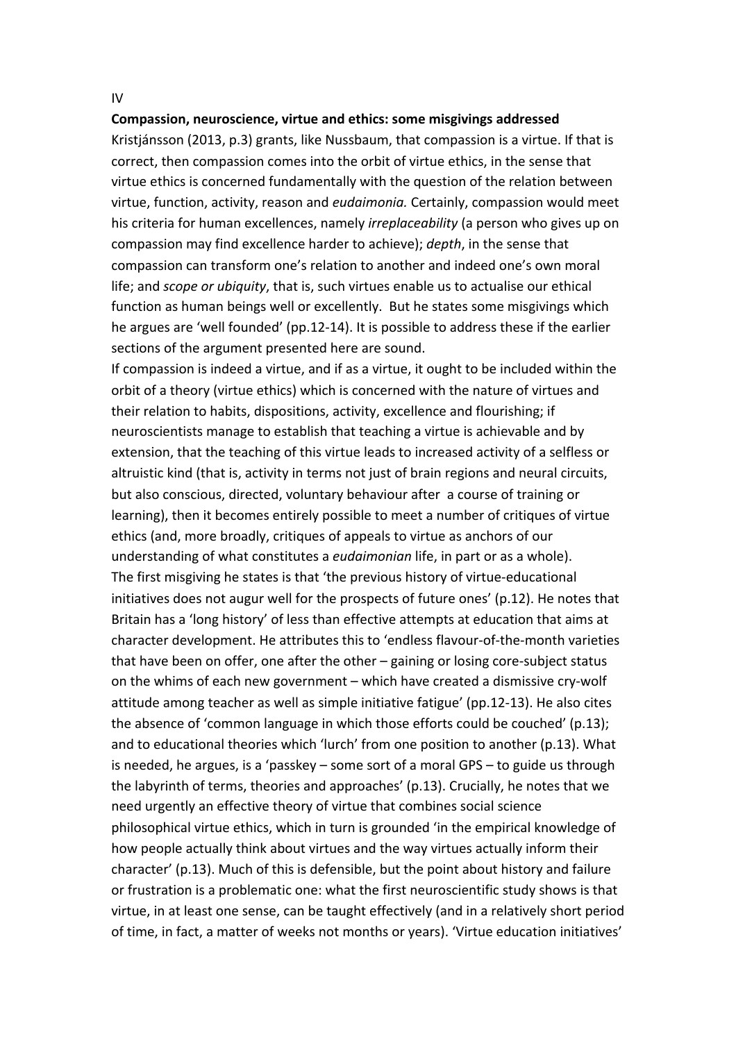#### IV

#### Compassion, neuroscience, virtue and ethics: some misgivings addressed

Kristjánsson  $(2013, p.3)$  grants, like Nussbaum, that compassion is a virtue. If that is correct, then compassion comes into the orbit of virtue ethics, in the sense that virtue ethics is concerned fundamentally with the question of the relation between virtue, function, activity, reason and *eudaimonia*. Certainly, compassion would meet his criteria for human excellences, namely *irreplaceability* (a person who gives up on compassion may find excellence harder to achieve); *depth*, in the sense that compassion can transform one's relation to another and indeed one's own moral life; and *scope or ubiquity*, that is, such virtues enable us to actualise our ethical function as human beings well or excellently. But he states some misgivings which he argues are 'well founded' (pp.12-14). It is possible to address these if the earlier sections of the argument presented here are sound.

If compassion is indeed a virtue, and if as a virtue, it ought to be included within the orbit of a theory (virtue ethics) which is concerned with the nature of virtues and their relation to habits, dispositions, activity, excellence and flourishing; if neuroscientists manage to establish that teaching a virtue is achievable and by extension, that the teaching of this virtue leads to increased activity of a selfless or altruistic kind (that is, activity in terms not just of brain regions and neural circuits, but also conscious, directed, voluntary behaviour after a course of training or learning), then it becomes entirely possible to meet a number of critiques of virtue ethics (and, more broadly, critiques of appeals to virtue as anchors of our understanding of what constitutes a *eudaimonian* life, in part or as a whole). The first misgiving he states is that 'the previous history of virtue-educational initiatives does not augur well for the prospects of future ones' (p.12). He notes that Britain has a 'long history' of less than effective attempts at education that aims at character development. He attributes this to 'endless flavour-of-the-month varieties that have been on offer, one after the other  $-$  gaining or losing core-subject status on the whims of each new government – which have created a dismissive cry-wolf attitude among teacher as well as simple initiative fatigue' (pp.12-13). He also cites the absence of 'common language in which those efforts could be couched' (p.13); and to educational theories which 'lurch' from one position to another (p.13). What is needed, he argues, is a 'passkey – some sort of a moral GPS – to guide us through the labyrinth of terms, theories and approaches' (p.13). Crucially, he notes that we need urgently an effective theory of virtue that combines social science philosophical virtue ethics, which in turn is grounded 'in the empirical knowledge of how people actually think about virtues and the way virtues actually inform their character'  $(p.13)$ . Much of this is defensible, but the point about history and failure or frustration is a problematic one: what the first neuroscientific study shows is that virtue, in at least one sense, can be taught effectively (and in a relatively short period of time, in fact, a matter of weeks not months or years). 'Virtue education initiatives'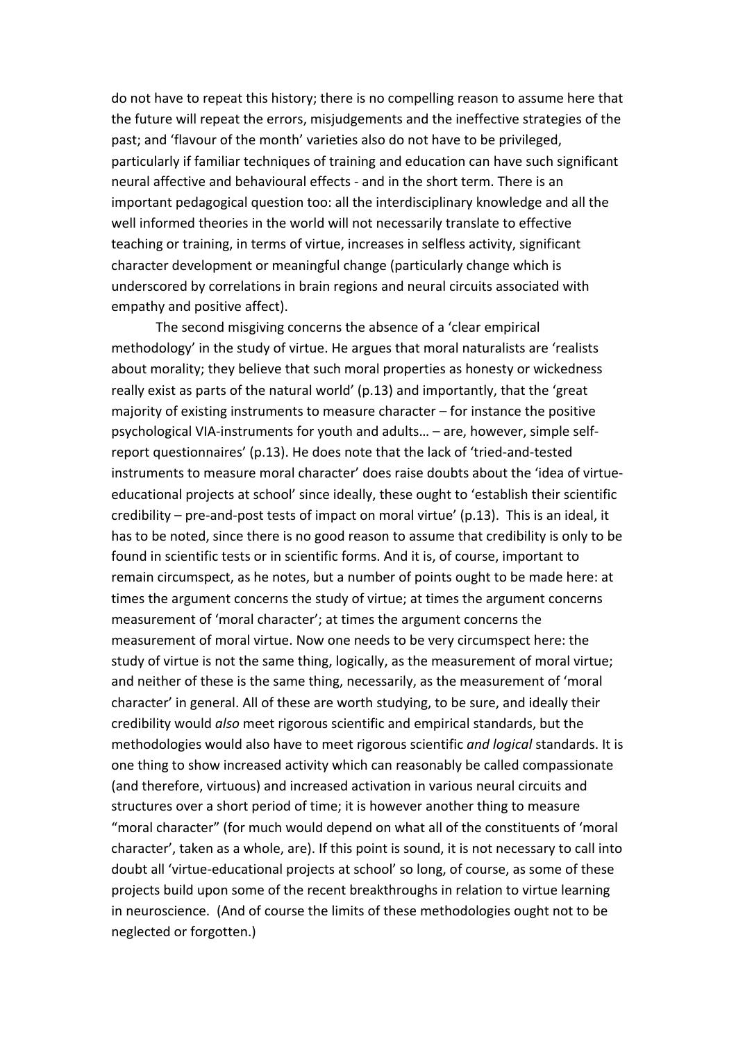do not have to repeat this history; there is no compelling reason to assume here that the future will repeat the errors, misjudgements and the ineffective strategies of the past; and 'flavour of the month' varieties also do not have to be privileged, particularly if familiar techniques of training and education can have such significant neural affective and behavioural effects - and in the short term. There is an important pedagogical question too: all the interdisciplinary knowledge and all the well informed theories in the world will not necessarily translate to effective teaching or training, in terms of virtue, increases in selfless activity, significant character development or meaningful change (particularly change which is underscored by correlations in brain regions and neural circuits associated with empathy and positive affect).

The second misgiving concerns the absence of a 'clear empirical methodology' in the study of virtue. He argues that moral naturalists are 'realists about morality; they believe that such moral properties as honesty or wickedness really exist as parts of the natural world' (p.13) and importantly, that the 'great majority of existing instruments to measure character  $-$  for instance the positive psychological VIA-instruments for youth and adults... - are, however, simple selfreport questionnaires' (p.13). He does note that the lack of 'tried-and-tested instruments to measure moral character' does raise doubts about the 'idea of virtueeducational projects at school' since ideally, these ought to 'establish their scientific credibility – pre-and-post tests of impact on moral virtue' (p.13). This is an ideal, it has to be noted, since there is no good reason to assume that credibility is only to be found in scientific tests or in scientific forms. And it is, of course, important to remain circumspect, as he notes, but a number of points ought to be made here: at times the argument concerns the study of virtue; at times the argument concerns measurement of 'moral character'; at times the argument concerns the measurement of moral virtue. Now one needs to be very circumspect here: the study of virtue is not the same thing, logically, as the measurement of moral virtue; and neither of these is the same thing, necessarily, as the measurement of 'moral character' in general. All of these are worth studying, to be sure, and ideally their credibility would *also* meet rigorous scientific and empirical standards, but the methodologies would also have to meet rigorous scientific *and logical* standards. It is one thing to show increased activity which can reasonably be called compassionate (and therefore, virtuous) and increased activation in various neural circuits and structures over a short period of time; it is however another thing to measure "moral character" (for much would depend on what all of the constituents of 'moral character', taken as a whole, are). If this point is sound, it is not necessary to call into doubt all 'virtue-educational projects at school' so long, of course, as some of these projects build upon some of the recent breakthroughs in relation to virtue learning in neuroscience. (And of course the limits of these methodologies ought not to be neglected or forgotten.)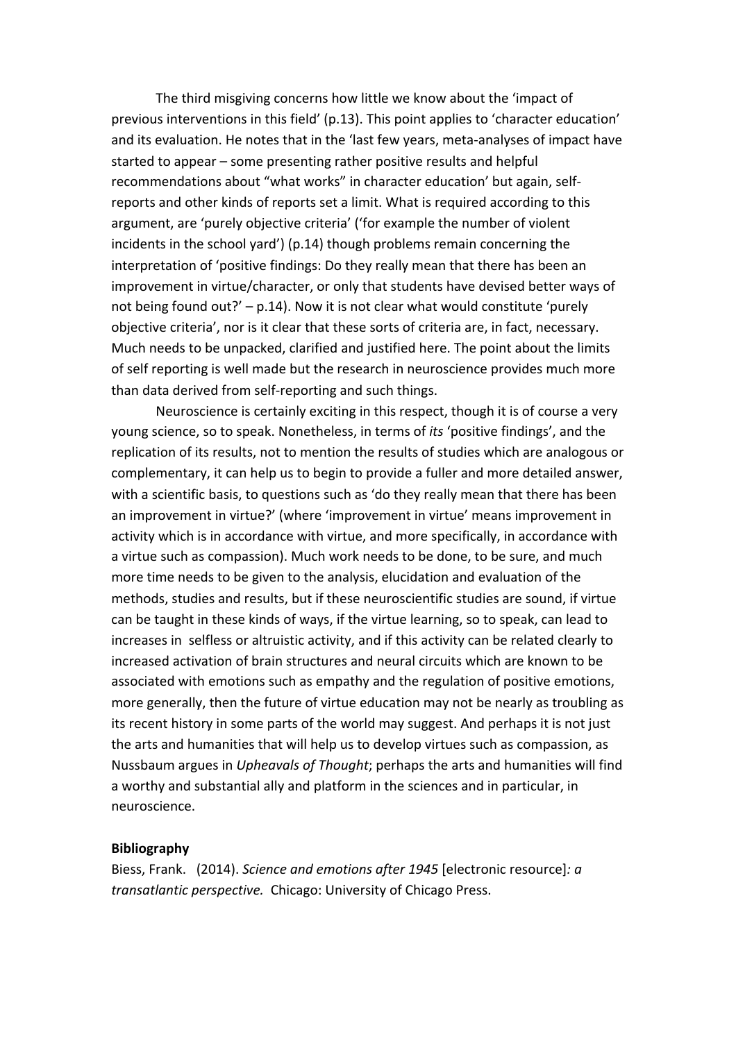The third misgiving concerns how little we know about the 'impact of previous interventions in this field' (p.13). This point applies to 'character education' and its evaluation. He notes that in the 'last few years, meta-analyses of impact have started to appear - some presenting rather positive results and helpful recommendations about "what works" in character education' but again, selfreports and other kinds of reports set a limit. What is required according to this argument, are 'purely objective criteria' ('for example the number of violent incidents in the school yard') (p.14) though problems remain concerning the interpretation of 'positive findings: Do they really mean that there has been an improvement in virtue/character, or only that students have devised better ways of not being found out?'  $-$  p.14). Now it is not clear what would constitute 'purely objective criteria', nor is it clear that these sorts of criteria are, in fact, necessary. Much needs to be unpacked, clarified and justified here. The point about the limits of self reporting is well made but the research in neuroscience provides much more than data derived from self-reporting and such things.

Neuroscience is certainly exciting in this respect, though it is of course a very young science, so to speak. Nonetheless, in terms of *its* 'positive findings', and the replication of its results, not to mention the results of studies which are analogous or complementary, it can help us to begin to provide a fuller and more detailed answer, with a scientific basis, to questions such as 'do they really mean that there has been an improvement in virtue?' (where 'improvement in virtue' means improvement in activity which is in accordance with virtue, and more specifically, in accordance with a virtue such as compassion). Much work needs to be done, to be sure, and much more time needs to be given to the analysis, elucidation and evaluation of the methods, studies and results, but if these neuroscientific studies are sound, if virtue can be taught in these kinds of ways, if the virtue learning, so to speak, can lead to increases in selfless or altruistic activity, and if this activity can be related clearly to increased activation of brain structures and neural circuits which are known to be associated with emotions such as empathy and the regulation of positive emotions, more generally, then the future of virtue education may not be nearly as troubling as its recent history in some parts of the world may suggest. And perhaps it is not just the arts and humanities that will help us to develop virtues such as compassion, as Nussbaum argues in *Upheavals of Thought*; perhaps the arts and humanities will find a worthy and substantial ally and platform in the sciences and in particular, in neuroscience.

## **Bibliography**

Biess, Frank. (2014). *Science and emotions after 1945* [electronic resource]: *a transatlantic perspective.* Chicago: University of Chicago Press.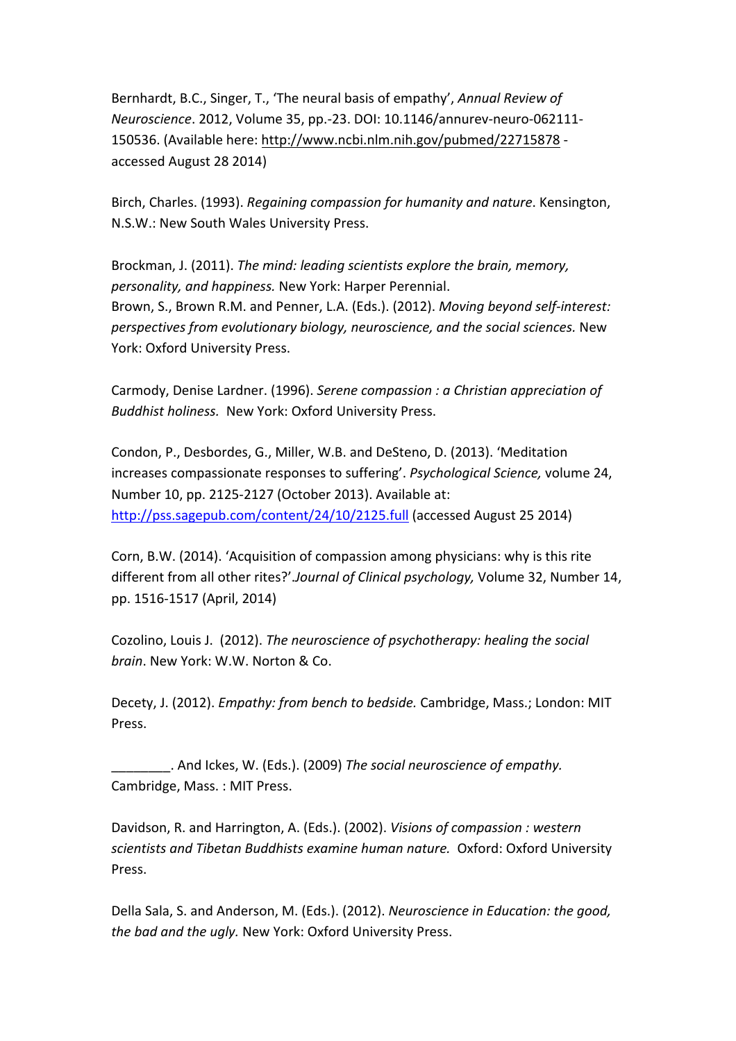Bernhardt, B.C., Singer, T., 'The neural basis of empathy', *Annual Review of Neuroscience*. 2012, Volume 35, pp.-23. DOI: 10.1146/annurev-neuro-062111- 150536. (Available here: http://www.ncbi.nlm.nih.gov/pubmed/22715878 accessed August 28 2014)

Birch, Charles. (1993). *Regaining compassion for humanity and nature*. Kensington, N.S.W.: New South Wales University Press.

Brockman, J. (2011). *The mind: leading scientists explore the brain, memory. personality, and happiness.* New York: Harper Perennial. Brown, S., Brown R.M. and Penner, L.A. (Eds.). (2012). *Moving beyond self-interest: perspectives from evolutionary biology, neuroscience, and the social sciences.* New York: Oxford University Press.

Carmody, Denise Lardner. (1996). *Serene compassion : a Christian appreciation of* **Buddhist holiness. New York: Oxford University Press.** 

Condon, P., Desbordes, G., Miller, W.B. and DeSteno, D. (2013). 'Meditation increases compassionate responses to suffering'. *Psychological Science*, volume 24, Number 10, pp. 2125-2127 (October 2013). Available at: http://pss.sagepub.com/content/24/10/2125.full (accessed August 25 2014)

Corn, B.W. (2014). 'Acquisition of compassion among physicians: why is this rite different from all other rites?'.*Journal of Clinical psychology*, Volume 32, Number 14, pp. 1516-1517 (April, 2014)

Cozolino, Louis J. (2012). *The neuroscience of psychotherapy: healing the social brain*. New York: W.W. Norton & Co.

Decety, J. (2012). *Empathy: from bench to bedside.* Cambridge, Mass.; London: MIT Press.

\_\_\_\_\_\_\_\_. And Ickes, W. (Eds.). (2009) *The social neuroscience of empathy.* Cambridge, Mass. : MIT Press.

Davidson, R. and Harrington, A. (Eds.). (2002). *Visions of compassion : western* scientists and Tibetan Buddhists examine human nature. Oxford: Oxford University Press.

Della Sala, S. and Anderson, M. (Eds.). (2012). *Neuroscience in Education: the good, the bad and the ugly.* New York: Oxford University Press.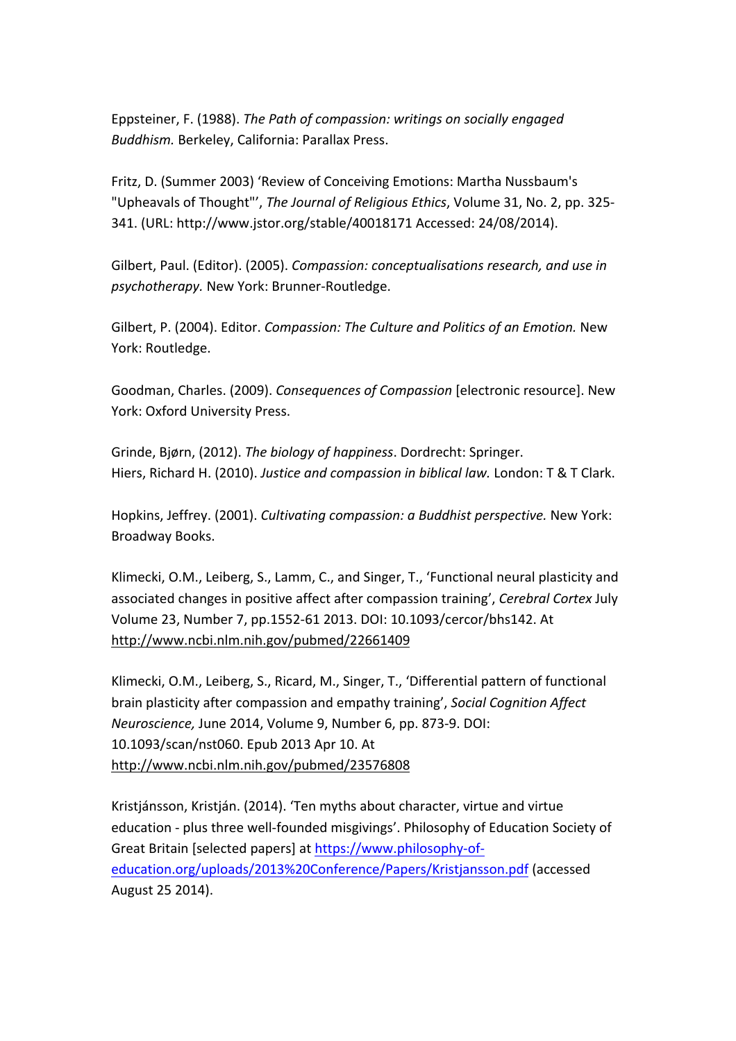Eppsteiner, F. (1988). *The Path of compassion: writings on socially engaged Buddhism.* Berkeley, California: Parallax Press.

Fritz, D. (Summer 2003) 'Review of Conceiving Emotions: Martha Nussbaum's "Upheavals of Thought"', The Journal of Religious Ethics, Volume 31, No. 2, pp. 325-341. (URL: http://www.jstor.org/stable/40018171 Accessed: 24/08/2014).

Gilbert, Paul. (Editor). (2005). *Compassion: conceptualisations research, and use in psychotherapy.* New York: Brunner-Routledge.

Gilbert, P. (2004). Editor. *Compassion: The Culture and Politics of an Emotion.* New York: Routledge.

Goodman, Charles. (2009). *Consequences of Compassion* [electronic resource]. New York: Oxford University Press.

Grinde, Bjørn, (2012). *The biology of happiness*. Dordrecht: Springer. Hiers, Richard H. (2010). Justice and compassion in biblical law. London: T & T Clark.

Hopkins, Jeffrey. (2001). *Cultivating compassion: a Buddhist perspective*. New York: Broadway Books.

Klimecki, O.M., Leiberg, S., Lamm, C., and Singer, T., 'Functional neural plasticity and associated changes in positive affect after compassion training', *Cerebral Cortex* July Volume 23, Number 7, pp.1552-61 2013. DOI: 10.1093/cercor/bhs142. At http://www.ncbi.nlm.nih.gov/pubmed/22661409

Klimecki, O.M., Leiberg, S., Ricard, M., Singer, T., 'Differential pattern of functional brain plasticity after compassion and empathy training', *Social Cognition Affect Neuroscience, June 2014, Volume 9, Number 6, pp. 873-9. DOI:* 10.1093/scan/nst060. Epub 2013 Apr 10. At http://www.ncbi.nlm.nih.gov/pubmed/23576808

Kristjánsson, Kristján. (2014). 'Ten myths about character, virtue and virtue education - plus three well-founded misgivings'. Philosophy of Education Society of Great Britain [selected papers] at https://www.philosophy-ofeducation.org/uploads/2013%20Conference/Papers/Kristjansson.pdf (accessed August 25 2014).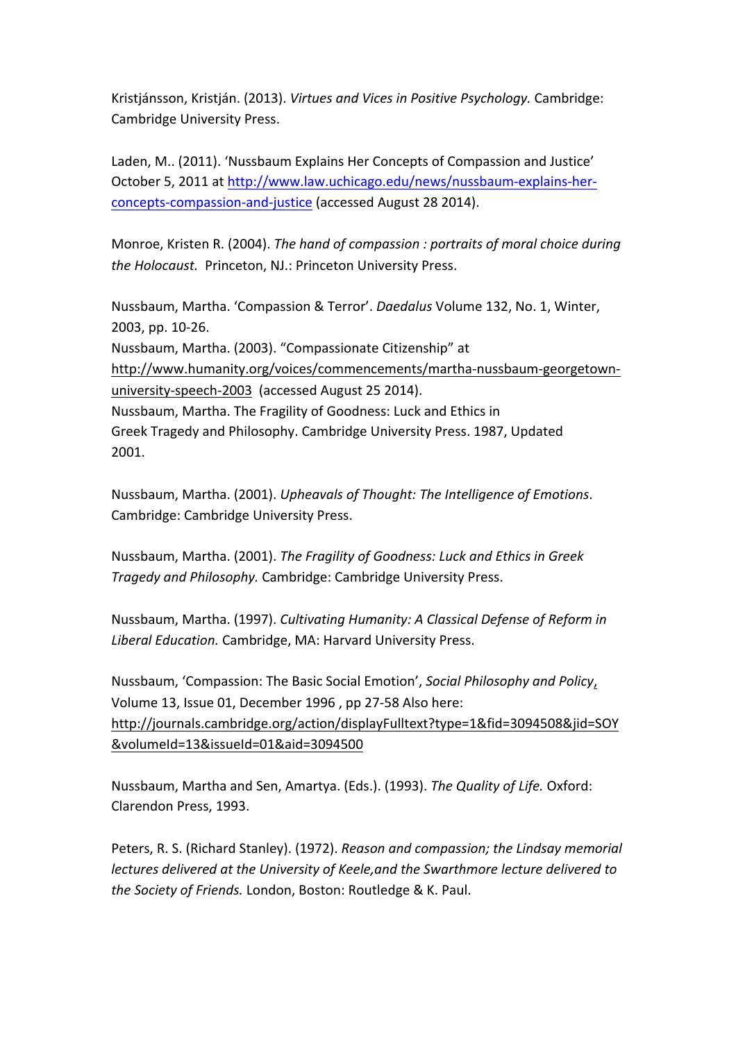Kristjánsson, Kristján. (2013). *Virtues and Vices in Positive Psychology*. Cambridge: Cambridge University Press.

Laden, M.. (2011). 'Nussbaum Explains Her Concepts of Compassion and Justice' October 5, 2011 at http://www.law.uchicago.edu/news/nussbaum-explains-herconcepts-compassion-and-justice (accessed August 28 2014).

Monroe, Kristen R. (2004). *The hand of compassion : portraits of moral choice during the Holocaust.* Princeton, NJ.: Princeton University Press.

Nussbaum, Martha. 'Compassion & Terror'. *Daedalus* Volume 132, No. 1, Winter, 2003, pp. 10-26. Nussbaum, Martha. (2003). "Compassionate Citizenship" at http://www.humanity.org/voices/commencements/martha-nussbaum-georgetownuniversity-speech-2003 (accessed August 25 2014). Nussbaum, Martha. The Fragility of Goodness: Luck and Ethics in Greek Tragedy and Philosophy. Cambridge University Press. 1987, Updated 2001.

Nussbaum, Martha. (2001). *Upheavals of Thought: The Intelligence of Emotions.* Cambridge: Cambridge University Press.

Nussbaum, Martha. (2001). The Fragility of Goodness: Luck and Ethics in Greek *Tragedy and Philosophy.* Cambridge: Cambridge University Press.

Nussbaum, Martha. (1997). *Cultivating Humanity: A Classical Defense of Reform in* Liberal Education. Cambridge, MA: Harvard University Press.

Nussbaum, 'Compassion: The Basic Social Emotion', Social Philosophy and Policy, Volume 13, Issue 01, December 1996, pp 27-58 Also here: http://journals.cambridge.org/action/displayFulltext?type=1&fid=3094508&jid=SOY &volumeId=13&issueId=01&aid=3094500

Nussbaum, Martha and Sen, Amartya. (Eds.). (1993). The Quality of Life. Oxford: Clarendon Press, 1993.

Peters, R. S. (Richard Stanley). (1972). *Reason and compassion; the Lindsay memorial lectures delivered at the University of Keele, and the Swarthmore lecture delivered to* the Society of Friends. London, Boston: Routledge & K. Paul.